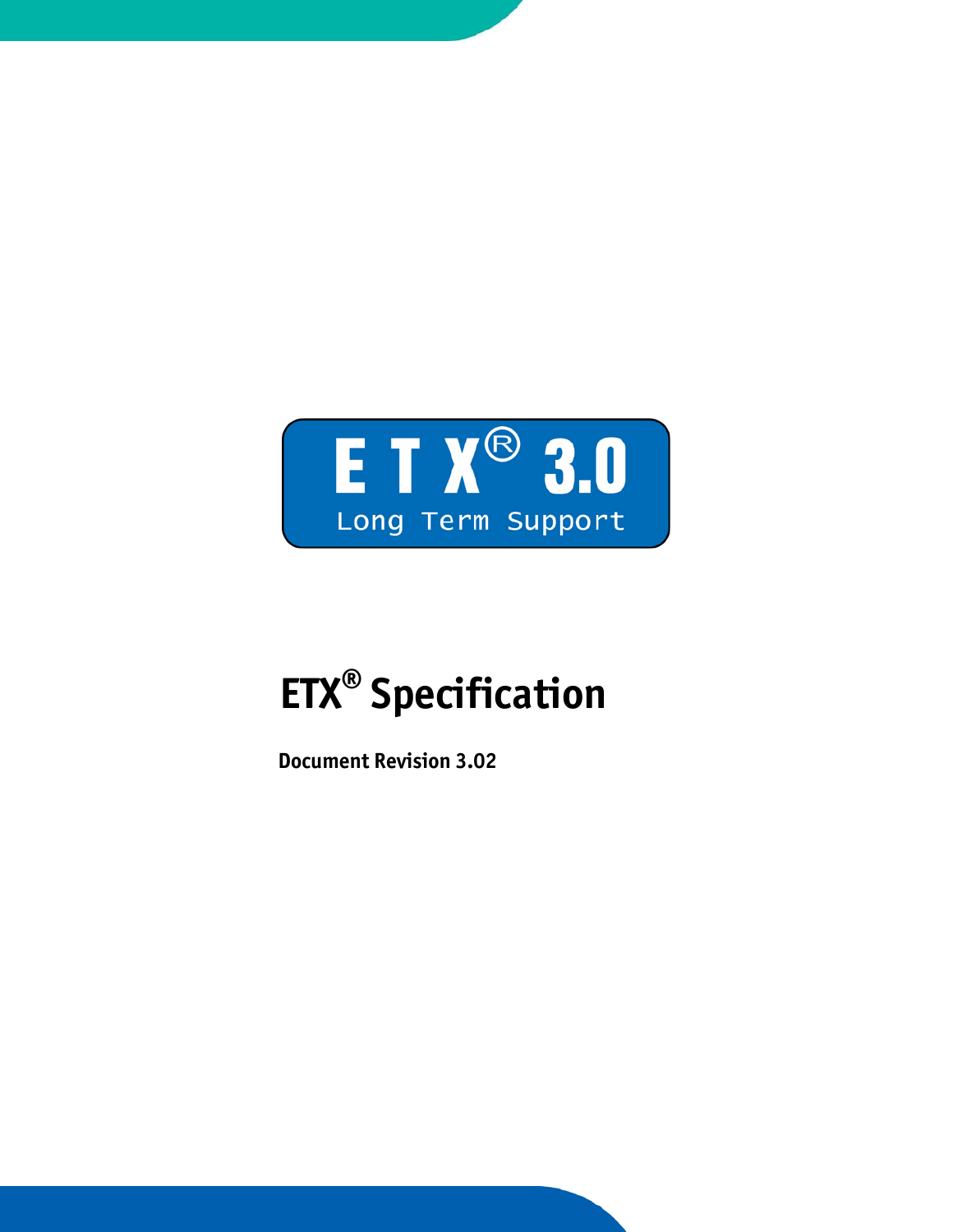

# **ETX® Specification**

 **Document Revision 3.02**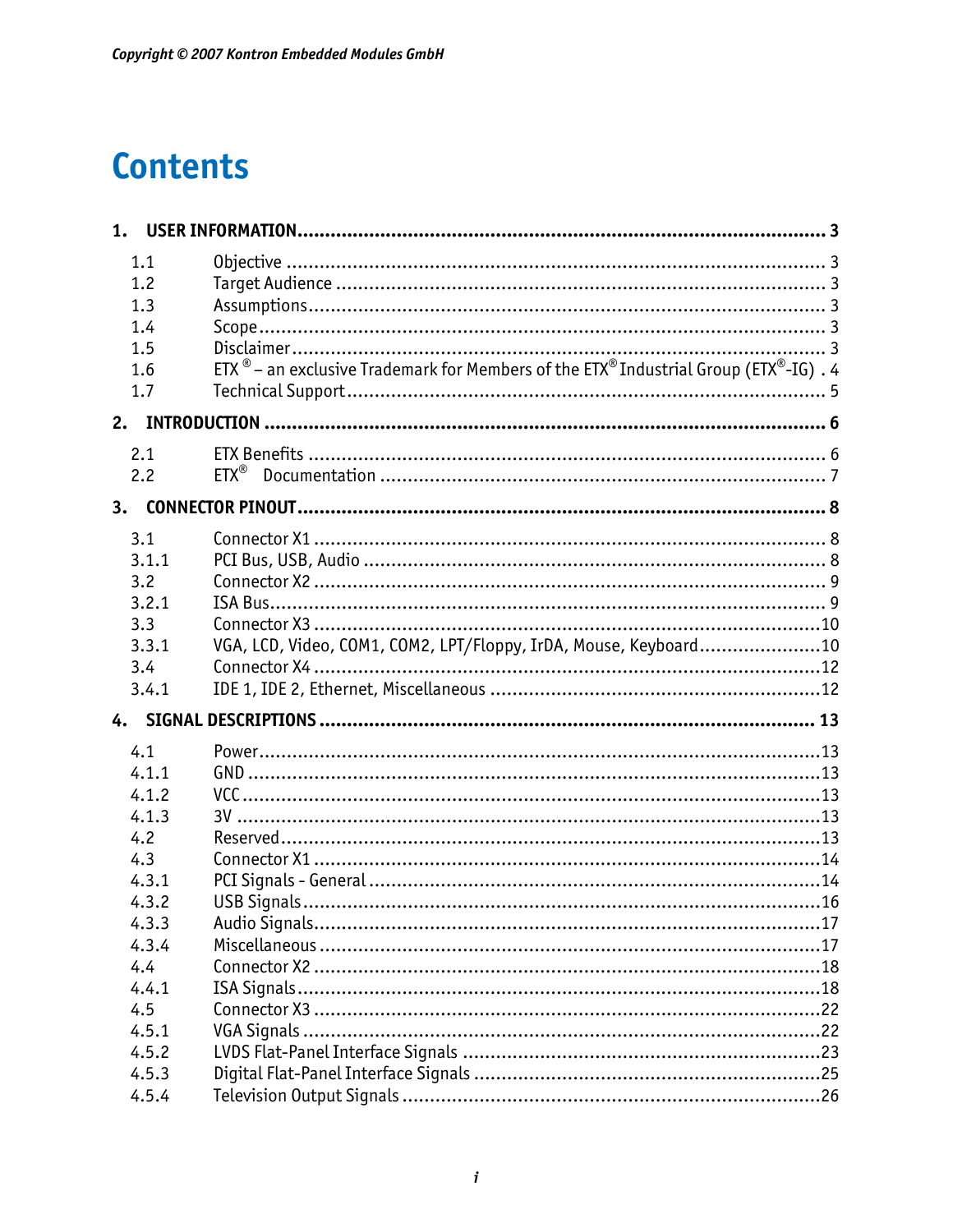# **Contents**

| 1. |                |                                                                                                                                 |
|----|----------------|---------------------------------------------------------------------------------------------------------------------------------|
|    | 1.1<br>1.2     |                                                                                                                                 |
|    | 1.3            |                                                                                                                                 |
|    | 1.4            |                                                                                                                                 |
|    | 1.5            |                                                                                                                                 |
|    | 1.6<br>1.7     | ETX $^{\circledR}$ – an exclusive Trademark for Members of the ETX $^{\circledR}$ Industrial Group (ETX $^{\circledR}$ -IG) . 4 |
| 2. |                |                                                                                                                                 |
|    | 2.1            |                                                                                                                                 |
|    | 2.2            |                                                                                                                                 |
| 3. |                |                                                                                                                                 |
|    | 3.1            |                                                                                                                                 |
|    | 3.1.1          |                                                                                                                                 |
|    | 3.2            |                                                                                                                                 |
|    | 3.2.1          |                                                                                                                                 |
|    | 3.3            |                                                                                                                                 |
|    | 3.3.1          | VGA, LCD, Video, COM1, COM2, LPT/Floppy, IrDA, Mouse, Keyboard10                                                                |
|    | 3.4            |                                                                                                                                 |
|    | 3.4.1          |                                                                                                                                 |
| 4. |                |                                                                                                                                 |
|    | 4.1            |                                                                                                                                 |
|    | 4.1.1          |                                                                                                                                 |
|    | 4.1.2          |                                                                                                                                 |
|    | 4.1.3          |                                                                                                                                 |
|    | 4.2            |                                                                                                                                 |
|    | 4.3            |                                                                                                                                 |
|    | 4.3.1          |                                                                                                                                 |
|    | 4.3.2<br>4.3.3 |                                                                                                                                 |
|    | 4.3.4          |                                                                                                                                 |
|    | 4.4            |                                                                                                                                 |
|    | 4.4.1          |                                                                                                                                 |
|    | 4.5            |                                                                                                                                 |
|    | 4.5.1          |                                                                                                                                 |
|    | 4.5.2          |                                                                                                                                 |
|    | 4.5.3          |                                                                                                                                 |
|    | 4.5.4          |                                                                                                                                 |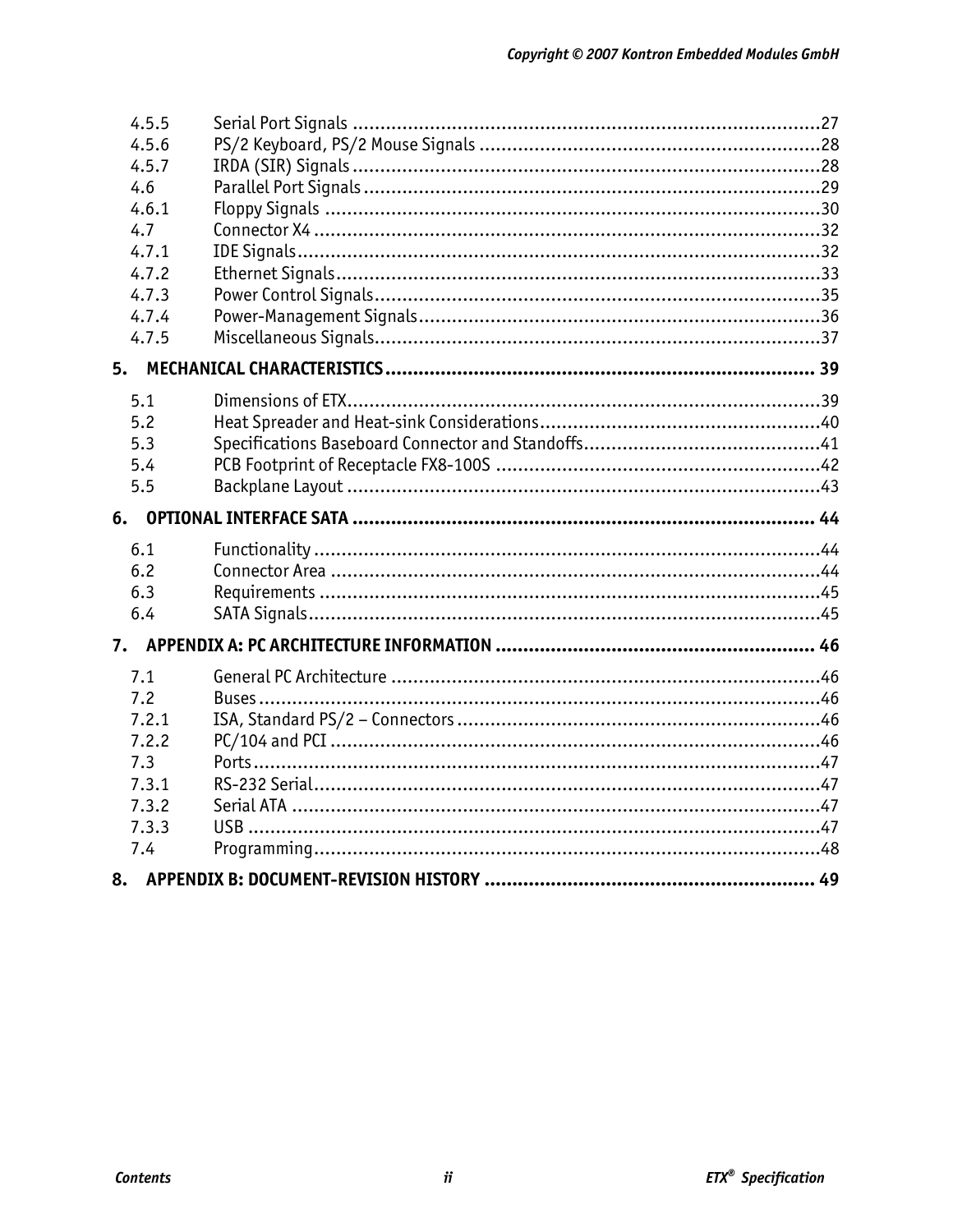| 4.5.5 |  |
|-------|--|
| 4.5.6 |  |
| 4.5.7 |  |
| 4.6   |  |
| 4.6.1 |  |
| 4.7   |  |
| 4.7.1 |  |
| 4.7.2 |  |
| 4.7.3 |  |
| 4.7.4 |  |
| 4.7.5 |  |
| 5.    |  |
| 5.1   |  |
| 5.2   |  |
| 5.3   |  |
| 5.4   |  |
| 5.5   |  |
|       |  |
| 6.    |  |
| 6.1   |  |
| 6.2   |  |
| 6.3   |  |
| 6.4   |  |
| 7.    |  |
| 7.1   |  |
| 7.2   |  |
| 7.2.1 |  |
| 7.2.2 |  |
| 7.3   |  |
| 7.3.1 |  |
| 7.3.2 |  |
| 7.3.3 |  |
| 7.4   |  |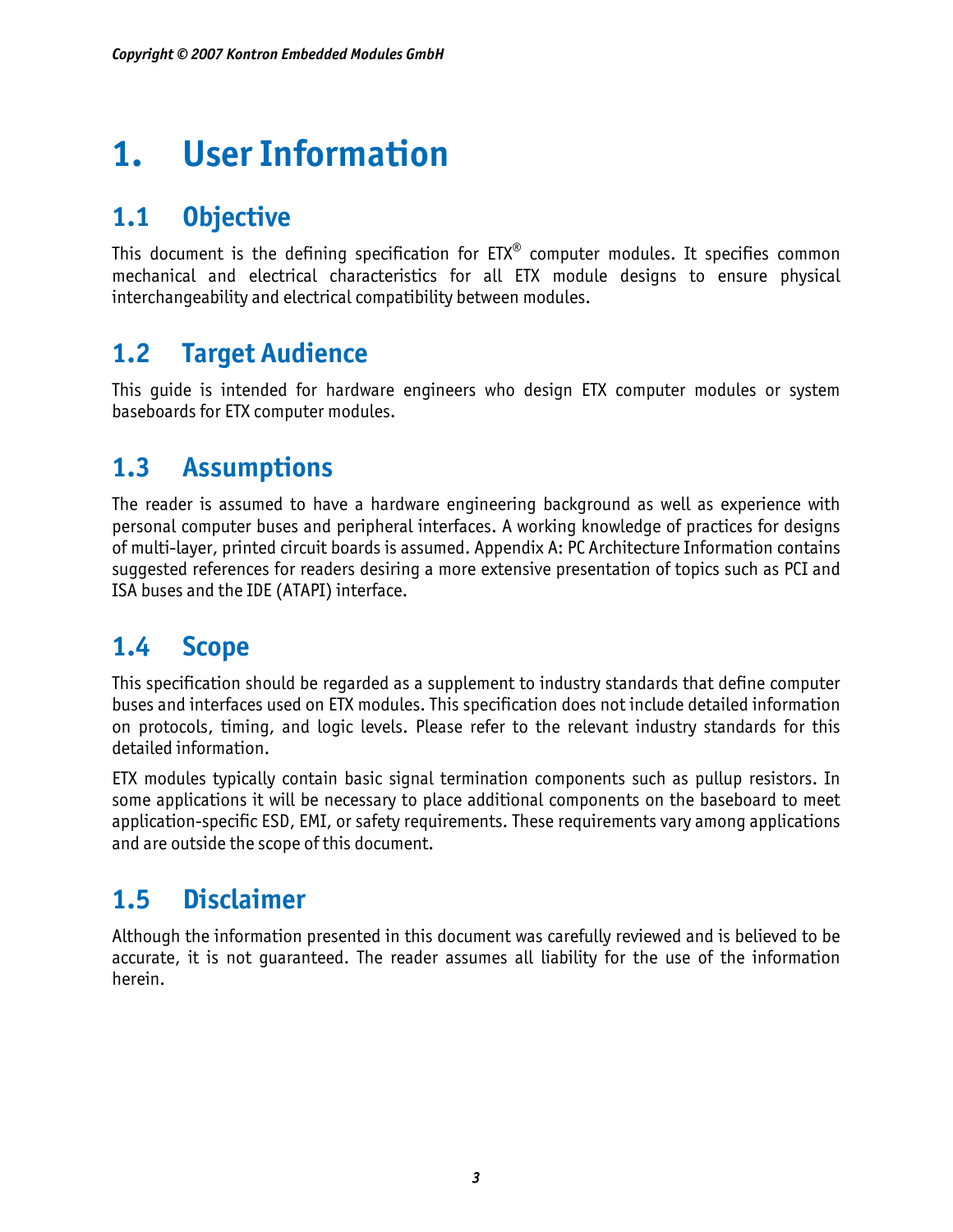# **1. User Information**

# **1.1 Objective**

This document is the defining specification for ETX® computer modules. It specifies common mechanical and electrical characteristics for all ETX module designs to ensure physical interchangeability and electrical compatibility between modules.

# **1.2 Target Audience**

This guide is intended for hardware engineers who design ETX computer modules or system baseboards for ETX computer modules.

# **1.3 Assumptions**

The reader is assumed to have a hardware engineering background as well as experience with personal computer buses and peripheral interfaces. A working knowledge of practices for designs of multi-layer, printed circuit boards is assumed. Appendix A: PC Architecture Information contains suggested references for readers desiring a more extensive presentation of topics such as PCI and ISA buses and the IDE (ATAPI) interface.

# **1.4 Scope**

This specification should be regarded as a supplement to industry standards that define computer buses and interfaces used on ETX modules. This specification does not include detailed information on protocols, timing, and logic levels. Please refer to the relevant industry standards for this detailed information.

ETX modules typically contain basic signal termination components such as pullup resistors. In some applications it will be necessary to place additional components on the baseboard to meet application-specific ESD, EMI, or safety requirements. These requirements vary among applications and are outside the scope of this document.

# **1.5 Disclaimer**

Although the information presented in this document was carefully reviewed and is believed to be accurate, it is not guaranteed. The reader assumes all liability for the use of the information herein.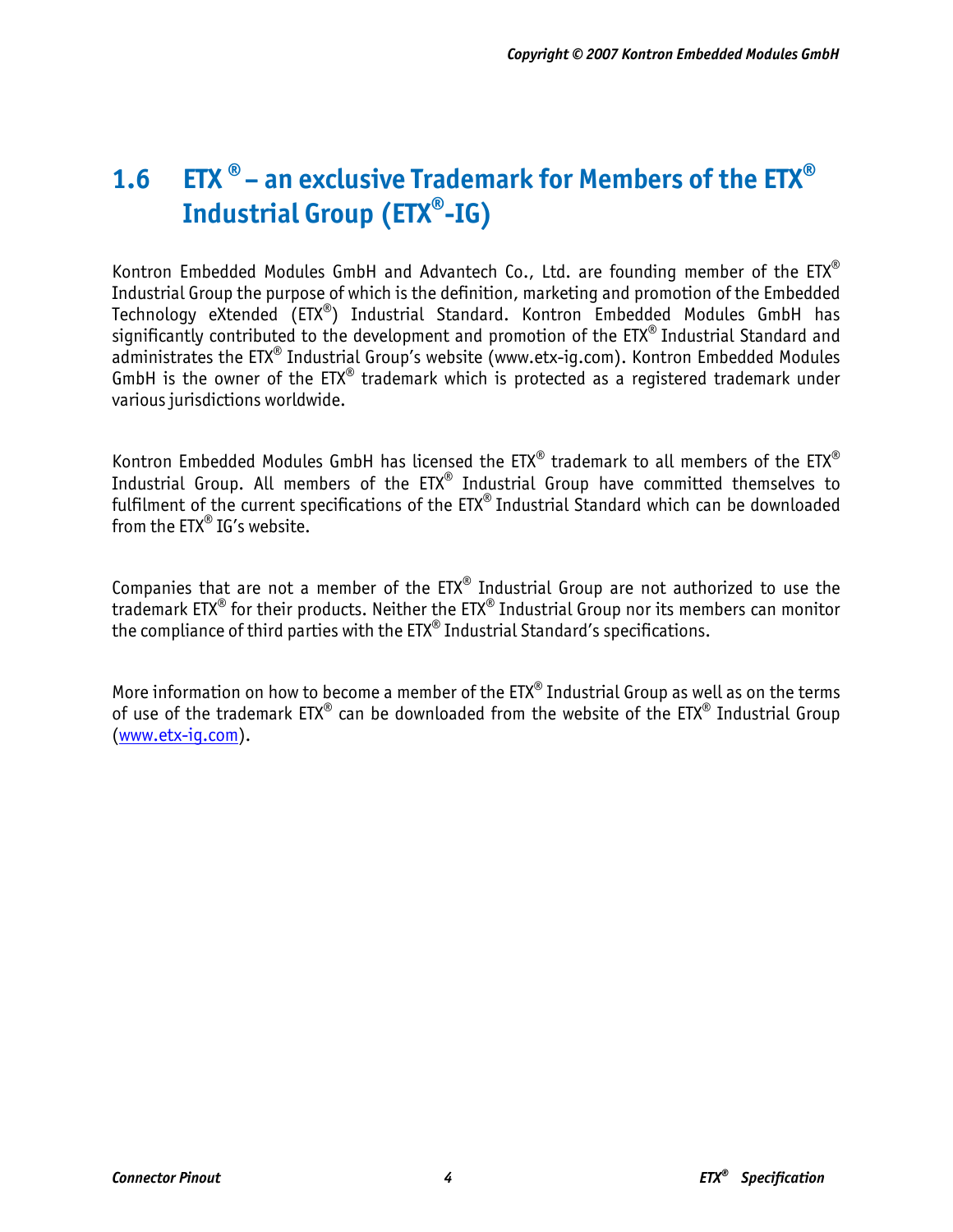# 1.6 **ETX** ® – an exclusive Trademark for Members of the ETX<sup>®</sup> **Industrial Group (ETX®-IG)**

Kontron Embedded Modules GmbH and Advantech Co., Ltd. are founding member of the  $EIX^{\otimes}$ Industrial Group the purpose of which is the definition, marketing and promotion of the Embedded Technology eXtended (ETX®) Industrial Standard. Kontron Embedded Modules GmbH has significantly contributed to the development and promotion of the ETX® Industrial Standard and administrates the ETX<sup>®</sup> Industrial Group's website (www.etx-iq.com). Kontron Embedded Modules GmbH is the owner of the  $ETX^*$  trademark which is protected as a registered trademark under various jurisdictions worldwide.

Kontron Embedded Modules GmbH has licensed the  $ETX^{\otimes}$  trademark to all members of the  $ETX^{\otimes}$ Industrial Group. All members of the ETX® Industrial Group have committed themselves to fulfilment of the current specifications of the ETX® Industrial Standard which can be downloaded from the ETX® IG's website.

Companies that are not a member of the  $ETX^{\otimes}$  Industrial Group are not authorized to use the trademark ETX® for their products. Neither the ETX® Industrial Group nor its members can monitor the compliance of third parties with the  $ETX^*$  Industrial Standard's specifications.

More information on how to become a member of the ETX<sup>®</sup> Industrial Group as well as on the terms of use of the trademark  $ETX^{\circledast}$  can be downloaded from the website of the  $ETX^{\circledast}$  Industrial Group [\(www.etx-ig.com](http://www.etx-ig.com/)).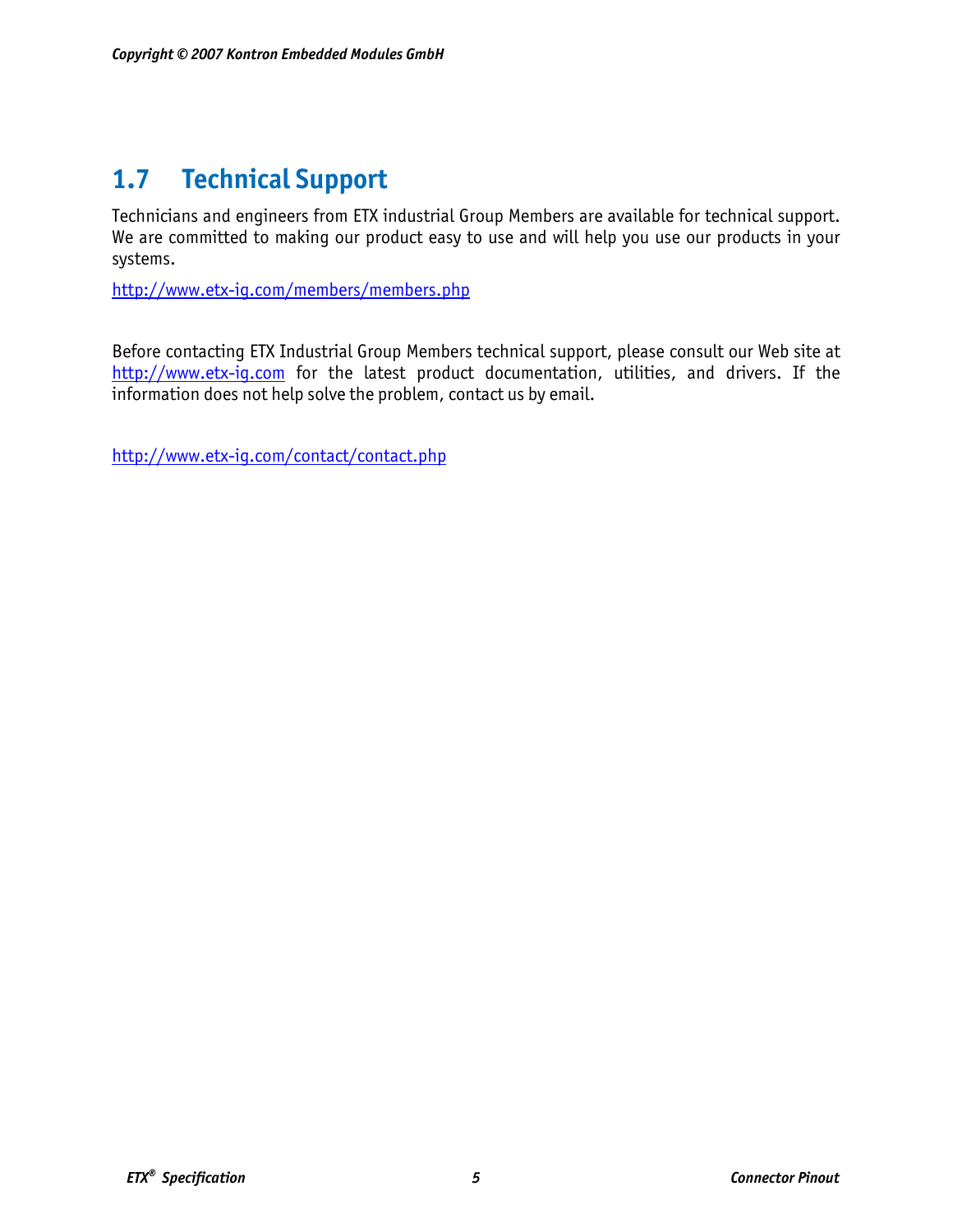# **1.7 Technical Support**

Technicians and engineers from ETX industrial Group Members are available for technical support. We are committed to making our product easy to use and will help you use our products in your systems.

<http://www.etx-ig.com/members/members.php>

Before contacting ETX Industrial Group Members technical support, please consult our Web site at [http://www.etx-ig.com](http://www.etx-ig.com/) for the latest product documentation, utilities, and drivers. If the information does not help solve the problem, contact us by email.

<http://www.etx-ig.com/contact/contact.php>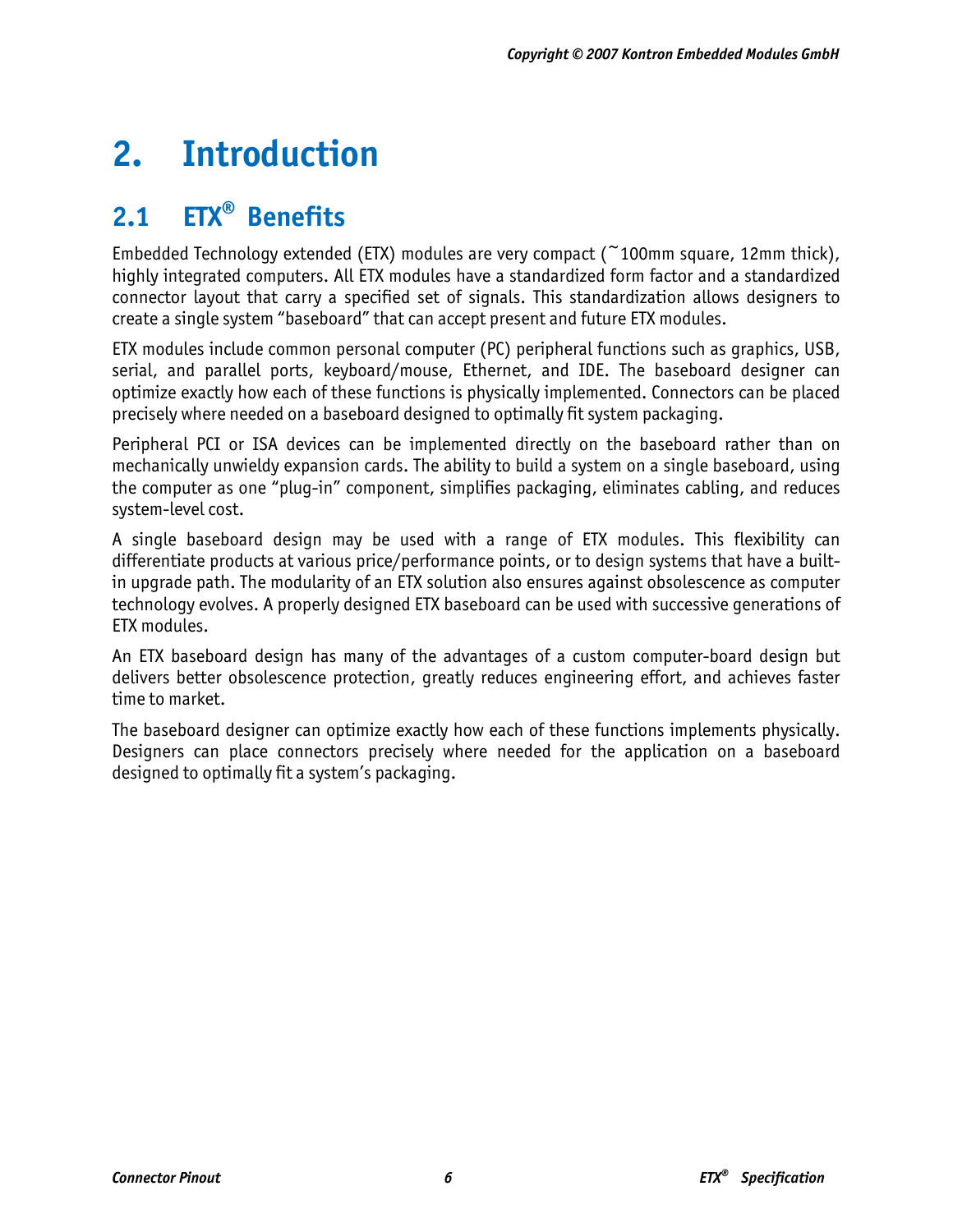# **2. Introduction**

# **2.1 ETX® Benefits**

Embedded Technology extended (ETX) modules are very compact (~100mm square, 12mm thick), highly integrated computers. All ETX modules have a standardized form factor and a standardized connector layout that carry a specified set of signals. This standardization allows designers to create a single system "baseboard" that can accept present and future ETX modules.

ETX modules include common personal computer (PC) peripheral functions such as graphics, USB, serial, and parallel ports, keyboard/mouse, Ethernet, and IDE. The baseboard designer can optimize exactly how each of these functions is physically implemented. Connectors can be placed precisely where needed on a baseboard designed to optimally fit system packaging.

Peripheral PCI or ISA devices can be implemented directly on the baseboard rather than on mechanically unwieldy expansion cards. The ability to build a system on a single baseboard, using the computer as one "plug-in" component, simplifies packaging, eliminates cabling, and reduces system-level cost.

A single baseboard design may be used with a range of ETX modules. This flexibility can differentiate products at various price/performance points, or to design systems that have a builtin upgrade path. The modularity of an ETX solution also ensures against obsolescence as computer technology evolves. A properly designed ETX baseboard can be used with successive generations of ETX modules.

An ETX baseboard design has many of the advantages of a custom computer-board design but delivers better obsolescence protection, greatly reduces engineering effort, and achieves faster time to market.

The baseboard designer can optimize exactly how each of these functions implements physically. Designers can place connectors precisely where needed for the application on a baseboard designed to optimally fit a system's packaging.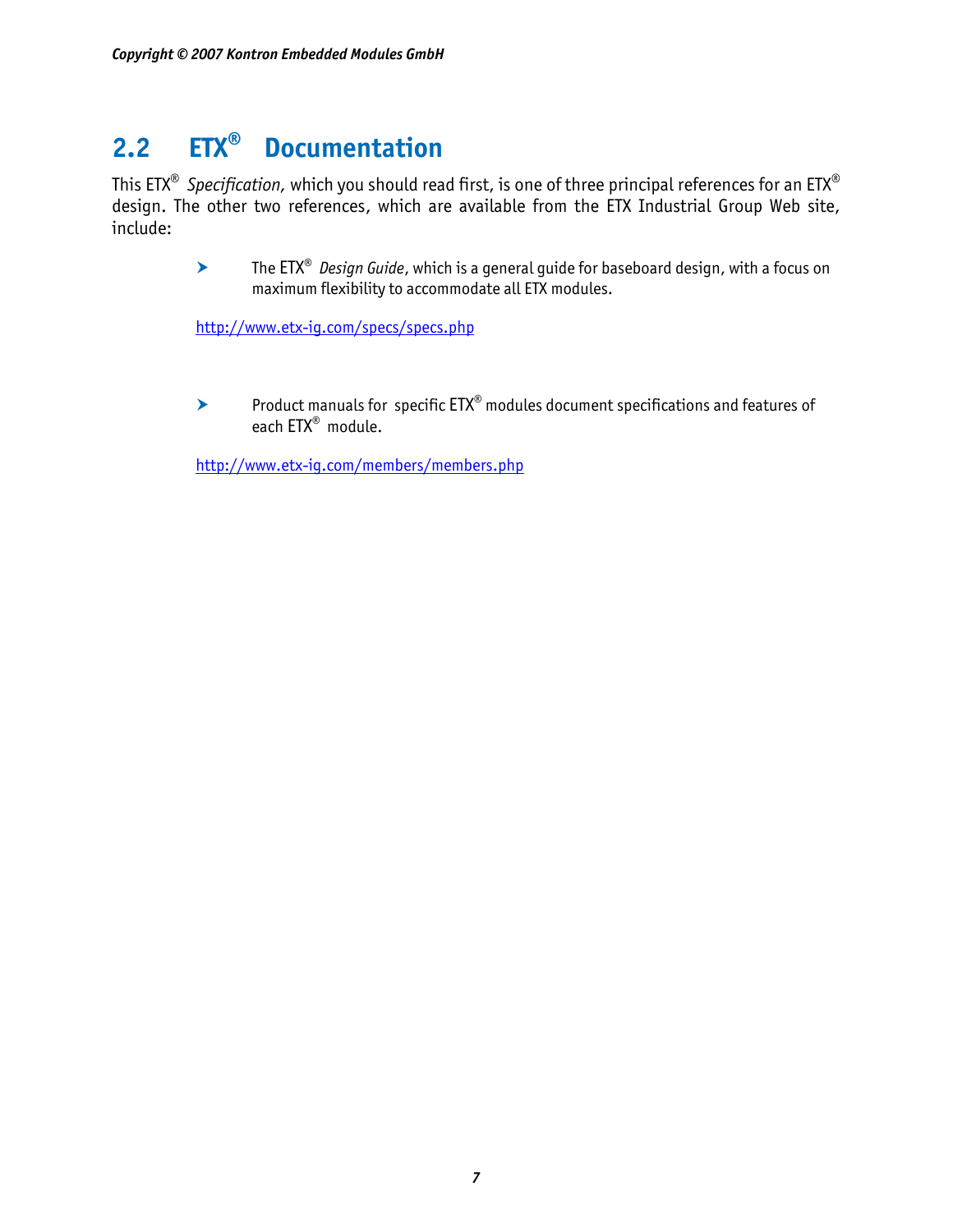# **2.2 ETX® Documentation**

This ETX® *Specification,* which you should read first, is one of three principal references for an ETX® design. The other two references, which are available from the ETX Industrial Group Web site, include:

> **▶ The ETX<sup>®</sup> Design Guide, which is a general guide for baseboard design, with a focus on** maximum flexibility to accommodate all ETX modules.

<http://www.etx-ig.com/specs/specs.php>

 $\blacktriangleright$  Product manuals for specific  $\text{ETX}^{\circledast}$  modules document specifications and features of each ETX® module.

<http://www.etx-ig.com/members/members.php>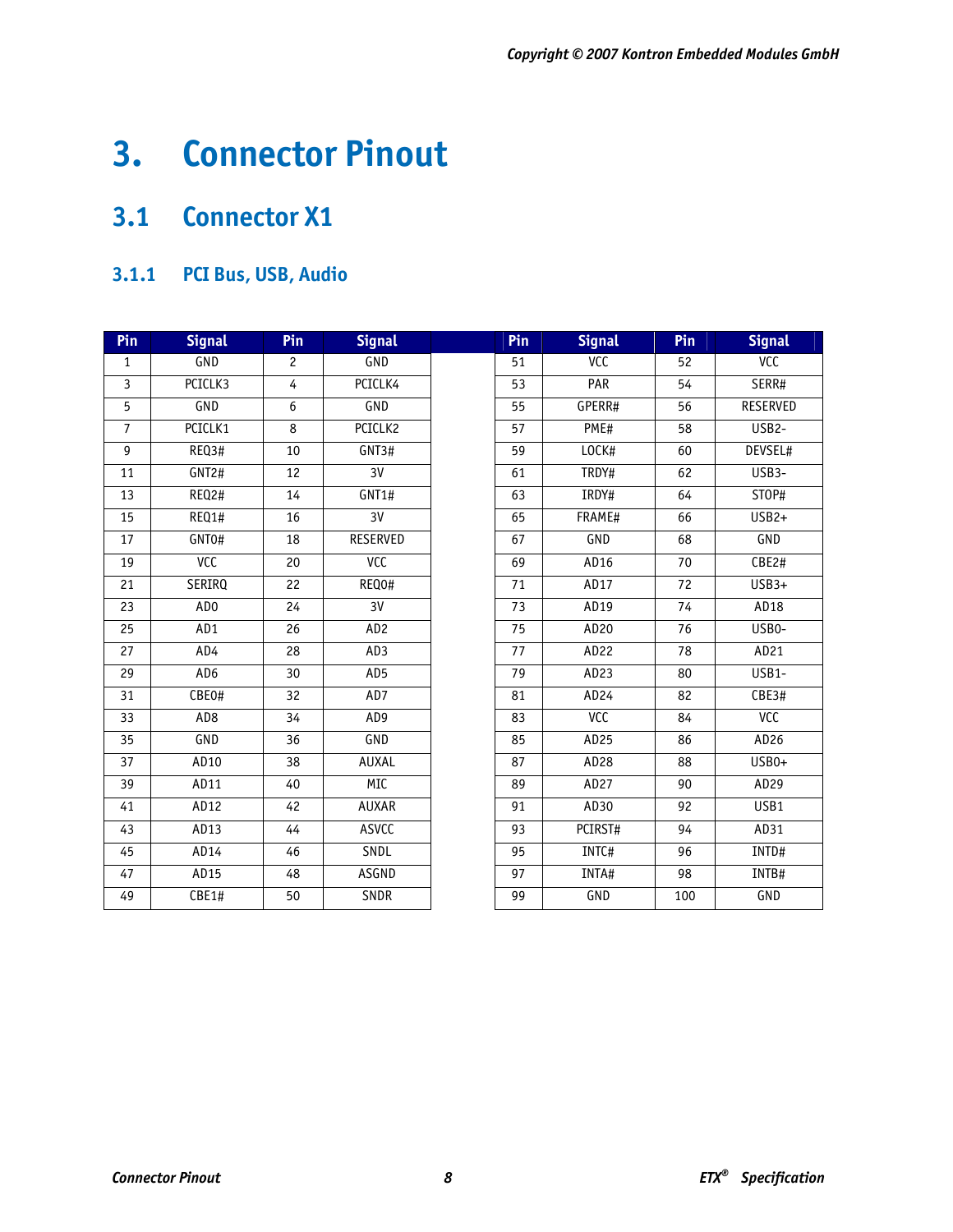# **3. Connector Pinout**

# **3.1 Connector X1**

# **3.1.1 PCI Bus, USB, Audio**

| Pin             | <b>Signal</b>   | Pin             | <b>Signal</b>   | Pin             | <b>Signal</b> | Pin             | <b>Signal</b>      |
|-----------------|-----------------|-----------------|-----------------|-----------------|---------------|-----------------|--------------------|
| 1               | GND             | 2               | GND             | 51              | <b>VCC</b>    | 52              | <b>VCC</b>         |
| $\overline{3}$  | PCICLK3         | $\overline{4}$  | PCICLK4         | 53              | PAR           | 54              | SERR#              |
| 5               | GND             | 6               | GND             | 55              | GPERR#        | 56              | RESERVED           |
| $\overline{7}$  | PCICLK1         | 8               | PCICLK2         | 57              | PME#          | 58              | USB <sub>2</sub> - |
| $\overline{9}$  | REQ3#           | 10              | GNT3#           | 59              | LOCK#         | 60              | DEVSEL#            |
| 11              | GNT2#           | 12              | 3V              | 61              | TRDY#         | 62              | USB3-              |
| $\overline{13}$ | REQ2#           | 14              | GNT1#           | 63              | IRDY#         | 64              | STOP#              |
| $\overline{15}$ | REQ1#           | 16              | 3V              | 65              | FRAME#        | 66              | $USB2+$            |
| 17              | GNT0#           | $\overline{18}$ | <b>RESERVED</b> | 67              | <b>GND</b>    | 68              | GND                |
| 19              | <b>ACC</b>      | 20              | <b>ACC</b>      | 69              | AD16          | 70              | CBE2#              |
| 21              | SERIRQ          | 22              | REQ0#           | 71              | AD17          | 72              | $USB3+$            |
| 23              | AD <sub>0</sub> | 24              | $\overline{3V}$ | 73              | AD19          | 74              | AD18               |
| 25              | AD1             | 26              | AD <sub>2</sub> | 75              | AD20          | 76              | USB0-              |
| 27              | AD4             | 28              | AD3             | 77              | AD22          | 78              | AD21               |
| 29              | AD <sub>6</sub> | 30              | AD5             | 79              | AD23          | 80              | $USB1-$            |
| $\overline{31}$ | CBE0#           | $\overline{32}$ | AD7             | 81              | AD24          | 82              | CBE3#              |
| 33              | AD <sub>8</sub> | 34              | AD9             | 83              | <b>VCC</b>    | 84              | <b>ACC</b>         |
| 35              | GND             | 36              | GND             | 85              | AD25          | 86              | AD26               |
| 37              | AD10            | 38              | <b>AUXAL</b>    | 87              | AD28          | 88              | USB0+              |
| 39              | AD11            | 40              | MIC             | 89              | AD27          | 90              | AD29               |
| 41              | AD12            | 42              | <b>AUXAR</b>    | 91              | AD30          | 92              | USB1               |
| 43              | AD13            | 44              | <b>ASVCC</b>    | 93              | PCIRST#       | 94              | AD31               |
| 45              | AD14            | 46              | SNDL            | 95              | INTC#         | 96              | INTD#              |
| 47              | AD15            | 48              | <b>ASGND</b>    | $\overline{97}$ | INTA#         | $\overline{98}$ | INTB#              |
| 49              | CBE1#           | 50              | SNDR            | 99              | GND           | 100             | GND                |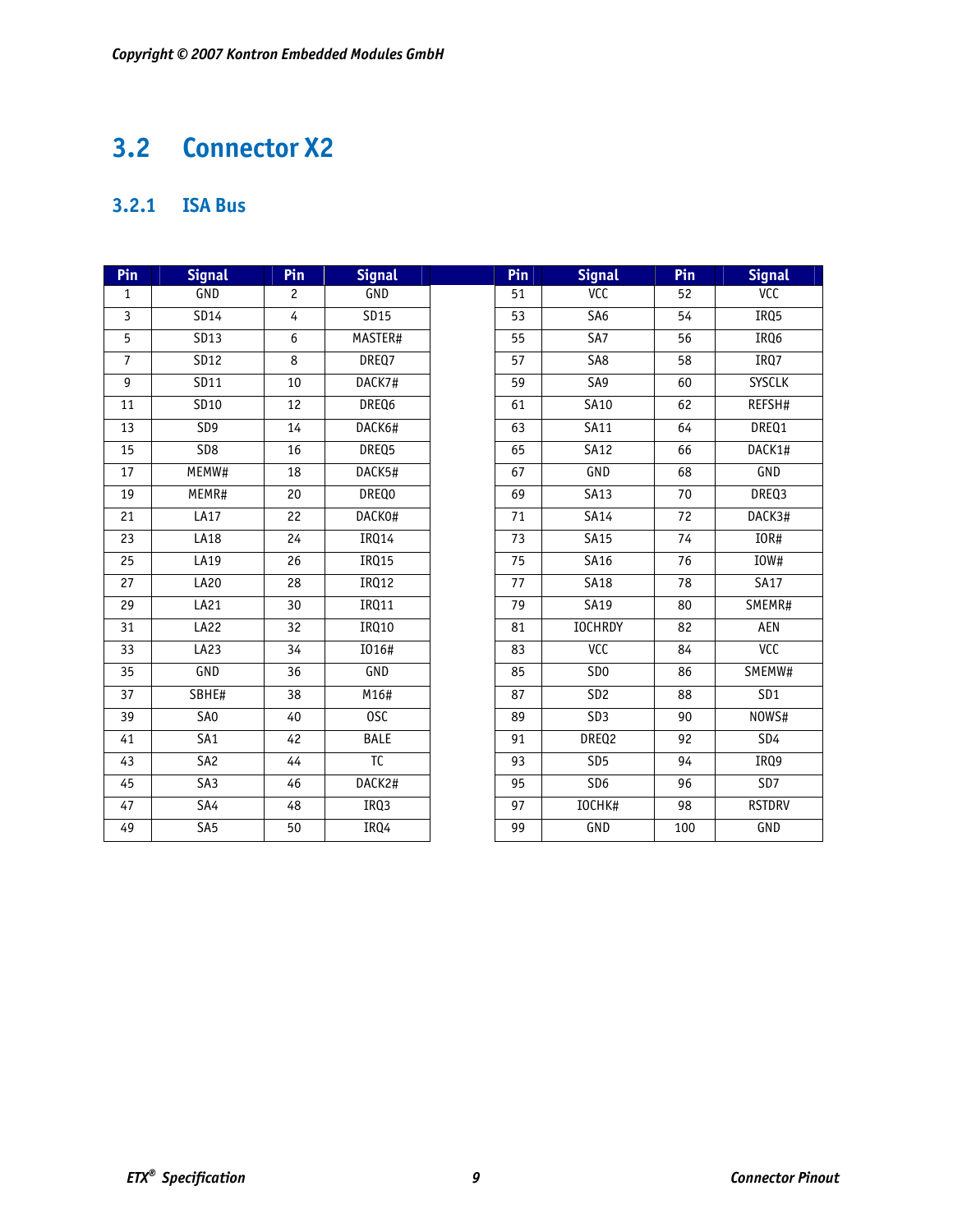# **3.2 Connector X2**

# **3.2.1 ISA Bus**

| Pin             | <b>Signal</b>   | Pin             | <b>Signal</b>          | Pin             | <b>Signal</b>    | Pin | <b>Signal</b>    |
|-----------------|-----------------|-----------------|------------------------|-----------------|------------------|-----|------------------|
| $\mathbf{1}$    | GND             | $\overline{c}$  | GND                    | 51              | VCC              | 52  | VCC              |
| $\overline{3}$  | SD14            | $\overline{4}$  | SD15                   | 53              | S <sub>A6</sub>  | 54  | IRQ <sub>5</sub> |
| 5               | SD13            | 6               | MASTER#                | 55              | $\overline{SA7}$ | 56  | IRQ6             |
| $\overline{7}$  | SD12            | 8               | DREQ7                  | 57              | SA <sub>8</sub>  | 58  | IRQ7             |
| 9               | SD11            | $\overline{10}$ | DACK7#                 | 59              | SA9              | 60  | <b>SYSCLK</b>    |
| 11              | SD10            | 12              | DREQ6                  | 61              | SA10             | 62  | REFSH#           |
| 13              | SD <sub>9</sub> | 14              | DACK6#                 | 63              | SA11             | 64  | DREQ1            |
| 15              | SD8             | 16              | DREQ5                  | 65              | <b>SA12</b>      | 66  | DACK1#           |
| 17              | MEMW#           | 18              | DACK5#                 | 67              | GND              | 68  | GND              |
| 19              | MEMR#           | 20              | DREQ0                  | 69              | <b>SA13</b>      | 70  | DREQ3            |
| 21              | LA17            | $\overline{22}$ | DACK0#                 | $\overline{71}$ | SA14             | 72  | DACK3#           |
| $\overline{23}$ | LA18            | 24              | <b>IRQ14</b>           | 73              | <b>SA15</b>      | 74  | IOR#             |
| 25              | LA19            | 26              | <b>IRQ15</b>           | 75              | SA16             | 76  | IOW#             |
| 27              | LA20            | 28              | IRQ12                  | 77              | <b>SA18</b>      | 78  | <b>SA17</b>      |
| 29              | LA21            | 30              | IRQ11                  | 79              | SA19             | 80  | SMEMR#           |
| 31              | <b>LA22</b>     | 32              | IRQ10                  | 81              | <b>IOCHRDY</b>   | 82  | AEN              |
| 33              | LA23            | $\overline{34}$ | I016#                  | 83              | <b>ACC</b>       | 84  | <b>ACC</b>       |
| 35              | GND             | 36              | GND                    | 85              | SD <sub>0</sub>  | 86  | SMEMW#           |
| 37              | SBHE#           | 38              | M16#                   | 87              | SD2              | 88  | SD1              |
| $\overline{39}$ | SA <sub>0</sub> | 40              | <b>OSC</b>             | 89              | SD3              | 90  | NOWS#            |
| 41              | SA <sub>1</sub> | 42              | <b>BALE</b>            | 91              | DREQ2            | 92  | SD4              |
| 43              | SA <sub>2</sub> | 44              | $\overline{\text{TC}}$ | 93              | SD <sub>5</sub>  | 94  | IRQ9             |
| 45              | SA3             | 46              | DACK2#                 | 95              | SD <sub>6</sub>  | 96  | SD <sub>7</sub>  |
| 47              | SA4             | 48              | IRQ3                   | 97              | IOCHK#           | 98  | <b>RSTDRV</b>    |
| 49              | SA5             | 50              | IRQ4                   | 99              | <b>GND</b>       | 100 | <b>GND</b>       |
|                 |                 |                 |                        |                 |                  |     |                  |

| Pin             | <b>Signal</b>     | Pin | <b>Signal</b>    |
|-----------------|-------------------|-----|------------------|
| 51              | VCC               | 52  | <b>VCC</b>       |
| $\overline{53}$ | SA <sub>6</sub>   | 54  | IRQ <sub>5</sub> |
| 55              | SA7               | 56  | IRQ6             |
| 57              | SA <sub>8</sub>   | 58  | IRQ7             |
| 59              | SA9               | 60  | <b>SYSCLK</b>    |
| 61              | SA10              | 62  | REFSH#           |
| 63              | SA11              | 64  | DREQ1            |
| 65              | <b>SA12</b>       | 66  | DACK1#           |
| 67              | GND               | 68  | GND              |
| 69              | $\overline{SA13}$ | 70  | DREQ3            |
| 71              | <b>SA14</b>       | 72  | DACK3#           |
| 73              | <b>SA15</b>       | 74  | IOR#             |
| $\overline{75}$ | SA16              | 76  | IOW#             |
| 77              | <b>SA18</b>       | 78  | <b>SA17</b>      |
| 79              | SA19              | 80  | SMEMR#           |
| 81              | <b>IOCHRDY</b>    | 82  | <b>AEN</b>       |
| 83              | <b>ACC</b>        | 84  | <b>ACC</b>       |
| 85              | SD <sub>0</sub>   | 86  | SMEMW#           |
| 87              | SD <sub>2</sub>   | 88  | SD <sub>1</sub>  |
| 89              | SD <sub>3</sub>   | 90  | NOWS#            |
| 91              | DREQ2             | 92  | SD4              |
| 93              | SD <sub>5</sub>   | 94  | IRQ9             |
| 95              | SD <sub>6</sub>   | 96  | SD7              |
| 97              | IOCHK#            | 98  | <b>RSTDRV</b>    |
| 99              | GND               | 100 | GND              |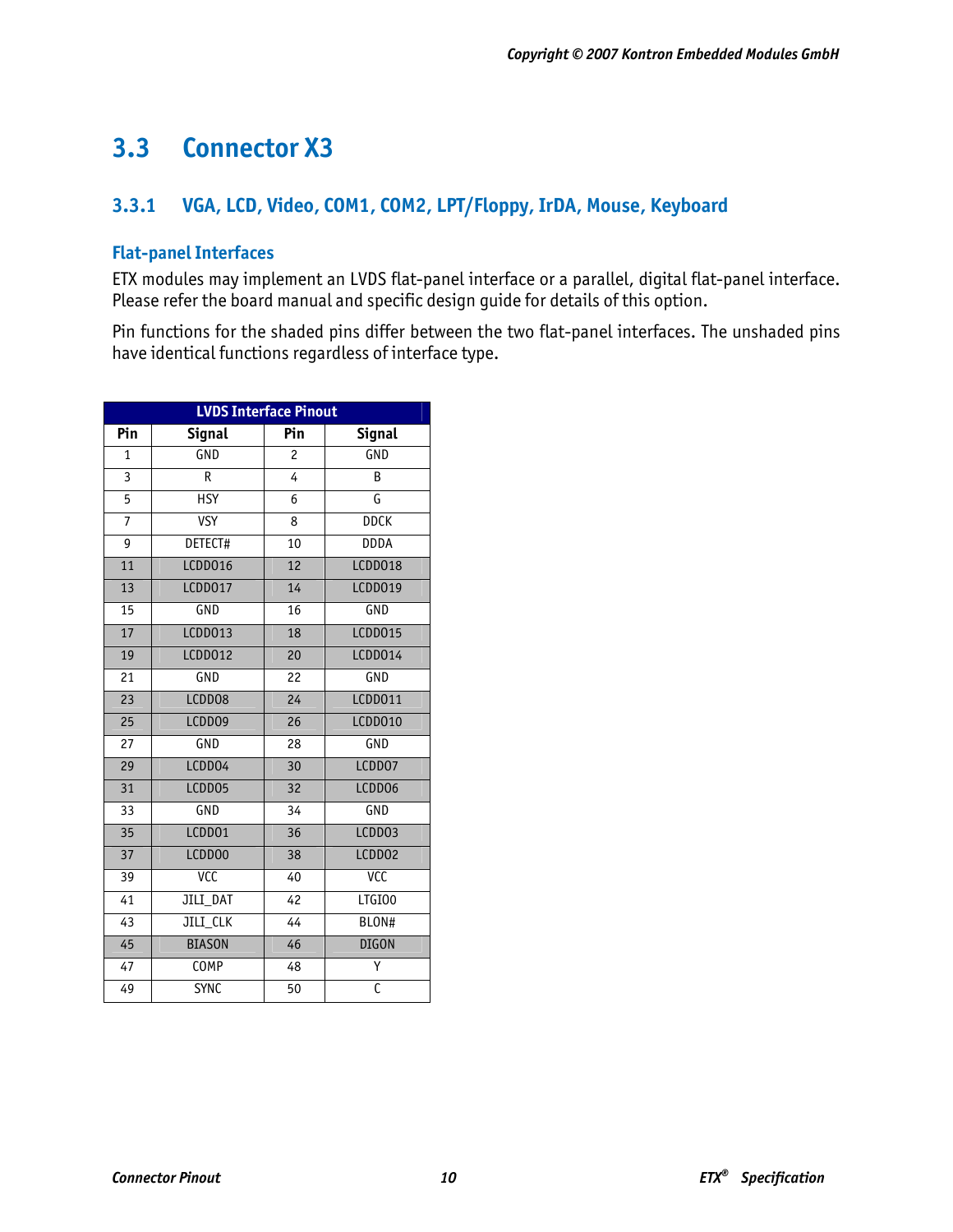# **3.3 Connector X3**

# **3.3.1 VGA, LCD, Video, COM1, COM2, LPT/Floppy, IrDA, Mouse, Keyboard**

#### **Flat-panel Interfaces**

ETX modules may implement an LVDS flat-panel interface or a parallel, digital flat-panel interface. Please refer the board manual and specific design guide for details of this option.

Pin functions for the shaded pins differ between the two flat-panel interfaces. The unshaded pins have identical functions regardless of interface type.

| <b>LVDS Interface Pinout</b> |                 |                 |                |  |  |  |
|------------------------------|-----------------|-----------------|----------------|--|--|--|
| Pin                          | <b>Signal</b>   | Pin             | <b>Signal</b>  |  |  |  |
| $\overline{1}$               | GND             | 2               | GND            |  |  |  |
| 3                            | R               | 4               | B              |  |  |  |
| 5                            | <b>HSY</b>      | 6               | G              |  |  |  |
| $\overline{7}$               | <b>VSY</b>      | 8               | <b>DDCK</b>    |  |  |  |
| 9                            | DETECT#         | 10              | <b>DDDA</b>    |  |  |  |
| 11                           | LCDD016         | 12              | LCDD018        |  |  |  |
| 13                           | LCDD017         | 14              | LCDD019        |  |  |  |
| 15                           | GND             | 16              | <b>GND</b>     |  |  |  |
| 17                           | LCDD013         | 18              | <b>LCDD015</b> |  |  |  |
| 19                           | LCDD012         | 20              | LCDD014        |  |  |  |
| 21                           | GND             | 22              | GND            |  |  |  |
| 23                           | LCDD08          | 24              | LCDD011        |  |  |  |
| $\overline{25}$              | LCDD09          | $\overline{26}$ | LCDD010        |  |  |  |
| 27                           | GND             | 28              | <b>GND</b>     |  |  |  |
| 29                           | LCDD04          | 30              | LCDD07         |  |  |  |
| $\overline{31}$              | LCDD05          | 32              | LCDD06         |  |  |  |
| 33                           | GND             | 34              | <b>GND</b>     |  |  |  |
| $\overline{35}$              | LCDD01          | $\overline{36}$ | LCDD03         |  |  |  |
| 37                           | LCDD00          | 38              | LCDD02         |  |  |  |
| 39                           | <b>ACC</b>      | 40              | <b>VCC</b>     |  |  |  |
| 41                           | <b>JILI DAT</b> | 42              | LTGIO0         |  |  |  |
| 43                           | JILI_CLK        | 44              | BLON#          |  |  |  |
| 45                           | <b>BIASON</b>   | 46              | <b>DIGON</b>   |  |  |  |
| $\overline{47}$              | <b>COMP</b>     | 48              | Υ              |  |  |  |
| 49                           | <b>SYNC</b>     | 50              | C              |  |  |  |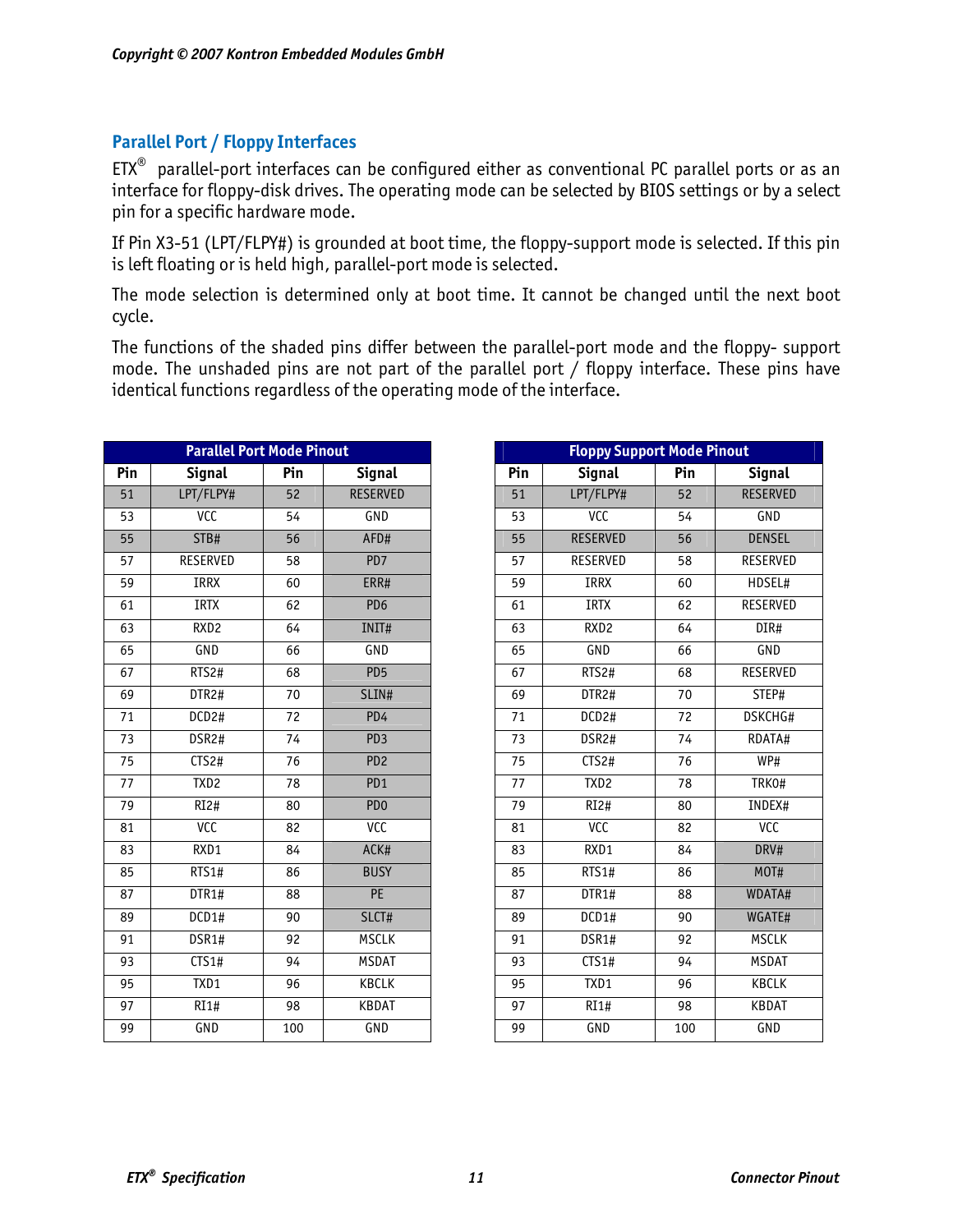## **Parallel Port / Floppy Interfaces**

 $ETX^{\otimes}$  parallel-port interfaces can be configured either as conventional PC parallel ports or as an interface for floppy-disk drives. The operating mode can be selected by BIOS settings or by a select pin for a specific hardware mode.

If Pin X3-51 (LPT/FLPY#) is grounded at boot time, the floppy-support mode is selected. If this pin is left floating or is held high, parallel-port mode is selected.

The mode selection is determined only at boot time. It cannot be changed until the next boot cycle.

The functions of the shaded pins differ between the parallel-port mode and the floppy- support mode. The unshaded pins are not part of the parallel port / floppy interface. These pins have identical functions regardless of the operating mode of the interface.

| Pin<br><b>Signal</b><br>Pin<br><b>Signal</b><br>Pin<br><b>Signal</b><br>LPT/FLPY#<br>LPT/FLPY#<br><b>RESERVED</b><br>52<br>51<br>52<br><b>GND</b><br><b>VCC</b><br><b>VCC</b><br>53<br>54<br>54<br><b>RESERVED</b><br>STB#<br>AFD#<br>56<br>55<br>56<br><b>RESERVED</b><br>PD7<br>RESERVED<br>58<br>57<br>58<br>IRRX<br>IRRX<br>60<br>ERR#<br>59<br>60<br>PD <sub>6</sub><br><b>IRTX</b><br><b>IRTX</b><br>62<br>61<br>62<br>RXD <sub>2</sub><br>RXD <sub>2</sub><br>64<br>INIT#<br>63<br>64<br>GND<br>GND<br>GND<br>66<br>65<br>66<br>PD <sub>5</sub><br>RTS2#<br>68<br>67<br>RTS2#<br>68<br>SLIN#<br>DTR2#<br>DTR2#<br>70<br>69<br>70<br>PD4<br>DCD2#<br>DCD2#<br>72<br>71<br>72<br>DSR2#<br>74<br>PD <sub>3</sub><br>73<br>74<br>DSR2#<br>CTS2#<br>PD <sub>2</sub><br>CTS2#<br>76<br>75<br>76<br>PD1<br>TXD2<br>78<br>77<br>TXD <sub>2</sub><br>78<br>PD <sub>0</sub><br>$\overline{RI2\#}$<br>RI2#<br>80<br>79<br>80<br><b>VCC</b><br><b>VCC</b><br>VCC<br>82<br>81<br>82<br>ACK#<br>RXD1<br>RXD1<br>84<br>83<br>84<br>RTS1#<br><b>BUSY</b><br>RTS1#<br>86<br>85<br>86<br>PE<br>DTR1#<br>88<br>87<br>DTR1#<br>88 |
|----------------------------------------------------------------------------------------------------------------------------------------------------------------------------------------------------------------------------------------------------------------------------------------------------------------------------------------------------------------------------------------------------------------------------------------------------------------------------------------------------------------------------------------------------------------------------------------------------------------------------------------------------------------------------------------------------------------------------------------------------------------------------------------------------------------------------------------------------------------------------------------------------------------------------------------------------------------------------------------------------------------------------------------------------------------------------------------------------------------------|
|                                                                                                                                                                                                                                                                                                                                                                                                                                                                                                                                                                                                                                                                                                                                                                                                                                                                                                                                                                                                                                                                                                                      |
|                                                                                                                                                                                                                                                                                                                                                                                                                                                                                                                                                                                                                                                                                                                                                                                                                                                                                                                                                                                                                                                                                                                      |
|                                                                                                                                                                                                                                                                                                                                                                                                                                                                                                                                                                                                                                                                                                                                                                                                                                                                                                                                                                                                                                                                                                                      |
|                                                                                                                                                                                                                                                                                                                                                                                                                                                                                                                                                                                                                                                                                                                                                                                                                                                                                                                                                                                                                                                                                                                      |
|                                                                                                                                                                                                                                                                                                                                                                                                                                                                                                                                                                                                                                                                                                                                                                                                                                                                                                                                                                                                                                                                                                                      |
|                                                                                                                                                                                                                                                                                                                                                                                                                                                                                                                                                                                                                                                                                                                                                                                                                                                                                                                                                                                                                                                                                                                      |
|                                                                                                                                                                                                                                                                                                                                                                                                                                                                                                                                                                                                                                                                                                                                                                                                                                                                                                                                                                                                                                                                                                                      |
|                                                                                                                                                                                                                                                                                                                                                                                                                                                                                                                                                                                                                                                                                                                                                                                                                                                                                                                                                                                                                                                                                                                      |
|                                                                                                                                                                                                                                                                                                                                                                                                                                                                                                                                                                                                                                                                                                                                                                                                                                                                                                                                                                                                                                                                                                                      |
|                                                                                                                                                                                                                                                                                                                                                                                                                                                                                                                                                                                                                                                                                                                                                                                                                                                                                                                                                                                                                                                                                                                      |
|                                                                                                                                                                                                                                                                                                                                                                                                                                                                                                                                                                                                                                                                                                                                                                                                                                                                                                                                                                                                                                                                                                                      |
|                                                                                                                                                                                                                                                                                                                                                                                                                                                                                                                                                                                                                                                                                                                                                                                                                                                                                                                                                                                                                                                                                                                      |
|                                                                                                                                                                                                                                                                                                                                                                                                                                                                                                                                                                                                                                                                                                                                                                                                                                                                                                                                                                                                                                                                                                                      |
|                                                                                                                                                                                                                                                                                                                                                                                                                                                                                                                                                                                                                                                                                                                                                                                                                                                                                                                                                                                                                                                                                                                      |
|                                                                                                                                                                                                                                                                                                                                                                                                                                                                                                                                                                                                                                                                                                                                                                                                                                                                                                                                                                                                                                                                                                                      |
|                                                                                                                                                                                                                                                                                                                                                                                                                                                                                                                                                                                                                                                                                                                                                                                                                                                                                                                                                                                                                                                                                                                      |
|                                                                                                                                                                                                                                                                                                                                                                                                                                                                                                                                                                                                                                                                                                                                                                                                                                                                                                                                                                                                                                                                                                                      |
|                                                                                                                                                                                                                                                                                                                                                                                                                                                                                                                                                                                                                                                                                                                                                                                                                                                                                                                                                                                                                                                                                                                      |
|                                                                                                                                                                                                                                                                                                                                                                                                                                                                                                                                                                                                                                                                                                                                                                                                                                                                                                                                                                                                                                                                                                                      |
|                                                                                                                                                                                                                                                                                                                                                                                                                                                                                                                                                                                                                                                                                                                                                                                                                                                                                                                                                                                                                                                                                                                      |
| SLCT#<br>DCD1#<br>DCD1#<br>90<br>89<br>90                                                                                                                                                                                                                                                                                                                                                                                                                                                                                                                                                                                                                                                                                                                                                                                                                                                                                                                                                                                                                                                                            |
| <b>MSCLK</b><br>DSR1#<br>91<br>DSR1#<br>92<br>92                                                                                                                                                                                                                                                                                                                                                                                                                                                                                                                                                                                                                                                                                                                                                                                                                                                                                                                                                                                                                                                                     |
| CTS1#<br><b>MSDAT</b><br>CTS1#<br>94<br>93<br>94                                                                                                                                                                                                                                                                                                                                                                                                                                                                                                                                                                                                                                                                                                                                                                                                                                                                                                                                                                                                                                                                     |
| TXD1<br><b>KBCLK</b><br>TXD1<br>96<br>95<br>96                                                                                                                                                                                                                                                                                                                                                                                                                                                                                                                                                                                                                                                                                                                                                                                                                                                                                                                                                                                                                                                                       |
| $\overline{RI1\#}$<br><b>KBDAT</b><br>$\overline{RI1\#}$<br>98<br>97<br>98                                                                                                                                                                                                                                                                                                                                                                                                                                                                                                                                                                                                                                                                                                                                                                                                                                                                                                                                                                                                                                           |
| GND<br>GND<br>GND<br>99<br>100<br>100                                                                                                                                                                                                                                                                                                                                                                                                                                                                                                                                                                                                                                                                                                                                                                                                                                                                                                                                                                                                                                                                                |

| <b>Parallel Port Mode Pinout</b> |     |                 | <b>Floppy Support Mode Pinout</b> |                    |     |                   |  |
|----------------------------------|-----|-----------------|-----------------------------------|--------------------|-----|-------------------|--|
| <b>Signal</b>                    | Pin | <b>Signal</b>   | Pin                               | <b>Signal</b>      | Pin | <b>Signal</b>     |  |
| PT/FLPY#                         | 52  | <b>RESERVED</b> | 51                                | LPT/FLPY#          | 52  | <b>RESERVED</b>   |  |
| <b>VCC</b>                       | 54  | GND             | 53                                | <b>VCC</b>         | 54  | GND               |  |
| STB#                             | 56  | AFD#            | 55                                | <b>RESERVED</b>    | 56  | <b>DENSEL</b>     |  |
| ESERVED                          | 58  | PD7             | 57                                | <b>RESERVED</b>    | 58  | <b>RESERVED</b>   |  |
| <b>IRRX</b>                      | 60  | ERR#            | 59                                | <b>IRRX</b>        | 60  | HDSEL#            |  |
| <b>IRTX</b>                      | 62  | PD <sub>6</sub> | 61                                | <b>IRTX</b>        | 62  | <b>RESERVED</b>   |  |
| RXD <sub>2</sub>                 | 64  | INIT#           | 63                                | RXD <sub>2</sub>   | 64  | $\overline{DIR#}$ |  |
| <b>GND</b>                       | 66  | GND             | 65                                | GND                | 66  | GND               |  |
| RTS2#                            | 68  | PD <sub>5</sub> | 67                                | RTS2#              | 68  | RESERVED          |  |
| DTR2#                            | 70  | SLIN#           | 69                                | DTR2#              | 70  | STEP#             |  |
| DCD <sub>2#</sub>                | 72  | PD <sub>4</sub> | 71                                | DCD <sub>2#</sub>  | 72  | DSKCHG#           |  |
| DSR2#                            | 74  | PD <sub>3</sub> | 73                                | DSR <sub>2#</sub>  | 74  | RDATA#            |  |
| CTS2#                            | 76  | PD <sub>2</sub> | 75                                | CTS2#              | 76  | WP#               |  |
| TXD <sub>2</sub>                 | 78  | PD <sub>1</sub> | 77                                | TXD <sub>2</sub>   | 78  | TRK0#             |  |
| $\overline{RI2\#}$               | 80  | PD <sub>0</sub> | 79                                | RI2#               | 80  | INDEX#            |  |
| <b>VCC</b>                       | 82  | <b>VCC</b>      | 81                                | <b>VCC</b>         | 82  | <b>VCC</b>        |  |
| RXD1                             | 84  | ACK#            | 83                                | RXD1               | 84  | DRV#              |  |
| RTS1#                            | 86  | <b>BUSY</b>     | 85                                | RTS1#              | 86  | MOT#              |  |
| DTR1#                            | 88  | PE              | 87                                | DTR1#              | 88  | WDATA#            |  |
| DCD1#                            | 90  | SLCT#           | 89                                | DCD1#              | 90  | WGATE#            |  |
| DSR1#                            | 92  | <b>MSCLK</b>    | 91                                | DSR1#              | 92  | <b>MSCLK</b>      |  |
| CTS1#                            | 94  | <b>MSDAT</b>    | 93                                | CTS1#              | 94  | <b>MSDAT</b>      |  |
| TXD1                             | 96  | <b>KBCLK</b>    | 95                                | TXD1               | 96  | <b>KBCLK</b>      |  |
| $\overline{RI1\#}$               | 98  | <b>KBDAT</b>    | 97                                | $\overline{RI1\#}$ | 98  | <b>KBDAT</b>      |  |
| <b>GND</b>                       | 100 | <b>GND</b>      | 99                                | <b>GND</b>         | 100 | <b>GND</b>        |  |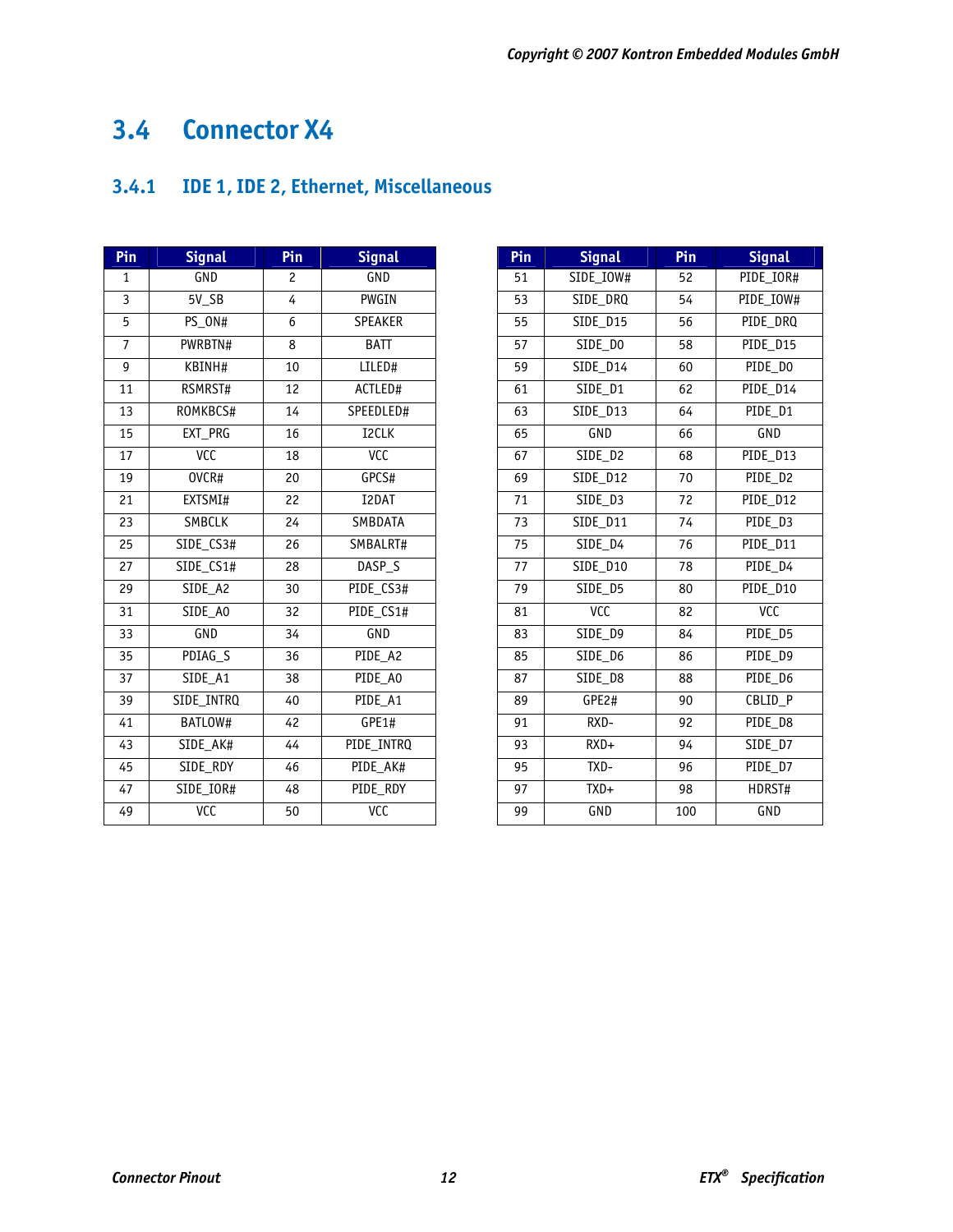# **3.4 Connector X4**

# **3.4.1 IDE 1, IDE 2, Ethernet, Miscellaneous**

| Pin             | <b>Signal</b>          | Pin            | <b>Signal</b>     | Pin | <b>Signal</b>   | Pin | <b>Signal</b> |
|-----------------|------------------------|----------------|-------------------|-----|-----------------|-----|---------------|
| 1               | GND                    | $\overline{c}$ | GND               | 51  | SIDE_IOW#       | 52  | PIDE_IOR#     |
| 3               | $5V$ <sub>_</sub> $SB$ | 4              | <b>PWGIN</b>      | 53  | SIDE_DRQ        | 54  | PIDE_IOW#     |
| 5               | PS_ON#                 | 6              | <b>SPEAKER</b>    | 55  | <b>SIDE D15</b> | 56  | PIDE_DRQ      |
| $\overline{7}$  | PWRBTN#                | $\overline{8}$ | <b>BATT</b>       | 57  | SIDE DO         | 58  | PIDE D15      |
| 9               | KBINH#                 | 10             | LILED#            | 59  | <b>SIDE D14</b> | 60  | PIDE_DO       |
| 11              | RSMRST#                | 12             | ACTLED#           | 61  | SIDE_D1         | 62  | PIDE_D14      |
| 13              | ROMKBCS#               | 14             | SPEEDLED#         | 63  | SIDE_D13        | 64  | PIDE_D1       |
| 15              | EXT_PRG                | 16             | I2CLK             | 65  | GND             | 66  | GND           |
| 17              | VCC                    | 18             | <b>ACC</b>        | 67  | SIDE D2         | 68  | PIDE D13      |
| 19              | OVCR#                  | 20             | GPCS#             | 69  | SIDE_D12        | 70  | PIDE_D2       |
| $\overline{21}$ | EXTSMI#                | 22             | I2DAT             | 71  | SIDE D3         | 72  | PIDE D12      |
| 23              | SMBCLK                 | 24             | SMBDATA           | 73  | SIDE D11        | 74  | PIDE D3       |
| 25              | SIDE_CS3#              | 26             | SMBALRT#          | 75  | SIDE_D4         | 76  | PIDE_D11      |
| 27              | SIDE_CS1#              | 28             | DASP <sub>S</sub> | 77  | SIDE_D10        | 78  | PIDE D4       |
| 29              | SIDE_A2                | 30             | PIDE_CS3#         | 79  | SIDE_D5         | 80  | PIDE D10      |
| 31              | SIDE_A0                | 32             | PIDE_CS1#         | 81  | <b>ACC</b>      | 82  | <b>VCC</b>    |
| 33              | GND                    | 34             | GND               | 83  | SIDE D9         | 84  | PIDE_D5       |
| 35              | PDIAG_S                | 36             | PIDE_A2           | 85  | SIDE_D6         | 86  | PIDE_D9       |
| 37              | SIDE A1                | 38             | PIDE A0           | 87  | SIDE D8         | 88  | PIDE D6       |
| 39              | SIDE INTRQ             | 40             | PIDE A1           | 89  | GPE2#           | 90  | CBLID P       |
| 41              | BATLOW#                | 42             | GPE1#             | 91  | RXD-            | 92  | PIDE_D8       |
| 43              | SIDE AK#               | 44             | PIDE INTRQ        | 93  | $RXD+$          | 94  | SIDE_D7       |
| 45              | SIDE RDY               | 46             | PIDE AK#          | 95  | TXD-            | 96  | PIDE D7       |
| 47              | SIDE_IOR#              | 48             | PIDE RDY          | 97  | $TXD+$          | 98  | HDRST#        |
| 49              | <b>ACC</b>             | 50             | <b>VCC</b>        | 99  | GND             | 100 | GND           |

| Pin | <b>Signal</b>        | Pin | <b>Signal</b> |
|-----|----------------------|-----|---------------|
| 51  | SIDE_IOW#            | 52  | PIDE_IOR#     |
| 53  | SIDE DRQ             | 54  | PIDE_IOW#     |
| 55  | <b>SIDE D15</b>      | 56  | PIDE_DRQ      |
| 57  | SIDE DO              | 58  | PIDE D15      |
| 59  | SIDE D14             | 60  | $PIDE_DO$     |
| 61  | SIDE_D1              | 62  | PIDE_D14      |
| 63  | SIDE_D13             | 64  | PIDE D1       |
| 65  | <b>GND</b>           | 66  | <b>GND</b>    |
| 67  | SIDE D2              | 68  | PIDE_D13      |
| 69  | SIDE D12             | 70  | PIDE D2       |
| 71  | SIDE D3              | 72  | PIDE D12      |
| 73  | SIDE D11             | 74  | PIDE D3       |
| 75  | SIDE_D4              | 76  | PIDE_D11      |
| 77  | SIDE D10             | 78  | PIDE D4       |
| 79  | SIDE D5              | 80  | PIDE D10      |
| 81  | <b>VCC</b>           | 82  | VCC           |
| 83  | SIDE D9              | 84  | PIDE D5       |
| 85  | $\overline{SIDE}$ D6 | 86  | PIDE D9       |
| 87  | SIDE D8              | 88  | PIDE D6       |
| 89  | GPE2#                | 90  | CBLID P       |
| 91  | RXD-                 | 92  | PIDE D8       |
| 93  | $RXD+$               | 94  | SIDE D7       |
| 95  | TXD-                 | 96  | PIDE D7       |
| 97  | $TXD+$               | 98  | HDRST#        |
| 99  | <b>GND</b>           | 100 | GND           |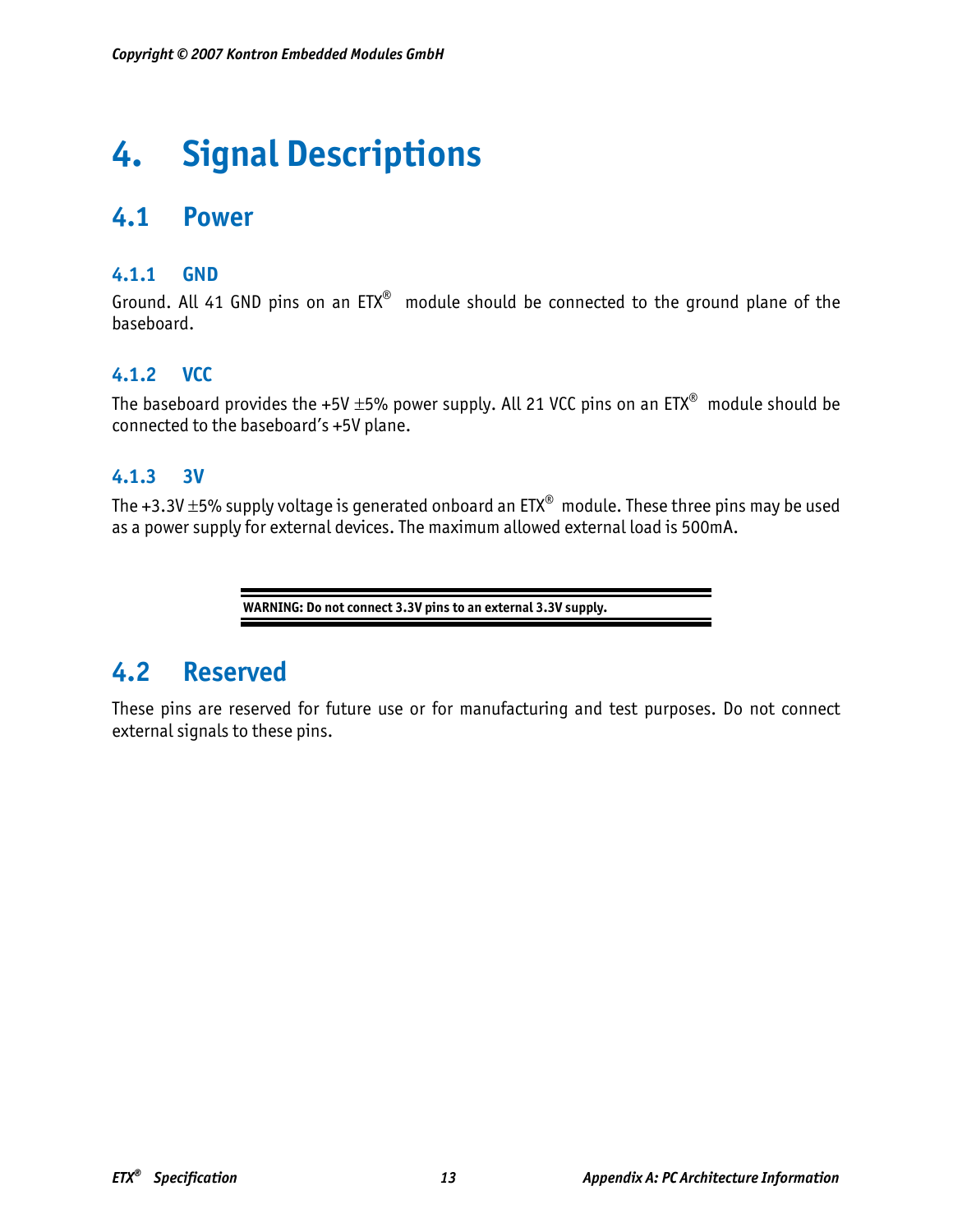# **4. Signal Descriptions**

# **4.1 Power**

## **4.1.1 GND**

Ground. All 41 GND pins on an ETX® module should be connected to the ground plane of the baseboard.

# **4.1.2 VCC**

The baseboard provides the +5V  $\pm$ 5% power supply. All 21 VCC pins on an ETX<sup>®</sup> module should be connected to the baseboard's +5V plane.

# **4.1.3 3V**

The +3.3V  $\pm$ 5% supply voltage is generated onboard an ETX<sup>®</sup> module. These three pins may be used as a power supply for external devices. The maximum allowed external load is 500mA.

**WARNING: Do not connect 3.3V pins to an external 3.3V supply.** 

# **4.2 Reserved**

These pins are reserved for future use or for manufacturing and test purposes. Do not connect external signals to these pins.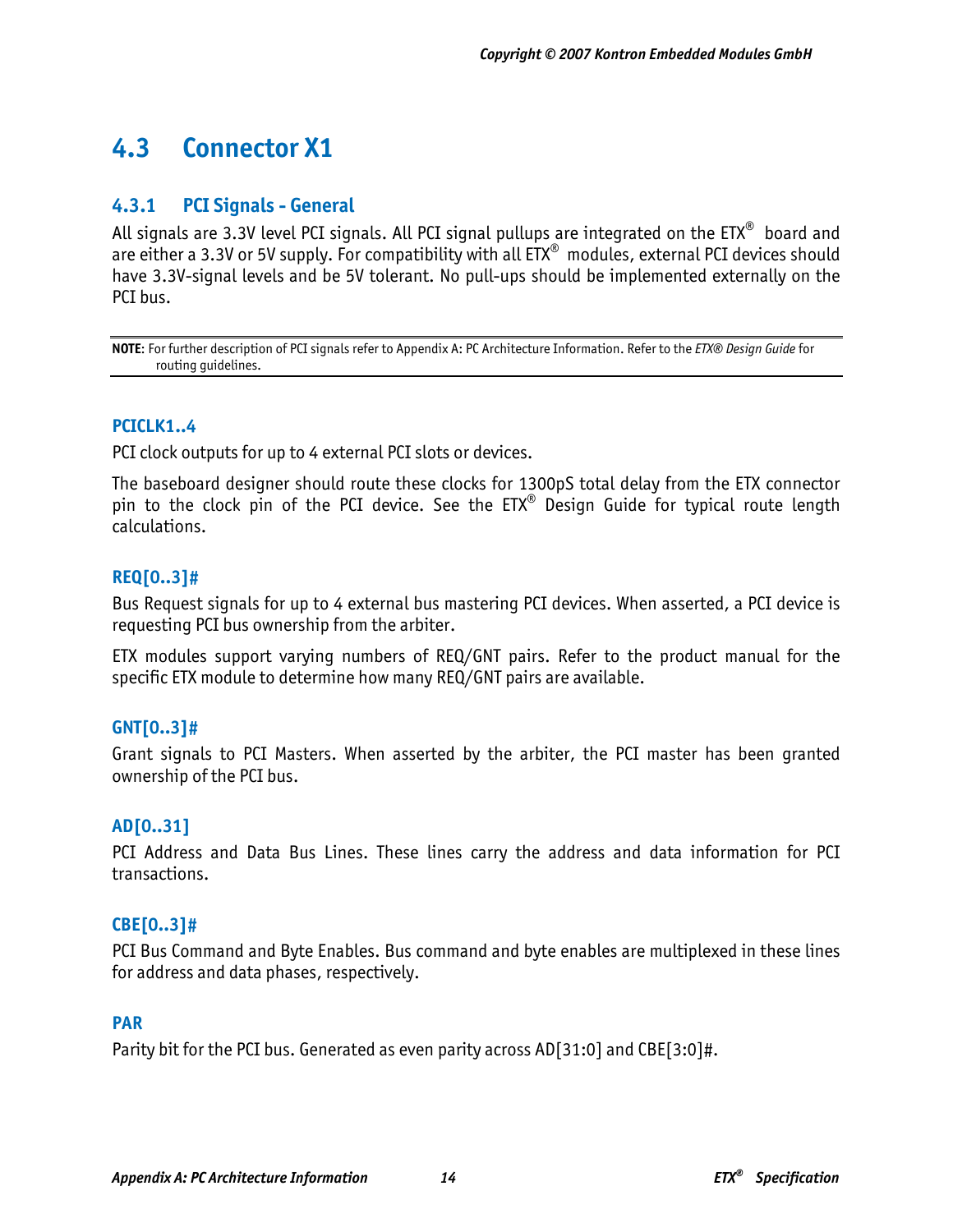# **4.3 Connector X1**

## **4.3.1 PCI Signals - General**

All signals are 3.3V level PCI signals. All PCI signal pullups are integrated on the ETX<sup>®</sup> board and are either a 3.3V or 5V supply. For compatibility with all ETX<sup>®</sup> modules, external PCI devices should have 3.3V-signal levels and be 5V tolerant. No pull-ups should be implemented externally on the PCI bus.

**NOTE**: For further description of PCI signals refer to Appendix A: PC Architecture Information. Refer to the *ETX® Design Guide* for routing guidelines.

### **PCICLK1..4**

PCI clock outputs for up to 4 external PCI slots or devices.

The baseboard designer should route these clocks for 1300pS total delay from the ETX connector pin to the clock pin of the PCI device. See the ETX<sup>®</sup> Design Guide for typical route length calculations.

#### **REQ[0..3]#**

Bus Request signals for up to 4 external bus mastering PCI devices. When asserted, a PCI device is requesting PCI bus ownership from the arbiter.

ETX modules support varying numbers of REQ/GNT pairs. Refer to the product manual for the specific ETX module to determine how many REQ/GNT pairs are available.

#### **GNT[0..3]#**

Grant signals to PCI Masters. When asserted by the arbiter, the PCI master has been granted ownership of the PCI bus.

#### **AD[0..31]**

PCI Address and Data Bus Lines. These lines carry the address and data information for PCI transactions.

#### **CBE[0..3]#**

PCI Bus Command and Byte Enables. Bus command and byte enables are multiplexed in these lines for address and data phases, respectively.

#### **PAR**

Parity bit for the PCI bus. Generated as even parity across AD[31:0] and CBE[3:0]#.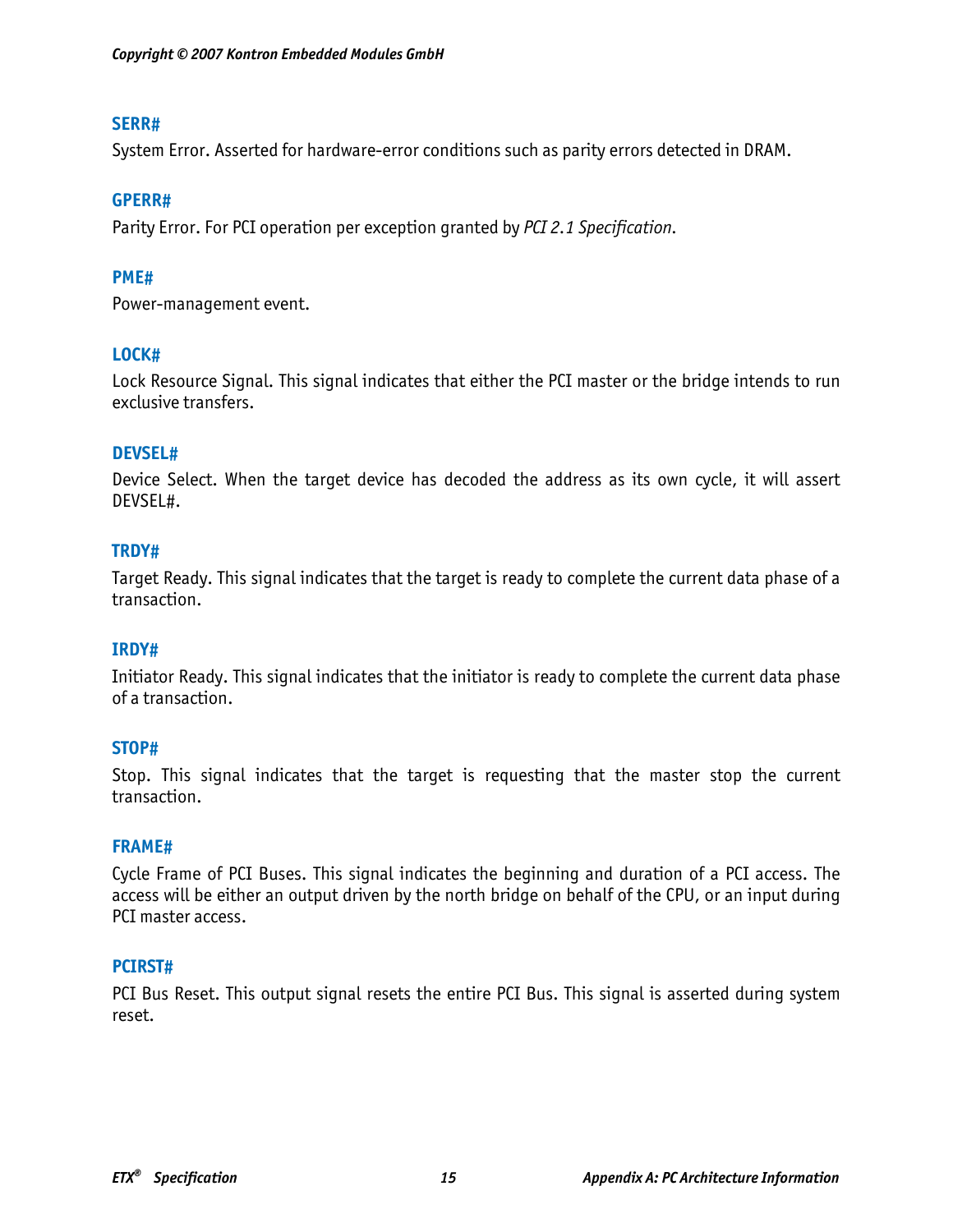#### **SERR#**

System Error. Asserted for hardware-error conditions such as parity errors detected in DRAM.

#### **GPERR#**

Parity Error. For PCI operation per exception granted by *PCI 2.1 Specification.*

#### **PME#**

Power-management event.

#### **LOCK#**

Lock Resource Signal. This signal indicates that either the PCI master or the bridge intends to run exclusive transfers.

#### **DEVSEL#**

Device Select. When the target device has decoded the address as its own cycle, it will assert DEVSEL#.

#### **TRDY#**

Target Ready. This signal indicates that the target is ready to complete the current data phase of a transaction.

#### **IRDY#**

Initiator Ready. This signal indicates that the initiator is ready to complete the current data phase of a transaction.

#### **STOP#**

Stop. This signal indicates that the target is requesting that the master stop the current transaction.

#### **FRAME#**

Cycle Frame of PCI Buses. This signal indicates the beginning and duration of a PCI access. The access will be either an output driven by the north bridge on behalf of the CPU, or an input during PCI master access.

#### **PCIRST#**

PCI Bus Reset. This output signal resets the entire PCI Bus. This signal is asserted during system reset.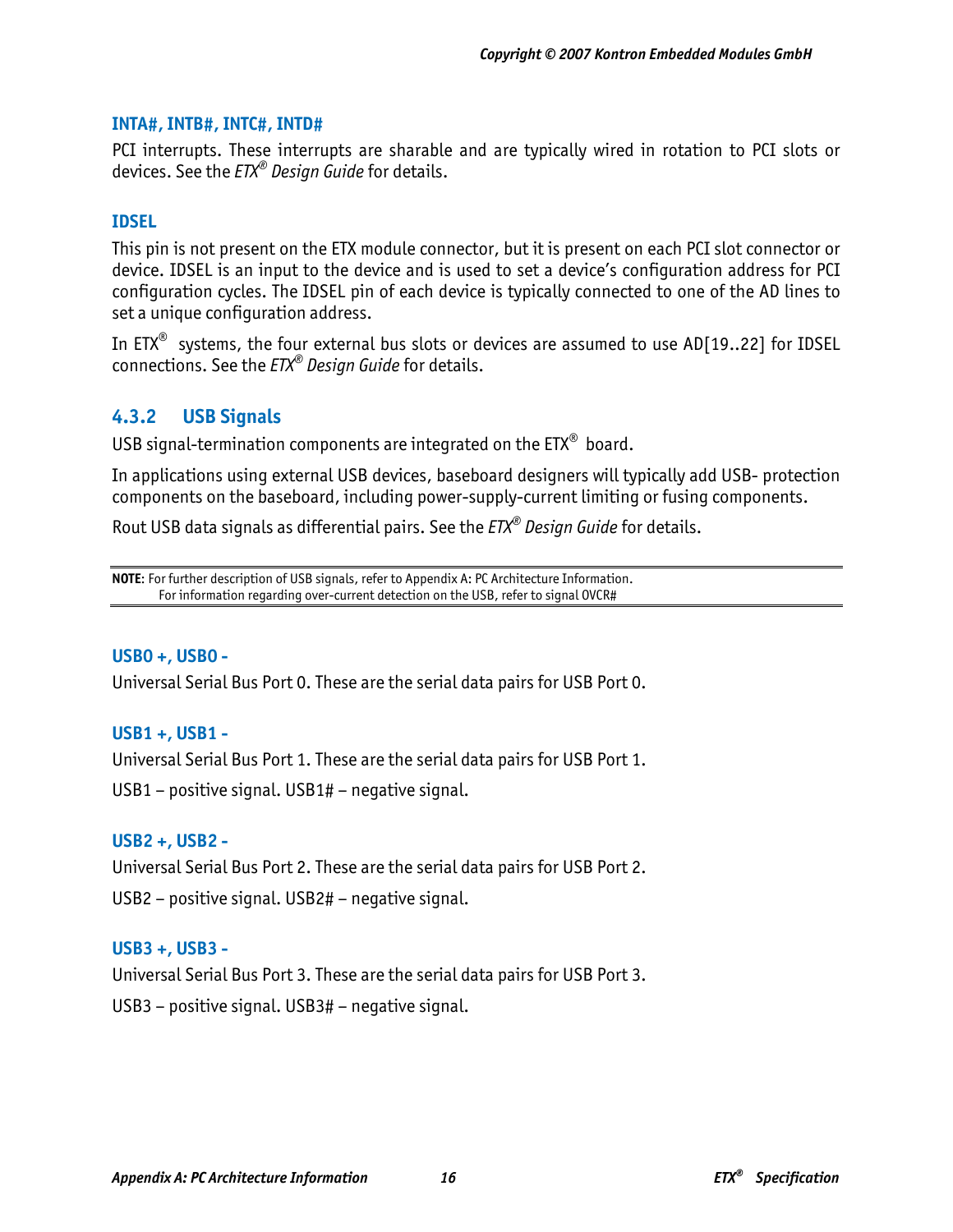#### **INTA#, INTB#, INTC#, INTD#**

PCI interrupts. These interrupts are sharable and are typically wired in rotation to PCI slots or devices. See the *ETX® Design Guide* for details.

#### **IDSEL**

This pin is not present on the ETX module connector, but it is present on each PCI slot connector or device. IDSEL is an input to the device and is used to set a device's configuration address for PCI configuration cycles. The IDSEL pin of each device is typically connected to one of the AD lines to set a unique configuration address.

In ETX<sup>®</sup> systems, the four external bus slots or devices are assumed to use AD[19..22] for IDSEL connections. See the *ETX® Design Guide* for details.

## **4.3.2 USB Signals**

USB signal-termination components are integrated on the ETX® board.

In applications using external USB devices, baseboard designers will typically add USB- protection components on the baseboard, including power-supply-current limiting or fusing components.

Rout USB data signals as differential pairs. See the *ETX® Design Guide* for details.

**NOTE**: For further description of USB signals, refer to Appendix A: PC Architecture Information. For information regarding over-current detection on the USB, refer to signal OVCR#

#### **USB0 +, USB0 -**

Universal Serial Bus Port 0. These are the serial data pairs for USB Port 0.

#### **USB1 +, USB1 -**

Universal Serial Bus Port 1. These are the serial data pairs for USB Port 1.

USB1 – positive signal. USB1# – negative signal.

#### **USB2 +, USB2 -**

Universal Serial Bus Port 2. These are the serial data pairs for USB Port 2. USB2 – positive signal. USB2# – negative signal.

#### **USB3 +, USB3 -**

Universal Serial Bus Port 3. These are the serial data pairs for USB Port 3. USB3 – positive signal. USB3# – negative signal.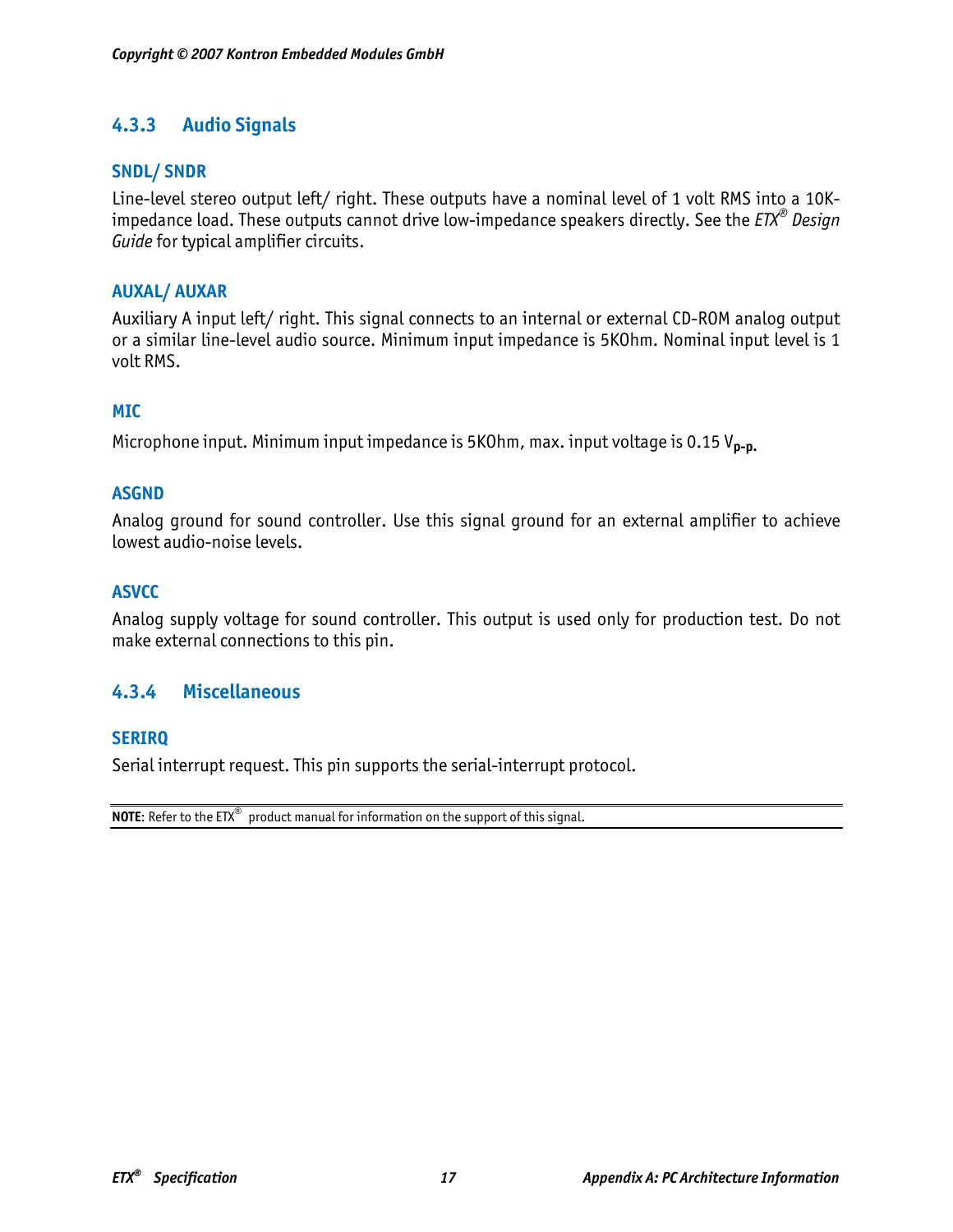# **4.3.3 Audio Signals**

#### **SNDL/ SNDR**

Line-level stereo output left/ right. These outputs have a nominal level of 1 volt RMS into a 10Kimpedance load. These outputs cannot drive low-impedance speakers directly. See the *ETX® Design Guide* for typical amplifier circuits.

### **AUXAL/ AUXAR**

Auxiliary A input left/ right. This signal connects to an internal or external CD-ROM analog output or a similar line-level audio source. Minimum input impedance is 5KOhm. Nominal input level is 1 volt RMS.

#### **MIC**

Microphone input. Minimum input impedance is 5KOhm, max. input voltage is 0.15 V**p-p.**

#### **ASGND**

Analog ground for sound controller. Use this signal ground for an external amplifier to achieve lowest audio-noise levels.

#### **ASVCC**

Analog supply voltage for sound controller. This output is used only for production test. Do not make external connections to this pin.

## **4.3.4 Miscellaneous**

#### **SERIRQ**

Serial interrupt request. This pin supports the serial-interrupt protocol.

**NOTE:** Refer to the  $ETX^{\odot}$  product manual for information on the support of this signal.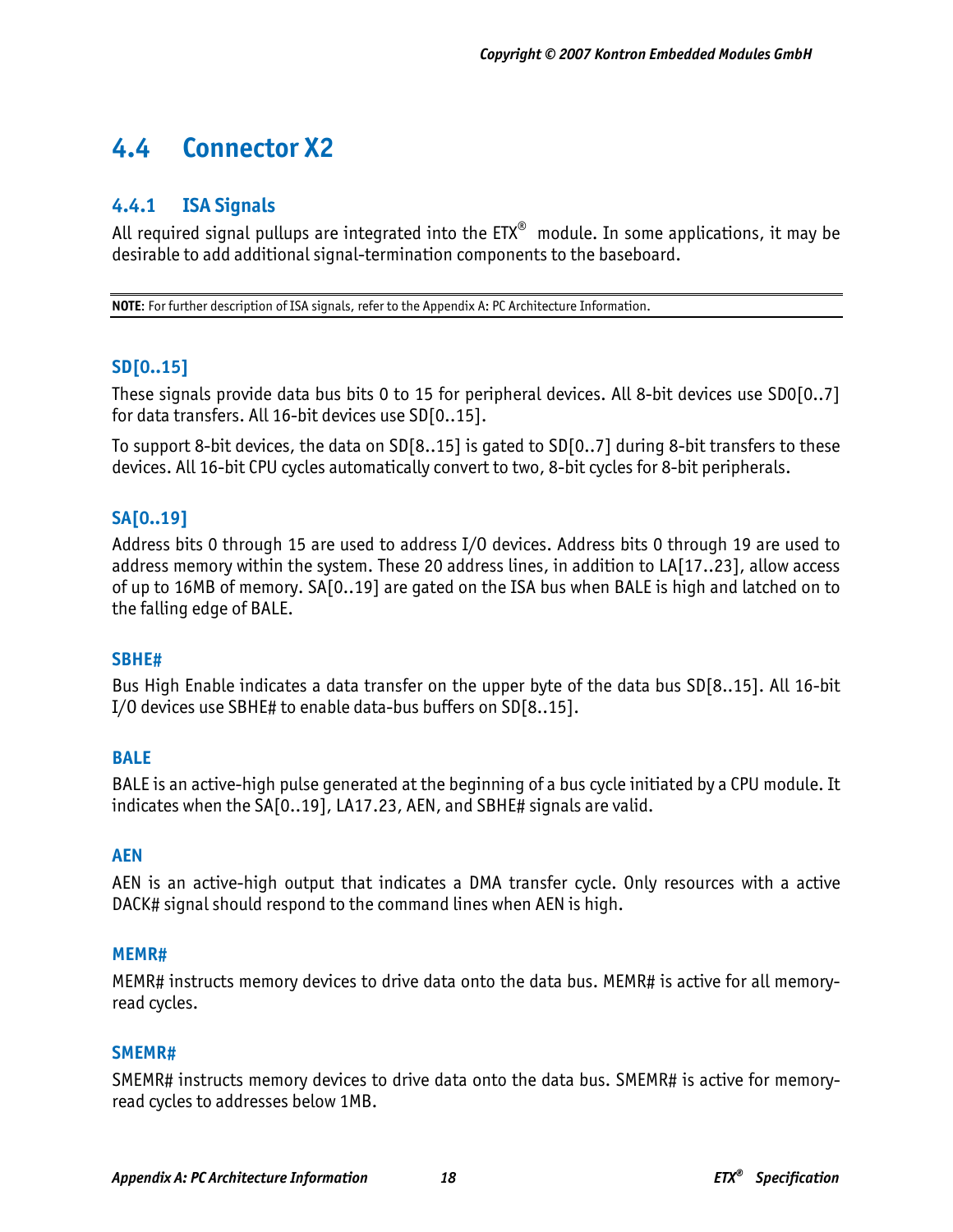# **4.4 Connector X2**

## **4.4.1 ISA Signals**

All required signal pullups are integrated into the  $ETX^{\circledast}$  module. In some applications, it may be desirable to add additional signal-termination components to the baseboard.

**NOTE**: For further description of ISA signals, refer to the Appendix A: PC Architecture Information.

### **SD[0..15]**

These signals provide data bus bits 0 to 15 for peripheral devices. All 8-bit devices use SD0[0..7] for data transfers. All 16-bit devices use SD[0..15].

To support 8-bit devices, the data on SD[8..15] is gated to SD[0..7] during 8-bit transfers to these devices. All 16-bit CPU cycles automatically convert to two, 8-bit cycles for 8-bit peripherals.

### **SA[0..19]**

Address bits 0 through 15 are used to address I/O devices. Address bits 0 through 19 are used to address memory within the system. These 20 address lines, in addition to LA[17..23], allow access of up to 16MB of memory. SA[0..19] are gated on the ISA bus when BALE is high and latched on to the falling edge of BALE.

#### **SBHE#**

Bus High Enable indicates a data transfer on the upper byte of the data bus SD[8..15]. All 16-bit I/O devices use SBHE# to enable data-bus buffers on SD[8..15].

#### **BALE**

BALE is an active-high pulse generated at the beginning of a bus cycle initiated by a CPU module. It indicates when the SA[0..19], LA17.23, AEN, and SBHE# signals are valid.

#### **AEN**

AEN is an active-high output that indicates a DMA transfer cycle. Only resources with a active DACK# signal should respond to the command lines when AEN is high.

#### **MEMR#**

MEMR# instructs memory devices to drive data onto the data bus. MEMR# is active for all memoryread cycles.

#### **SMEMR#**

SMEMR# instructs memory devices to drive data onto the data bus. SMEMR# is active for memoryread cycles to addresses below 1MB.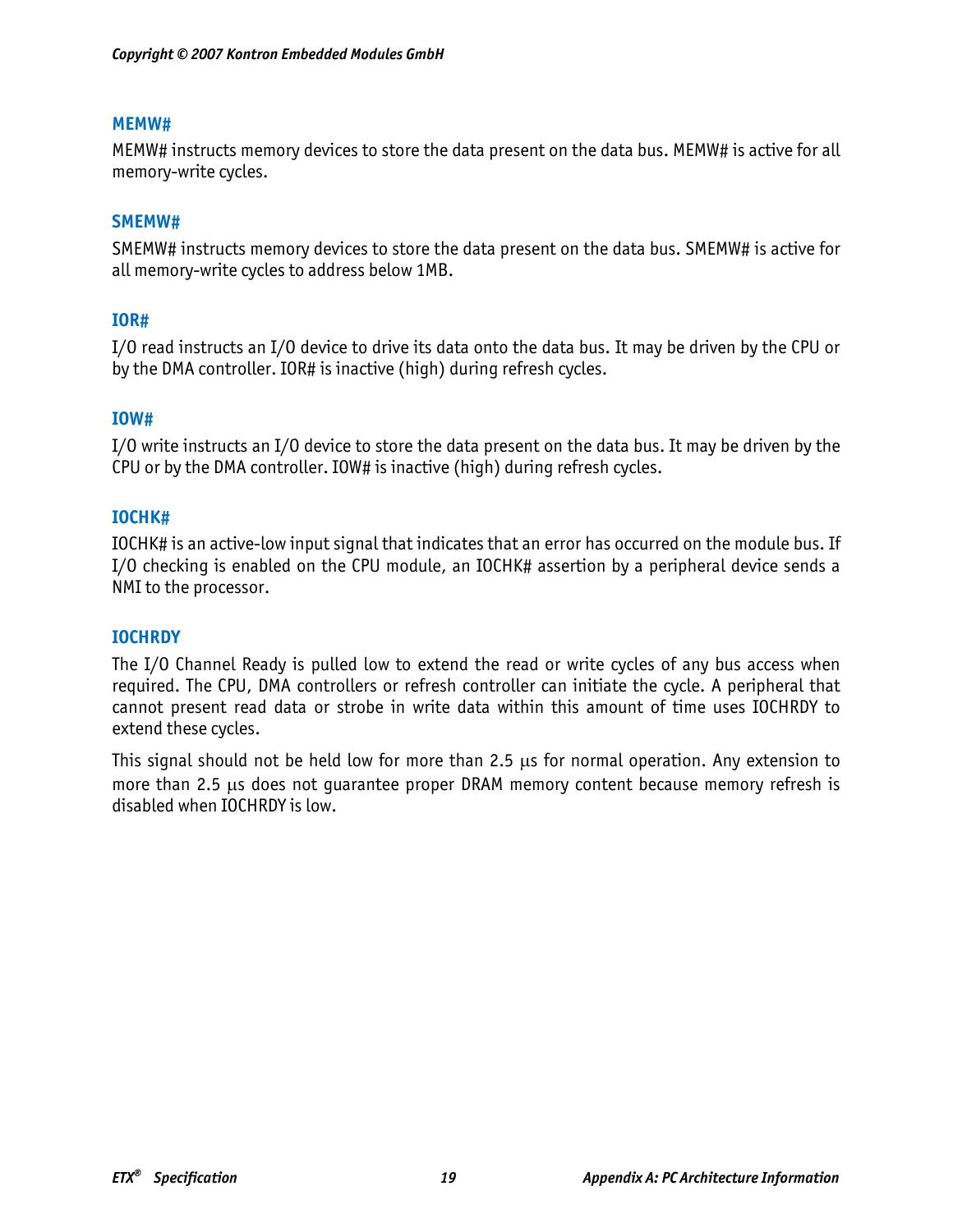#### **MEMW#**

MEMW# instructs memory devices to store the data present on the data bus. MEMW# is active for all memory-write cycles.

#### **SMEMW#**

SMEMW# instructs memory devices to store the data present on the data bus. SMEMW# is active for all memory-write cycles to address below 1MB.

#### **IOR#**

I/O read instructs an I/O device to drive its data onto the data bus. It may be driven by the CPU or by the DMA controller. IOR# is inactive (high) during refresh cycles.

#### **IOW#**

I/O write instructs an I/O device to store the data present on the data bus. It may be driven by the CPU or by the DMA controller. IOW# is inactive (high) during refresh cycles.

#### **IOCHK#**

IOCHK# is an active-low input signal that indicates that an error has occurred on the module bus. If I/O checking is enabled on the CPU module, an IOCHK# assertion by a peripheral device sends a NMI to the processor.

#### **IOCHRDY**

The I/O Channel Ready is pulled low to extend the read or write cycles of any bus access when required. The CPU, DMA controllers or refresh controller can initiate the cycle. A peripheral that cannot present read data or strobe in write data within this amount of time uses IOCHRDY to extend these cycles.

This signal should not be held low for more than 2.5 μs for normal operation. Any extension to more than 2.5 μs does not guarantee proper DRAM memory content because memory refresh is disabled when IOCHRDY is low.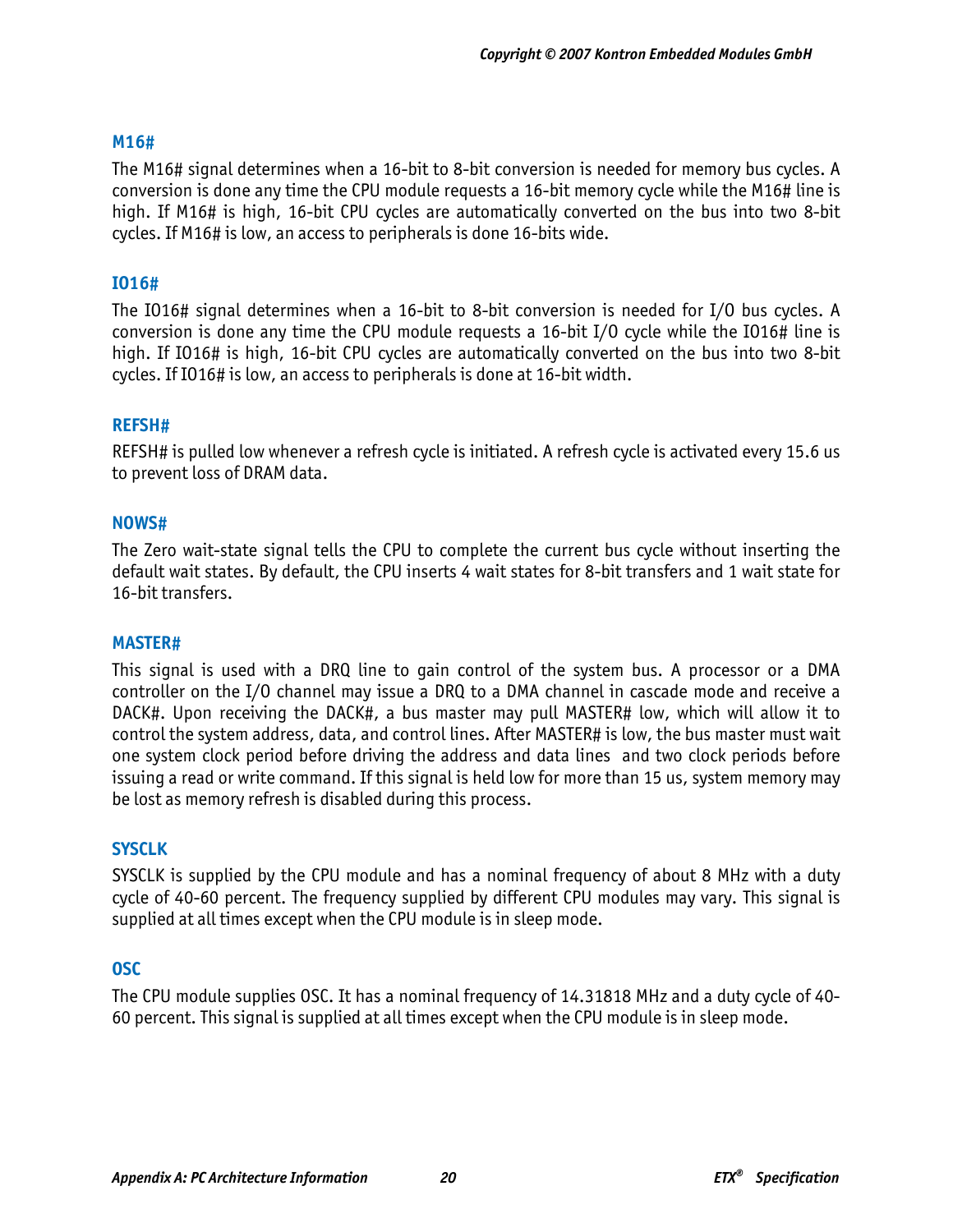#### **M16#**

The M16# signal determines when a 16-bit to 8-bit conversion is needed for memory bus cycles. A conversion is done any time the CPU module requests a 16-bit memory cycle while the M16# line is high. If M16# is high, 16-bit CPU cycles are automatically converted on the bus into two 8-bit cycles. If M16# is low, an access to peripherals is done 16-bits wide.

#### **IO16#**

The IO16# signal determines when a 16-bit to 8-bit conversion is needed for I/O bus cycles. A conversion is done any time the CPU module requests a 16-bit I/O cycle while the IO16# line is high. If IO16# is high, 16-bit CPU cycles are automatically converted on the bus into two 8-bit cycles. If IO16# is low, an access to peripherals is done at 16-bit width.

#### **REFSH#**

REFSH# is pulled low whenever a refresh cycle is initiated. A refresh cycle is activated every 15.6 us to prevent loss of DRAM data.

#### **NOWS#**

The Zero wait-state signal tells the CPU to complete the current bus cycle without inserting the default wait states. By default, the CPU inserts 4 wait states for 8-bit transfers and 1 wait state for 16-bit transfers.

#### **MASTER#**

This signal is used with a DRQ line to gain control of the system bus. A processor or a DMA controller on the I/O channel may issue a DRQ to a DMA channel in cascade mode and receive a DACK#. Upon receiving the DACK#, a bus master may pull MASTER# low, which will allow it to control the system address, data, and control lines. After MASTER# is low, the bus master must wait one system clock period before driving the address and data lines and two clock periods before issuing a read or write command. If this signal is held low for more than 15 us, system memory may be lost as memory refresh is disabled during this process.

#### **SYSCLK**

SYSCLK is supplied by the CPU module and has a nominal frequency of about 8 MHz with a duty cycle of 40-60 percent. The frequency supplied by different CPU modules may vary. This signal is supplied at all times except when the CPU module is in sleep mode.

#### **OSC**

The CPU module supplies OSC. It has a nominal frequency of 14.31818 MHz and a duty cycle of 40- 60 percent. This signal is supplied at all times except when the CPU module is in sleep mode.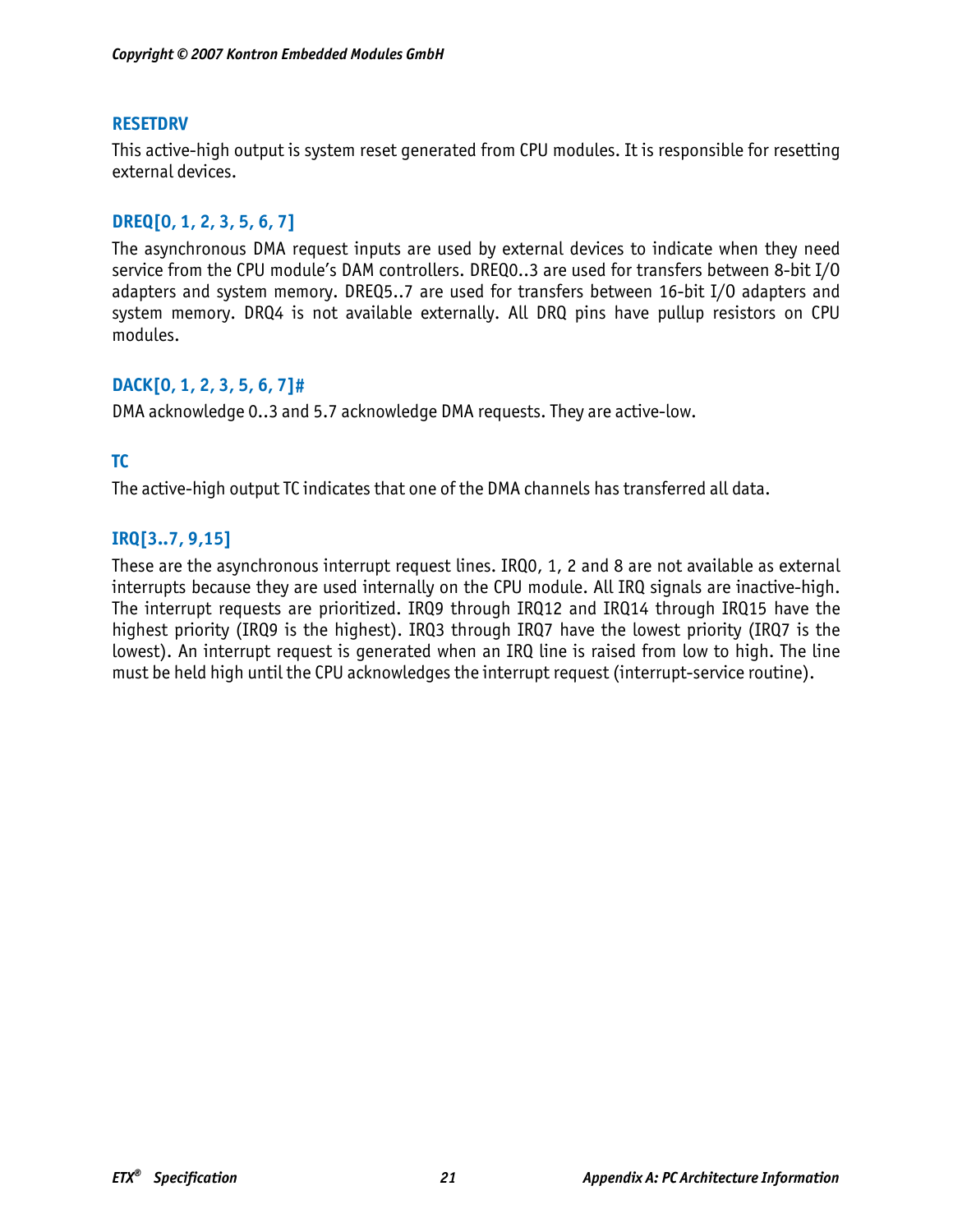#### **RESETDRV**

This active-high output is system reset generated from CPU modules. It is responsible for resetting external devices.

## **DREQ[0, 1, 2, 3, 5, 6, 7]**

The asynchronous DMA request inputs are used by external devices to indicate when they need service from the CPU module's DAM controllers. DREQ0..3 are used for transfers between 8-bit I/O adapters and system memory. DREQ5..7 are used for transfers between 16-bit I/O adapters and system memory. DRQ4 is not available externally. All DRQ pins have pullup resistors on CPU modules.

## **DACK[0, 1, 2, 3, 5, 6, 7]#**

DMA acknowledge 0..3 and 5.7 acknowledge DMA requests. They are active-low.

## **TC**

The active-high output TC indicates that one of the DMA channels has transferred all data.

## **IRQ[3..7, 9,15]**

These are the asynchronous interrupt request lines. IRQ0, 1, 2 and 8 are not available as external interrupts because they are used internally on the CPU module. All IRQ signals are inactive-high. The interrupt requests are prioritized. IRQ9 through IRQ12 and IRQ14 through IRQ15 have the highest priority (IRQ9 is the highest). IRQ3 through IRQ7 have the lowest priority (IRQ7 is the lowest). An interrupt request is generated when an IRQ line is raised from low to high. The line must be held high until the CPU acknowledges the interrupt request (interrupt-service routine).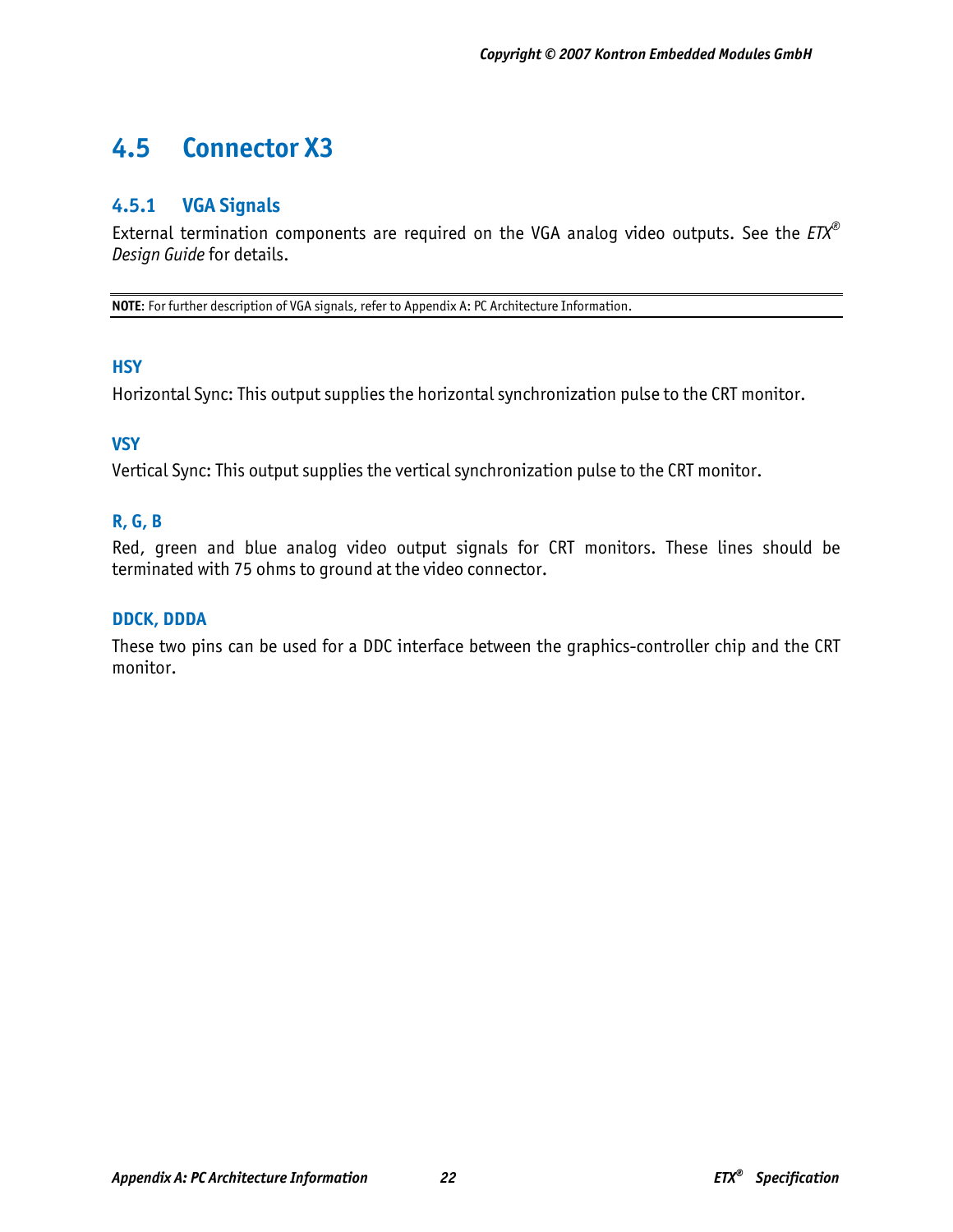# **4.5 Connector X3**

# **4.5.1 VGA Signals**

External termination components are required on the VGA analog video outputs. See the *ETX® Design Guide* for details.

**NOTE**: For further description of VGA signals, refer to Appendix A: PC Architecture Information.

#### **HSY**

Horizontal Sync: This output supplies the horizontal synchronization pulse to the CRT monitor.

#### **VSY**

Vertical Sync: This output supplies the vertical synchronization pulse to the CRT monitor.

### **R, G, B**

Red, green and blue analog video output signals for CRT monitors. These lines should be terminated with 75 ohms to ground at the video connector.

#### **DDCK, DDDA**

These two pins can be used for a DDC interface between the graphics-controller chip and the CRT monitor.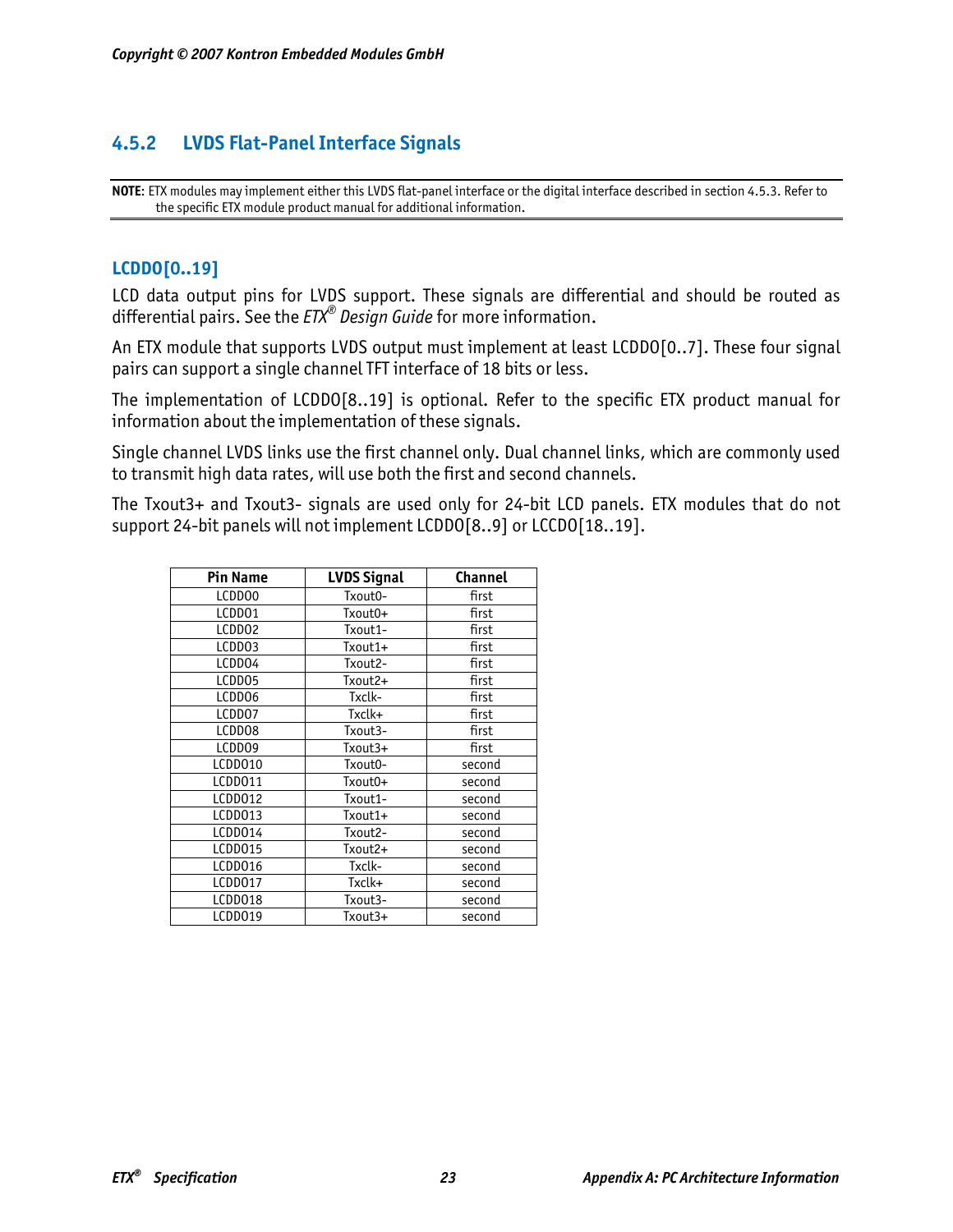# **4.5.2 LVDS Flat-Panel Interface Signals**

**NOTE**: ETX modules may implement either this LVDS flat-panel interface or the digital interface described in section 4.5.3. Refer to the specific ETX module product manual for additional information.

#### **LCDDO[0..19]**

LCD data output pins for LVDS support. These signals are differential and should be routed as differential pairs. See the *ETX® Design Guide* for more information.

An ETX module that supports LVDS output must implement at least LCDDO[0..7]. These four signal pairs can support a single channel TFT interface of 18 bits or less.

The implementation of LCDDO[8..19] is optional. Refer to the specific ETX product manual for information about the implementation of these signals.

Single channel LVDS links use the first channel only. Dual channel links, which are commonly used to transmit high data rates, will use both the first and second channels.

The Txout3+ and Txout3- signals are used only for 24-bit LCD panels. ETX modules that do not support 24-bit panels will not implement LCDDO[8..9] or LCCDO[18..19].

| <b>Pin Name</b> | <b>LVDS Signal</b> | <b>Channel</b> |
|-----------------|--------------------|----------------|
| LCDD00          | Txout0-            | first          |
| LCDD01          | Txout0+            | first          |
| LCDD02          | Txout1-            | first          |
| LCDD03          | Txout1+            | first          |
| LCDD04          | Txout2-            | first          |
| LCDD05          | Txout2+            | first          |
| LCDD06          | Txclk-             | first          |
| LCDD07          | Txclk+             | first          |
| LCDD08          | Txout3-            | first          |
| LCDD09          | Txout3+            | first          |
| LCDD010         | Txout0-            | second         |
| LCDD011         | Txout0+            | second         |
| LCDD012         | Txout1-            | second         |
| LCDD013         | Txout1+            | second         |
| LCDD014         | Txout2-            | second         |
| LCDD015         | Txout2+            | second         |
| LCDD016         | Txclk-             | second         |
| LCDD017         | Txclk+             | second         |
| LCDD018         | Txout3-            | second         |
| LCDD019         | Txout3+            | second         |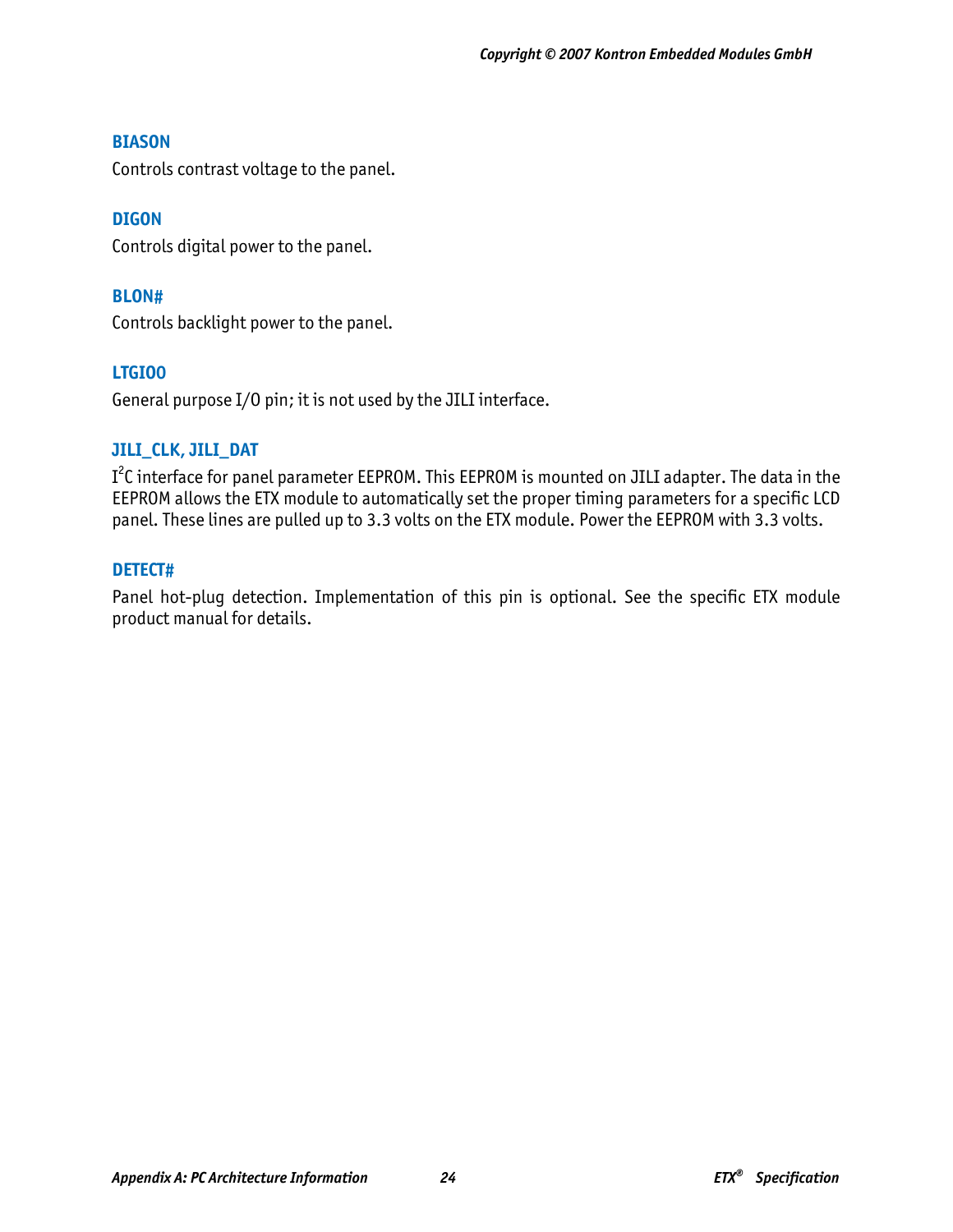#### **BIASON**

Controls contrast voltage to the panel.

### **DIGON**

Controls digital power to the panel.

#### **BLON#**

Controls backlight power to the panel.

### **LTGIO0**

General purpose I/O pin; it is not used by the JILI interface.

### **JILI\_CLK, JILI\_DAT**

I<sup>2</sup>C interface for panel parameter EEPROM. This EEPROM is mounted on JILI adapter. The data in the EEPROM allows the ETX module to automatically set the proper timing parameters for a specific LCD panel. These lines are pulled up to 3.3 volts on the ETX module. Power the EEPROM with 3.3 volts.

### **DETECT#**

Panel hot-plug detection. Implementation of this pin is optional. See the specific ETX module product manual for details.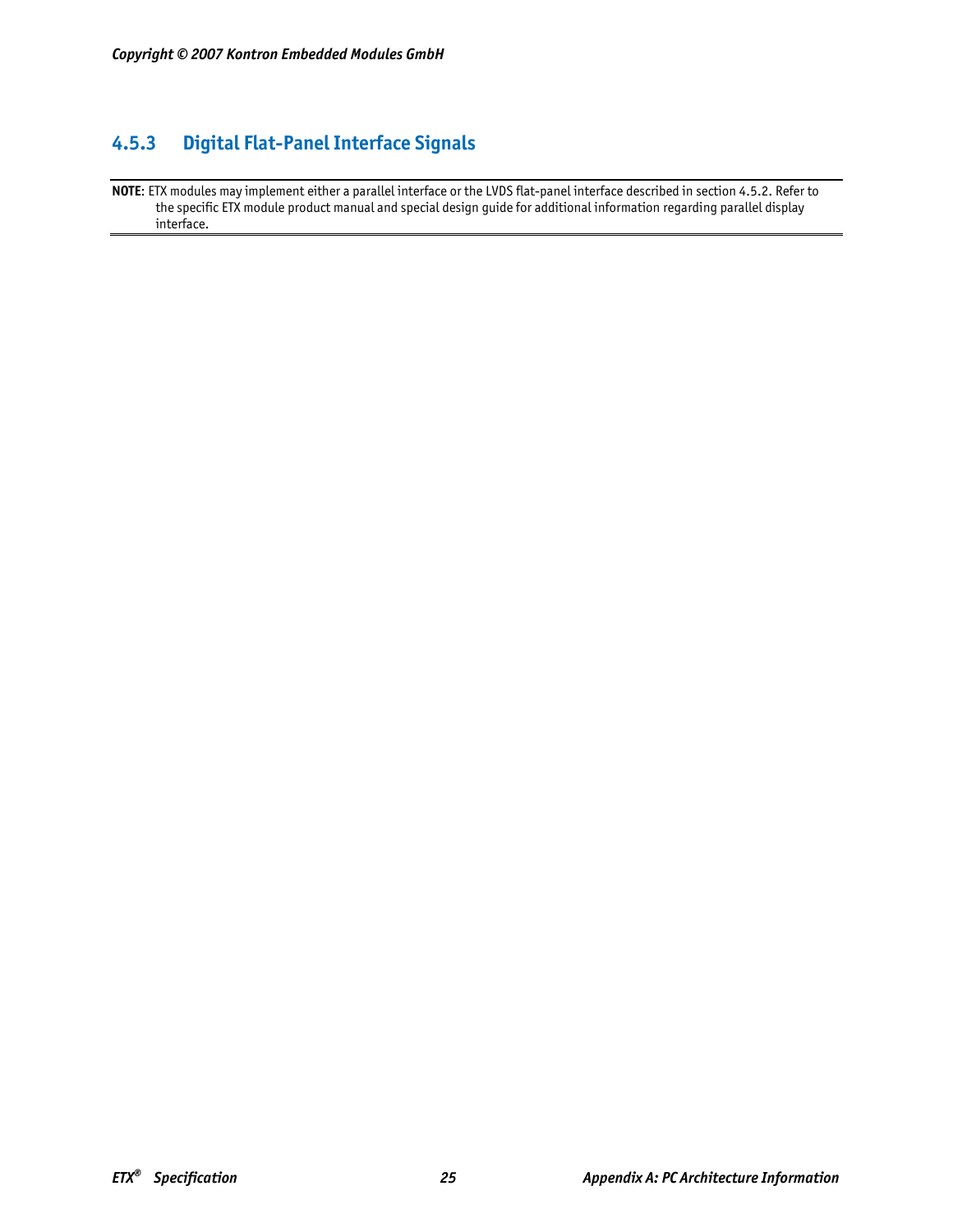# **4.5.3 Digital Flat-Panel Interface Signals**

**NOTE**: ETX modules may implement either a parallel interface or the LVDS flat-panel interface described in section 4.5.2. Refer to the specific ETX module product manual and special design guide for additional information regarding parallel display interface.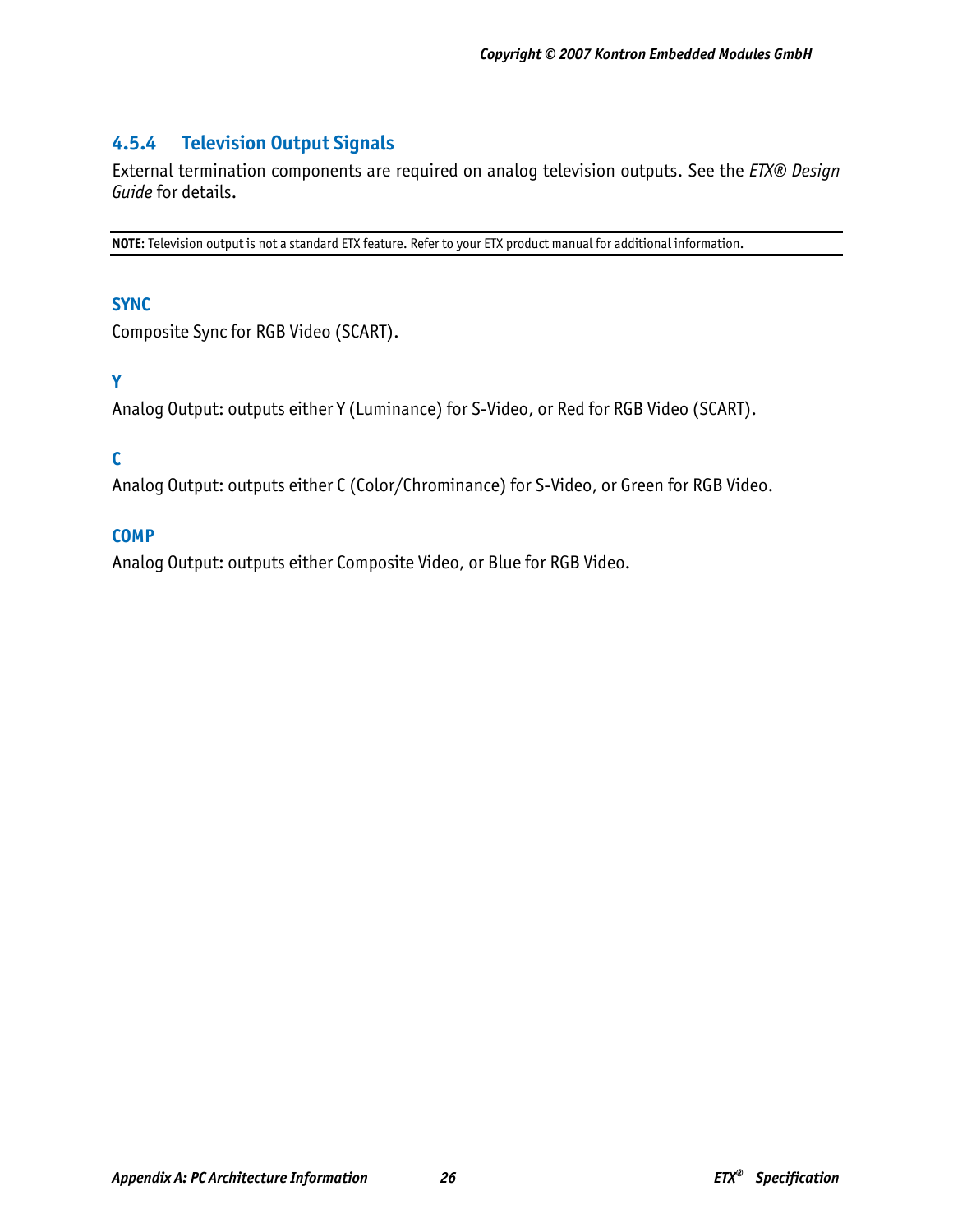# **4.5.4 Television Output Signals**

External termination components are required on analog television outputs. See the *ETX® Design Guide* for details.

**NOTE**: Television output is not a standard ETX feature. Refer to your ETX product manual for additional information.

#### **SYNC**

Composite Sync for RGB Video (SCART).

## **Y**

Analog Output: outputs either Y (Luminance) for S-Video, or Red for RGB Video (SCART).

## **C**

Analog Output: outputs either C (Color/Chrominance) for S-Video, or Green for RGB Video.

#### **COMP**

Analog Output: outputs either Composite Video, or Blue for RGB Video.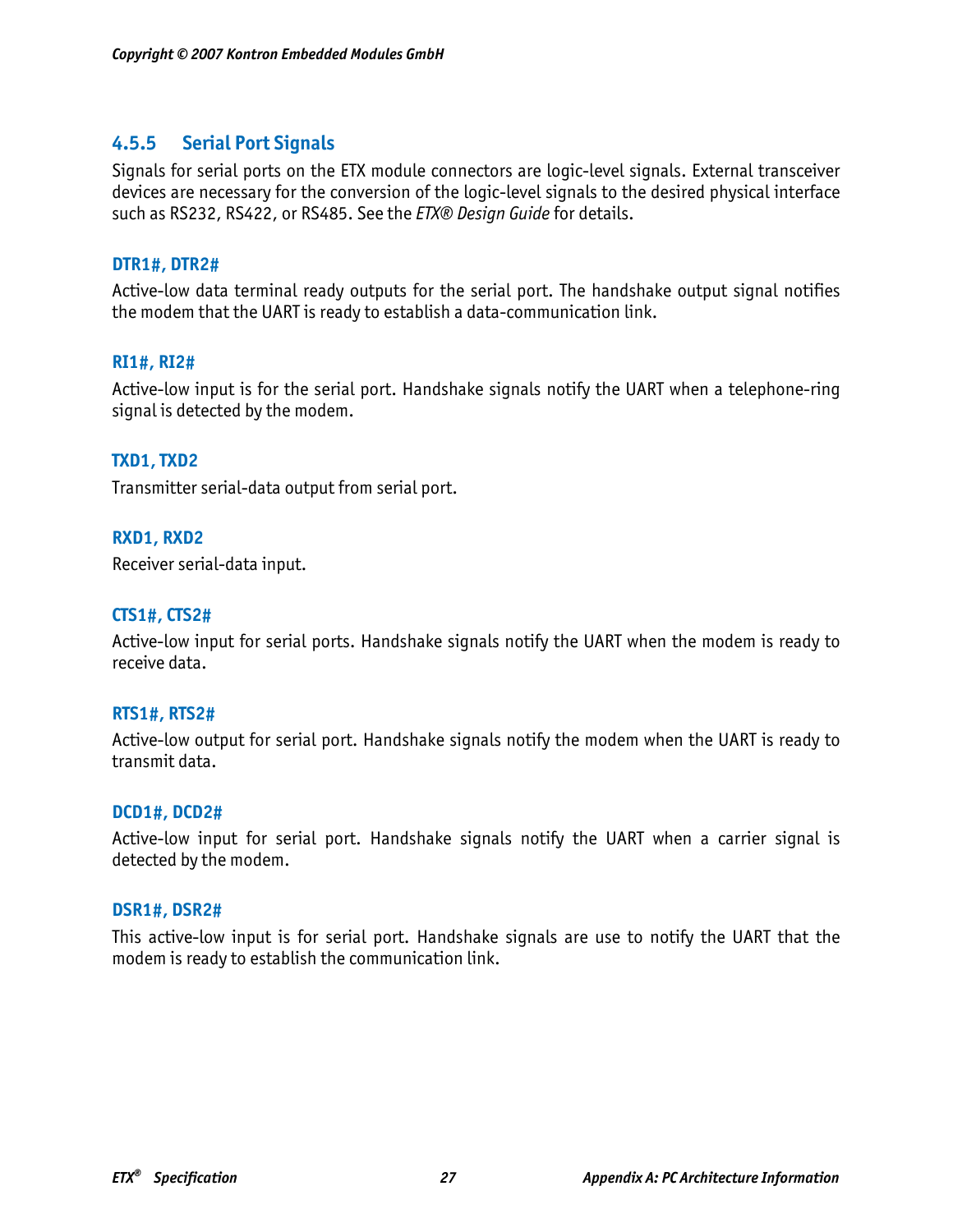## **4.5.5 Serial Port Signals**

Signals for serial ports on the ETX module connectors are logic-level signals. External transceiver devices are necessary for the conversion of the logic-level signals to the desired physical interface such as RS232, RS422, or RS485. See the *ETX® Design Guide* for details.

#### **DTR1#, DTR2#**

Active-low data terminal ready outputs for the serial port. The handshake output signal notifies the modem that the UART is ready to establish a data-communication link.

#### **RI1#, RI2#**

Active-low input is for the serial port. Handshake signals notify the UART when a telephone-ring signal is detected by the modem.

#### **TXD1, TXD2**

Transmitter serial-data output from serial port.

#### **RXD1, RXD2**

Receiver serial-data input.

#### **CTS1#, CTS2#**

Active-low input for serial ports. Handshake signals notify the UART when the modem is ready to receive data.

#### **RTS1#, RTS2#**

Active-low output for serial port. Handshake signals notify the modem when the UART is ready to transmit data.

#### **DCD1#, DCD2#**

Active-low input for serial port. Handshake signals notify the UART when a carrier signal is detected by the modem.

#### **DSR1#, DSR2#**

This active-low input is for serial port. Handshake signals are use to notify the UART that the modem is ready to establish the communication link.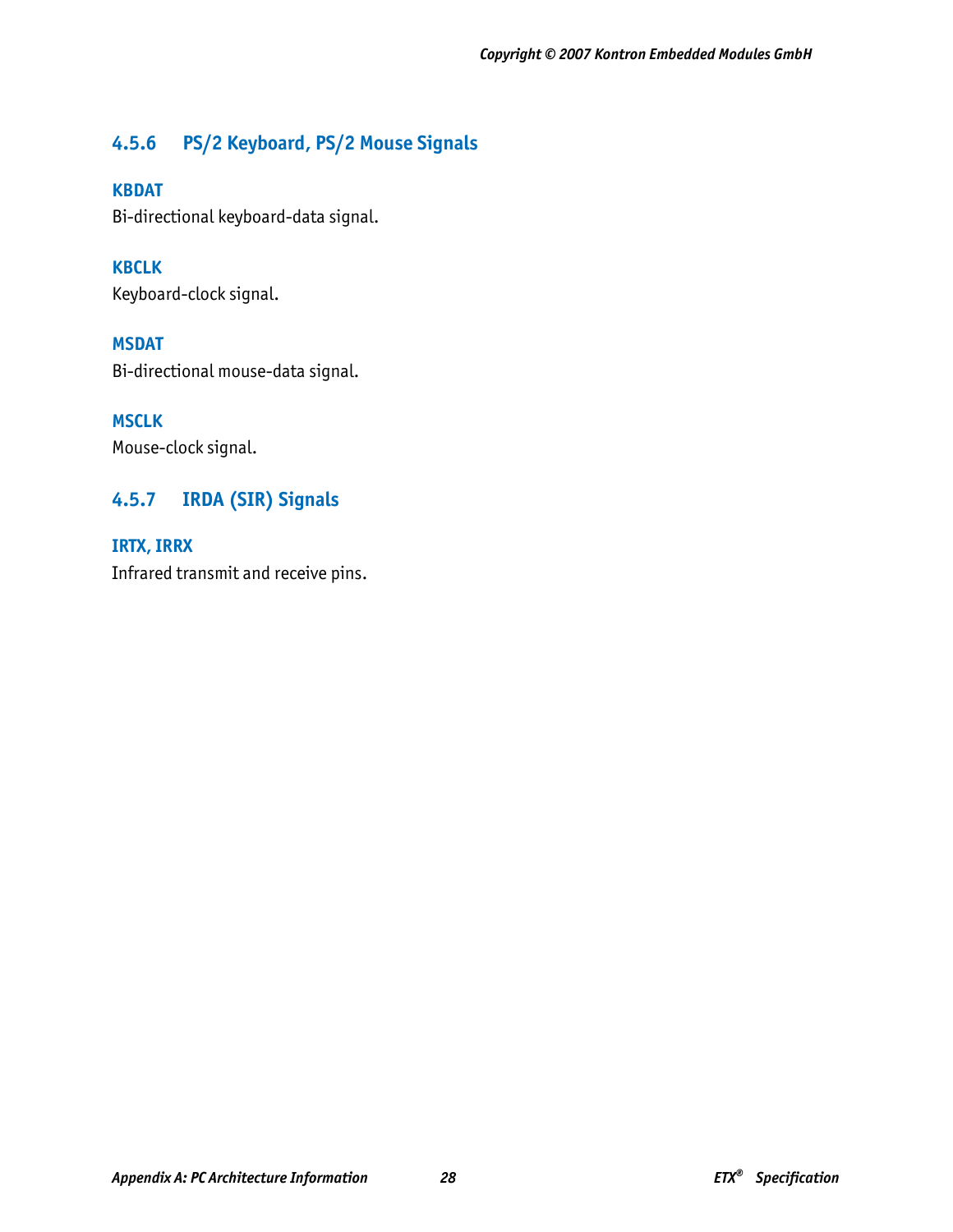# **4.5.6 PS/2 Keyboard, PS/2 Mouse Signals**

### **KBDAT**

Bi-directional keyboard-data signal.

**KBCLK**  Keyboard-clock signal.

**MSDAT** 

Bi-directional mouse-data signal.

**MSCLK** 

Mouse-clock signal.

# **4.5.7 IRDA (SIR) Signals**

**IRTX, IRRX**  Infrared transmit and receive pins.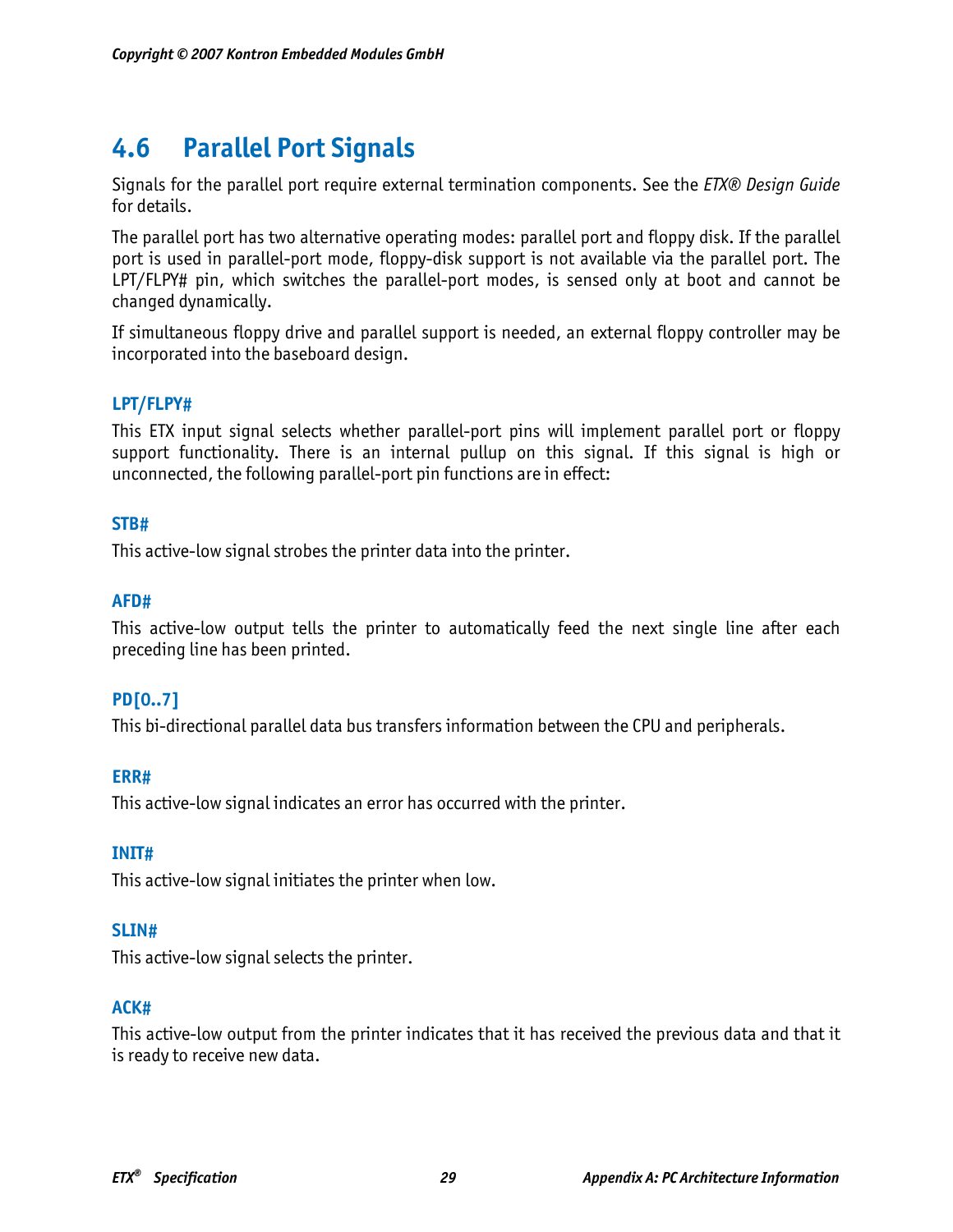# **4.6 Parallel Port Signals**

Signals for the parallel port require external termination components. See the *ETX® Design Guide*  for details.

The parallel port has two alternative operating modes: parallel port and floppy disk. If the parallel port is used in parallel-port mode, floppy-disk support is not available via the parallel port. The LPT/FLPY# pin, which switches the parallel-port modes, is sensed only at boot and cannot be changed dynamically.

If simultaneous floppy drive and parallel support is needed, an external floppy controller may be incorporated into the baseboard design.

## **LPT/FLPY#**

This ETX input signal selects whether parallel-port pins will implement parallel port or floppy support functionality. There is an internal pullup on this signal. If this signal is high or unconnected, the following parallel-port pin functions are in effect:

#### **STB#**

This active-low signal strobes the printer data into the printer.

#### **AFD#**

This active-low output tells the printer to automatically feed the next single line after each preceding line has been printed.

#### **PD[0..7]**

This bi-directional parallel data bus transfers information between the CPU and peripherals.

#### **ERR#**

This active-low signal indicates an error has occurred with the printer.

#### **INIT#**

This active-low signal initiates the printer when low.

#### **SLIN#**

This active-low signal selects the printer.

#### **ACK#**

This active-low output from the printer indicates that it has received the previous data and that it is ready to receive new data.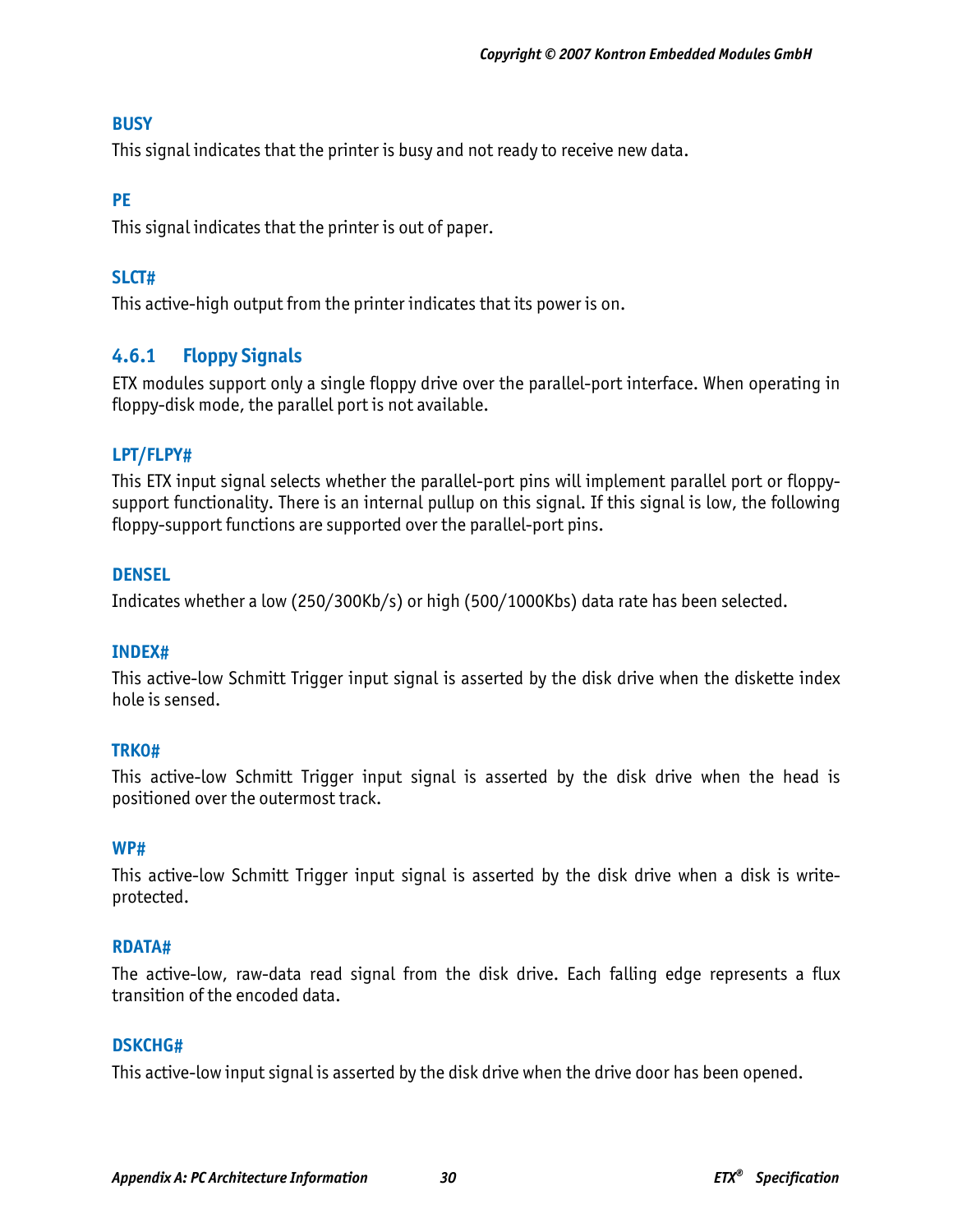## **BUSY**

This signal indicates that the printer is busy and not ready to receive new data.

## **PE**

This signal indicates that the printer is out of paper.

## **SLCT#**

This active-high output from the printer indicates that its power is on.

# **4.6.1 Floppy Signals**

ETX modules support only a single floppy drive over the parallel-port interface. When operating in floppy-disk mode, the parallel port is not available.

## **LPT/FLPY#**

This ETX input signal selects whether the parallel-port pins will implement parallel port or floppysupport functionality. There is an internal pullup on this signal. If this signal is low, the following floppy-support functions are supported over the parallel-port pins.

### **DENSEL**

Indicates whether a low (250/300Kb/s) or high (500/1000Kbs) data rate has been selected.

#### **INDEX#**

This active-low Schmitt Trigger input signal is asserted by the disk drive when the diskette index hole is sensed.

#### **TRK0#**

This active-low Schmitt Trigger input signal is asserted by the disk drive when the head is positioned over the outermost track.

#### **WP#**

This active-low Schmitt Trigger input signal is asserted by the disk drive when a disk is writeprotected.

#### **RDATA#**

The active-low, raw-data read signal from the disk drive. Each falling edge represents a flux transition of the encoded data.

#### **DSKCHG#**

This active-low input signal is asserted by the disk drive when the drive door has been opened.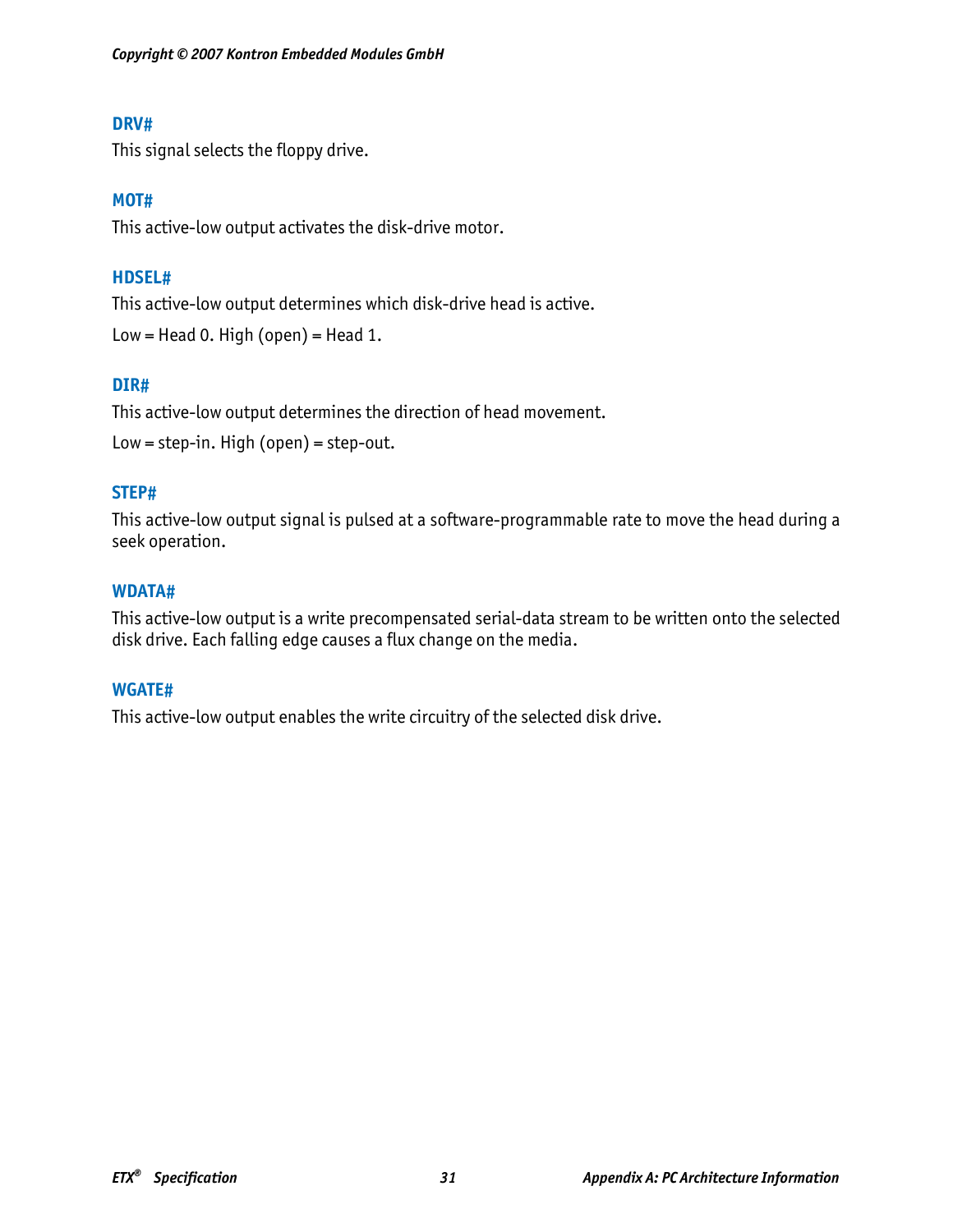#### **DRV#**

This signal selects the floppy drive.

#### **MOT#**

This active-low output activates the disk-drive motor.

### **HDSEL#**

This active-low output determines which disk-drive head is active. Low = Head 0. High (open) = Head 1.

### **DIR#**

This active-low output determines the direction of head movement.

```
Low = step-in. High (open) = step-out.
```
### **STEP#**

This active-low output signal is pulsed at a software-programmable rate to move the head during a seek operation.

#### **WDATA#**

This active-low output is a write precompensated serial-data stream to be written onto the selected disk drive. Each falling edge causes a flux change on the media.

#### **WGATE#**

This active-low output enables the write circuitry of the selected disk drive.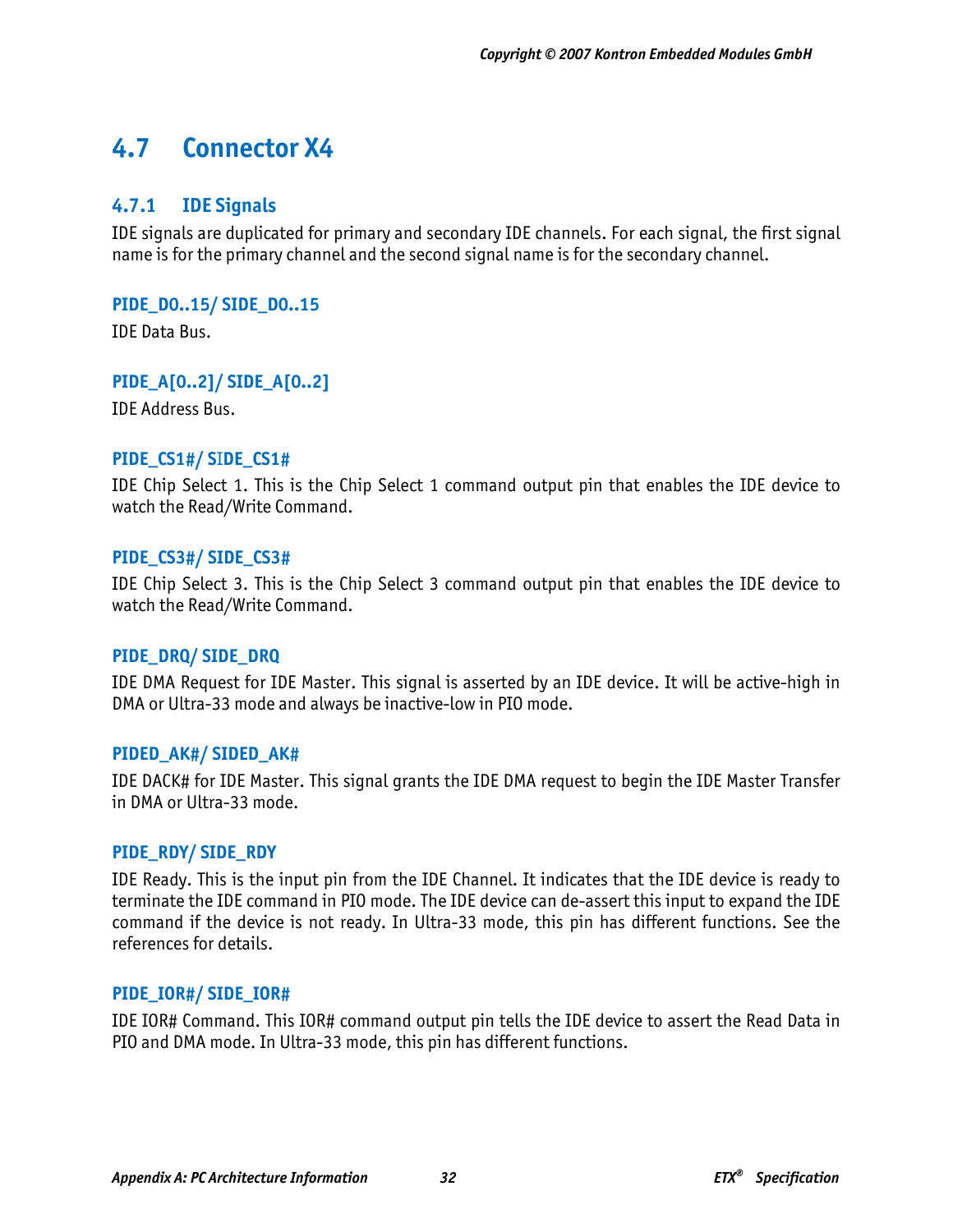# **4.7 Connector X4**

## **4.7.1 IDE Signals**

IDE signals are duplicated for primary and secondary IDE channels. For each signal, the first signal name is for the primary channel and the second signal name is for the secondary channel.

**PIDE\_D0..15/ SIDE\_D0..15** 

IDE Data Bus.

**PIDE\_A[0..2]/ SIDE\_A[0..2]** 

IDE Address Bus.

#### **PIDE\_CS1#/ S**I**DE\_CS1#**

IDE Chip Select 1. This is the Chip Select 1 command output pin that enables the IDE device to watch the Read/Write Command.

#### **PIDE\_CS3#/ SIDE\_CS3#**

IDE Chip Select 3. This is the Chip Select 3 command output pin that enables the IDE device to watch the Read/Write Command.

#### **PIDE\_DRQ/ SIDE\_DRQ**

IDE DMA Request for IDE Master. This signal is asserted by an IDE device. It will be active-high in DMA or Ultra-33 mode and always be inactive-low in PIO mode.

#### **PIDED\_AK#/ SIDED\_AK#**

IDE DACK# for IDE Master. This signal grants the IDE DMA request to begin the IDE Master Transfer in DMA or Ultra-33 mode.

#### **PIDE\_RDY/ SIDE\_RDY**

IDE Ready. This is the input pin from the IDE Channel. It indicates that the IDE device is ready to terminate the IDE command in PIO mode. The IDE device can de-assert this input to expand the IDE command if the device is not ready. In Ultra-33 mode, this pin has different functions. See the references for details.

#### **PIDE\_IOR#/ SIDE\_IOR#**

IDE IOR# Command. This IOR# command output pin tells the IDE device to assert the Read Data in PIO and DMA mode. In Ultra-33 mode, this pin has different functions.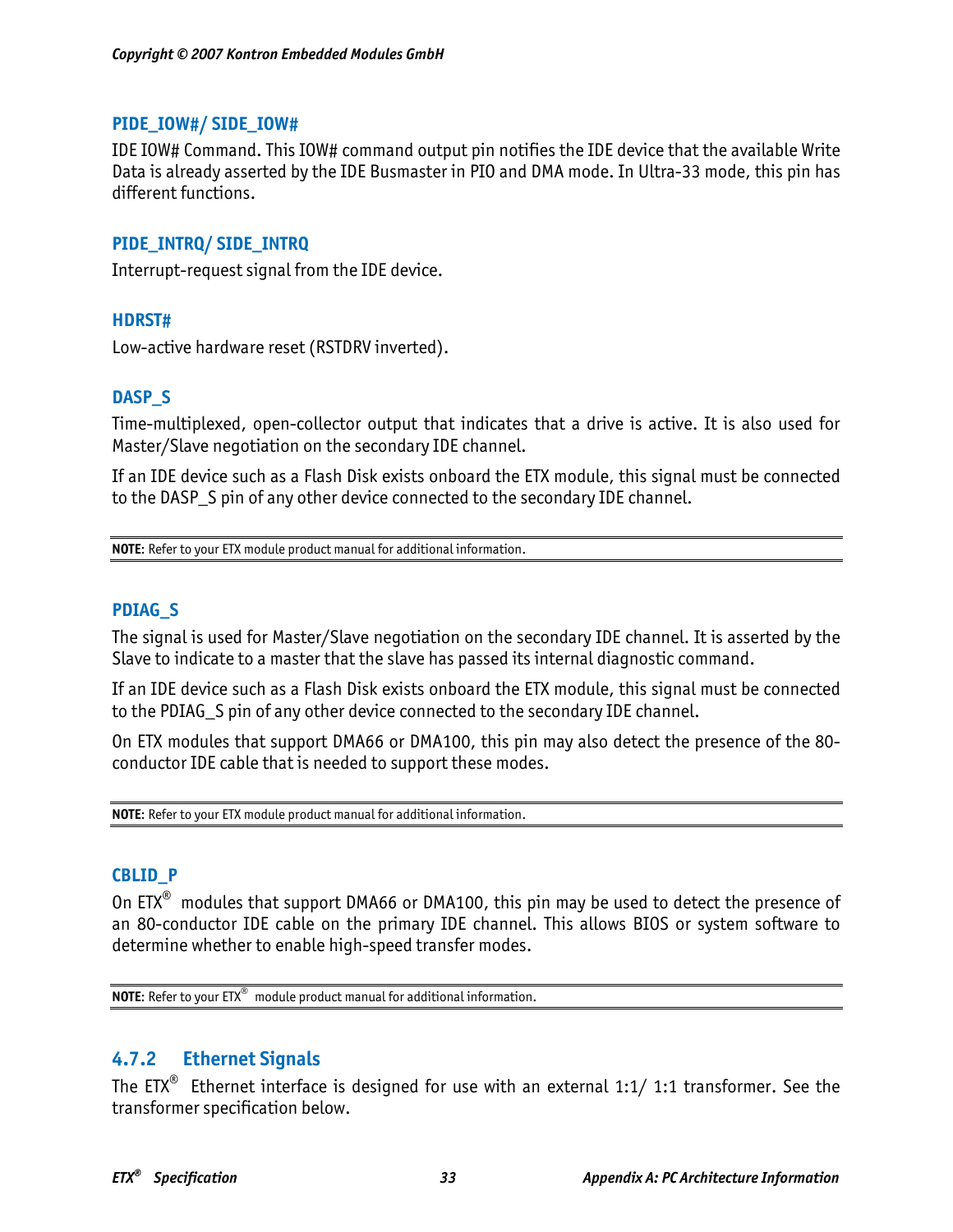#### **PIDE\_IOW#/ SIDE\_IOW#**

IDE IOW# Command. This IOW# command output pin notifies the IDE device that the available Write Data is already asserted by the IDE Busmaster in PIO and DMA mode. In Ultra-33 mode, this pin has different functions.

#### **PIDE\_INTRQ/ SIDE\_INTRQ**

Interrupt-request signal from the IDE device.

#### **HDRST#**

Low-active hardware reset (RSTDRV inverted).

#### **DASP\_S**

Time-multiplexed, open-collector output that indicates that a drive is active. It is also used for Master/Slave negotiation on the secondary IDE channel.

If an IDE device such as a Flash Disk exists onboard the ETX module, this signal must be connected to the DASP\_S pin of any other device connected to the secondary IDE channel.

**NOTE**: Refer to your ETX module product manual for additional information.

#### **PDIAG\_S**

The signal is used for Master/Slave negotiation on the secondary IDE channel. It is asserted by the Slave to indicate to a master that the slave has passed its internal diagnostic command.

If an IDE device such as a Flash Disk exists onboard the ETX module, this signal must be connected to the PDIAG\_S pin of any other device connected to the secondary IDE channel.

On ETX modules that support DMA66 or DMA100, this pin may also detect the presence of the 80 conductor IDE cable that is needed to support these modes.

**NOTE**: Refer to your ETX module product manual for additional information.

#### **CBLID\_P**

On ETX<sup>®</sup> modules that support DMA66 or DMA100, this pin may be used to detect the presence of an 80-conductor IDE cable on the primary IDE channel. This allows BIOS or system software to determine whether to enable high-speed transfer modes.

**NOTE**: Refer to your ETX® module product manual for additional information.

# **4.7.2 Ethernet Signals**

The  $EIX^{\circledast}$  Ethernet interface is designed for use with an external 1:1/ 1:1 transformer. See the transformer specification below.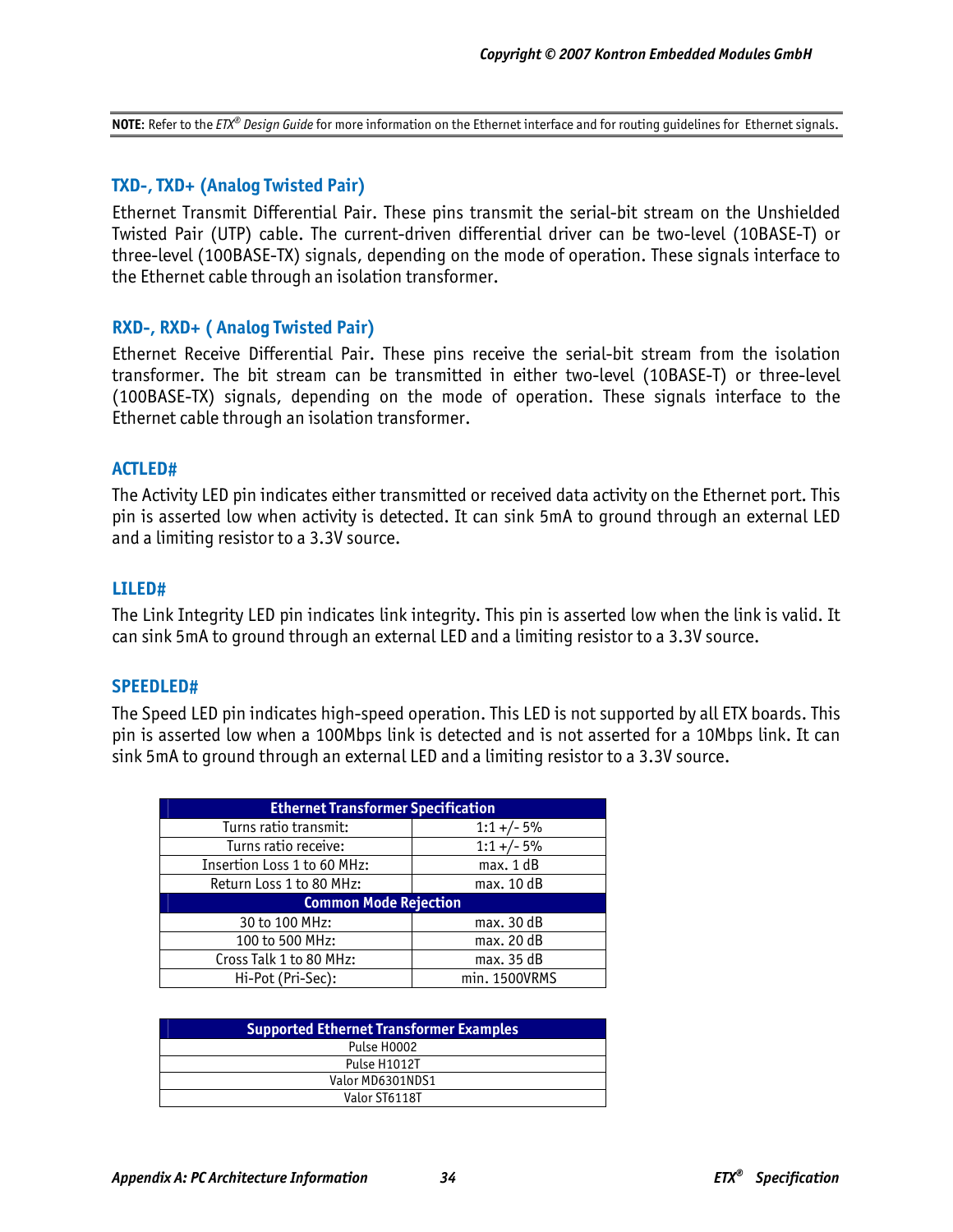**NOTE**: Refer to the *ETX<sup>®</sup> Design Guide* for more information on the Ethernet interface and for routing quidelines for Ethernet signals.

#### **TXD-, TXD+ (Analog Twisted Pair)**

Ethernet Transmit Differential Pair. These pins transmit the serial-bit stream on the Unshielded Twisted Pair (UTP) cable. The current-driven differential driver can be two-level (10BASE-T) or three-level (100BASE-TX) signals, depending on the mode of operation. These signals interface to the Ethernet cable through an isolation transformer.

#### **RXD-, RXD+ ( Analog Twisted Pair)**

Ethernet Receive Differential Pair. These pins receive the serial-bit stream from the isolation transformer. The bit stream can be transmitted in either two-level (10BASE-T) or three-level (100BASE-TX) signals, depending on the mode of operation. These signals interface to the Ethernet cable through an isolation transformer.

#### **ACTLED#**

The Activity LED pin indicates either transmitted or received data activity on the Ethernet port. This pin is asserted low when activity is detected. It can sink 5mA to ground through an external LED and a limiting resistor to a 3.3V source.

#### **LILED#**

The Link Integrity LED pin indicates link integrity. This pin is asserted low when the link is valid. It can sink 5mA to ground through an external LED and a limiting resistor to a 3.3V source.

#### **SPEEDLED#**

The Speed LED pin indicates high-speed operation. This LED is not supported by all ETX boards. This pin is asserted low when a 100Mbps link is detected and is not asserted for a 10Mbps link. It can sink 5mA to ground through an external LED and a limiting resistor to a 3.3V source.

| <b>Ethernet Transformer Specification</b> |               |  |  |  |  |
|-------------------------------------------|---------------|--|--|--|--|
| Turns ratio transmit:                     | $1:1 +/- 5%$  |  |  |  |  |
| Turns ratio receive:                      | $1:1+/-5%$    |  |  |  |  |
| Insertion Loss 1 to 60 MHz:               | max. 1 dB     |  |  |  |  |
| Return Loss 1 to 80 MHz:                  | max. 10 dB    |  |  |  |  |
| <b>Common Mode Rejection</b>              |               |  |  |  |  |
| 30 to 100 MHz:                            | max. 30 dB    |  |  |  |  |
| 100 to 500 MHz:                           | max. 20 dB    |  |  |  |  |
| Cross Talk 1 to 80 MHz:                   | max. 35 dB    |  |  |  |  |
| Hi-Pot (Pri-Sec):                         | min. 1500VRMS |  |  |  |  |

| <b>Supported Ethernet Transformer Examples</b> |  |  |
|------------------------------------------------|--|--|
| Pulse H0002                                    |  |  |
| Pulse H1012T                                   |  |  |
| Valor MD6301NDS1                               |  |  |
| Valor ST6118T                                  |  |  |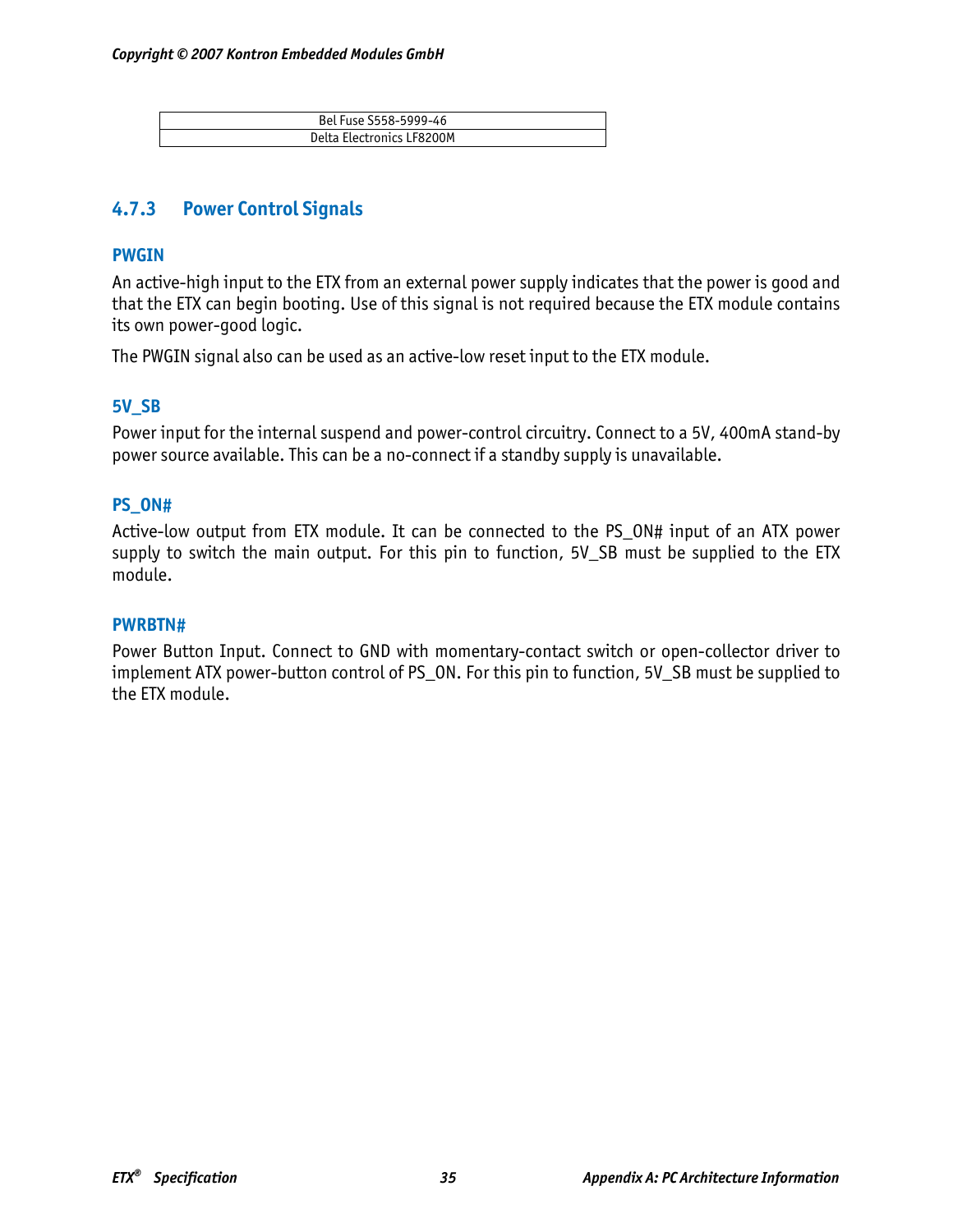| Bel Fuse S558-5999-46     |
|---------------------------|
| Delta Electronics LE8200M |

# **4.7.3 Power Control Signals**

#### **PWGIN**

An active-high input to the ETX from an external power supply indicates that the power is good and that the ETX can begin booting. Use of this signal is not required because the ETX module contains its own power-good logic.

The PWGIN signal also can be used as an active-low reset input to the ETX module.

### **5V\_SB**

Power input for the internal suspend and power-control circuitry. Connect to a 5V, 400mA stand-by power source available. This can be a no-connect if a standby supply is unavailable.

### **PS\_ON#**

Active-low output from ETX module. It can be connected to the PS\_ON# input of an ATX power supply to switch the main output. For this pin to function, 5V\_SB must be supplied to the ETX module.

#### **PWRBTN#**

Power Button Input. Connect to GND with momentary-contact switch or open-collector driver to implement ATX power-button control of PS\_ON. For this pin to function, 5V\_SB must be supplied to the ETX module.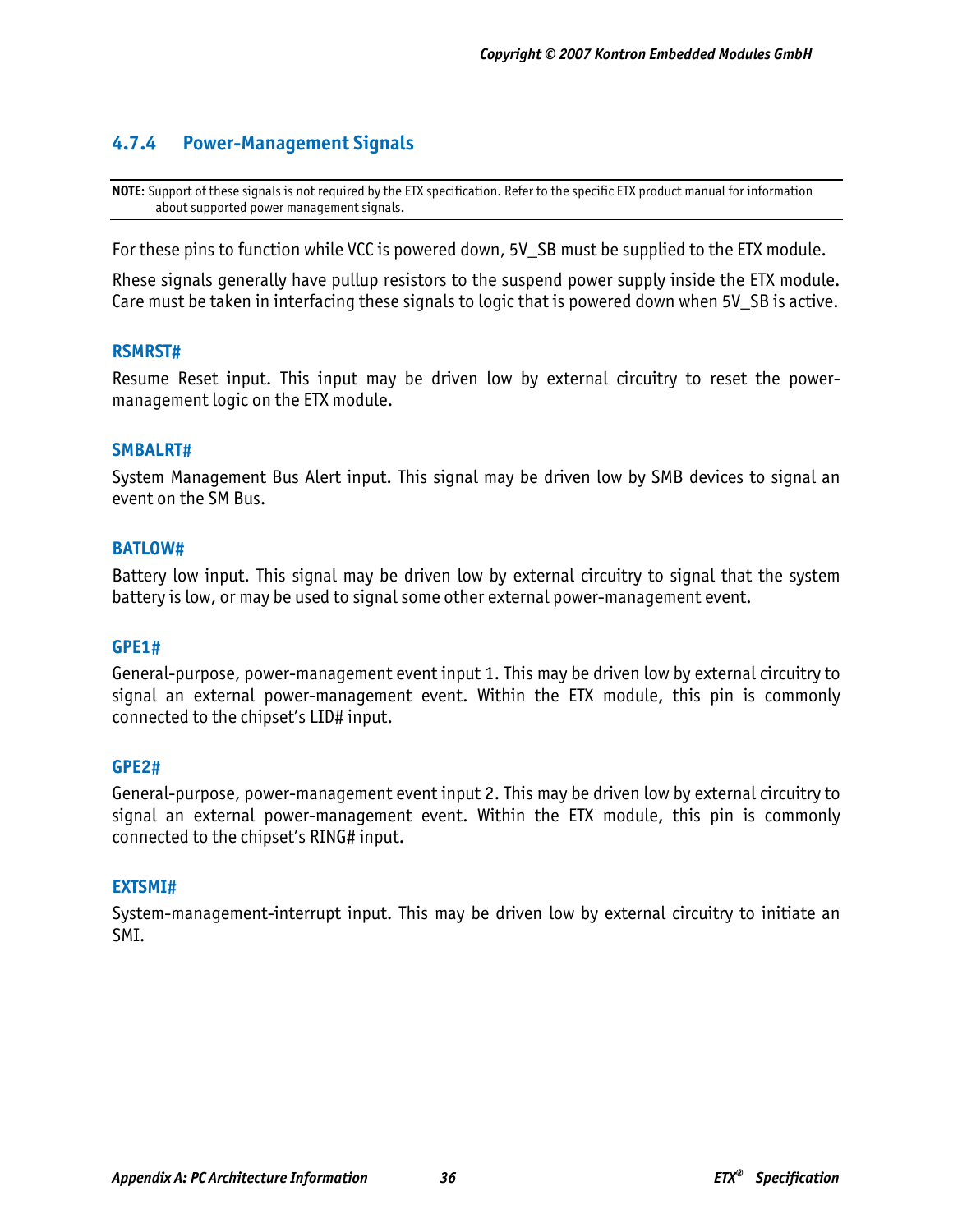# **4.7.4 Power-Management Signals**

**NOTE**: Support of these signals is not required by the ETX specification. Refer to the specific ETX product manual for information about supported power management signals.

For these pins to function while VCC is powered down, 5V SB must be supplied to the ETX module.

Rhese signals generally have pullup resistors to the suspend power supply inside the ETX module. Care must be taken in interfacing these signals to logic that is powered down when 5V SB is active.

#### **RSMRST#**

Resume Reset input. This input may be driven low by external circuitry to reset the powermanagement logic on the ETX module.

#### **SMBALRT#**

System Management Bus Alert input. This signal may be driven low by SMB devices to signal an event on the SM Bus.

#### **BATLOW#**

Battery low input. This signal may be driven low by external circuitry to signal that the system battery is low, or may be used to signal some other external power-management event.

#### **GPE1#**

General-purpose, power-management event input 1. This may be driven low by external circuitry to signal an external power-management event. Within the ETX module, this pin is commonly connected to the chipset's LID# input.

#### **GPE2#**

General-purpose, power-management event input 2. This may be driven low by external circuitry to signal an external power-management event. Within the ETX module, this pin is commonly connected to the chipset's RING# input.

#### **EXTSMI#**

System-management-interrupt input. This may be driven low by external circuitry to initiate an SMI.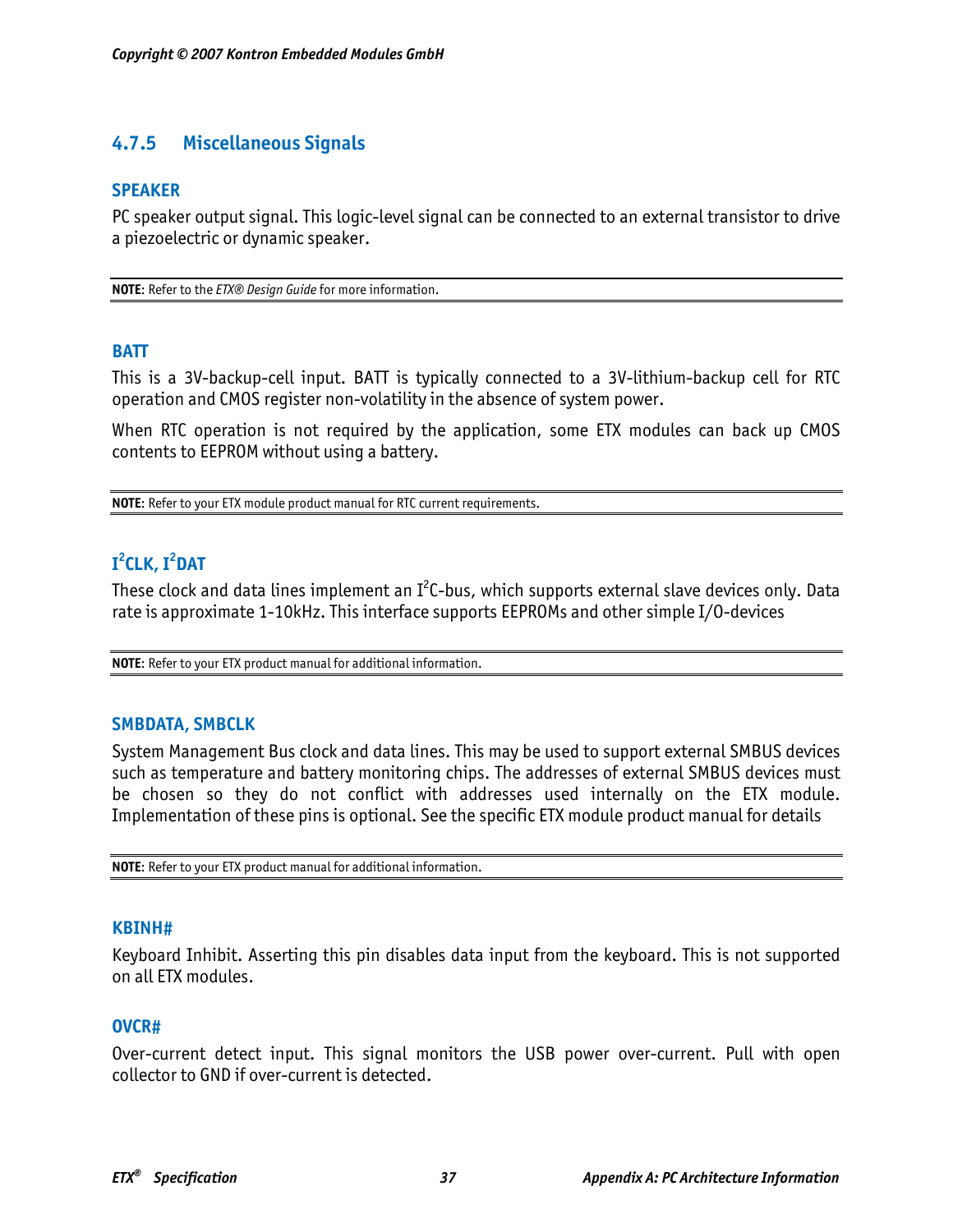# **4.7.5 Miscellaneous Signals**

#### **SPEAKER**

PC speaker output signal. This logic-level signal can be connected to an external transistor to drive a piezoelectric or dynamic speaker.

**NOTE**: Refer to the *ETX® Design Guide* for more information.

#### **BATT**

This is a 3V-backup-cell input. BATT is typically connected to a 3V-lithium-backup cell for RTC operation and CMOS register non-volatility in the absence of system power.

When RTC operation is not required by the application, some ETX modules can back up CMOS contents to EEPROM without using a battery.

**NOTE**: Refer to your ETX module product manual for RTC current requirements.

# **I 2 CLK, I2 DAT**

These clock and data lines implement an  $I^2$ C-bus, which supports external slave devices only. Data rate is approximate 1-10kHz. This interface supports EEPROMs and other simple I/O-devices

**NOTE**: Refer to your ETX product manual for additional information.

#### **SMBDATA, SMBCLK**

System Management Bus clock and data lines. This may be used to support external SMBUS devices such as temperature and battery monitoring chips. The addresses of external SMBUS devices must be chosen so they do not conflict with addresses used internally on the ETX module. Implementation of these pins is optional. See the specific ETX module product manual for details

**NOTE**: Refer to your ETX product manual for additional information.

#### **KBINH#**

Keyboard Inhibit. Asserting this pin disables data input from the keyboard. This is not supported on all ETX modules.

#### **OVCR#**

Over-current detect input. This signal monitors the USB power over-current. Pull with open collector to GND if over-current is detected.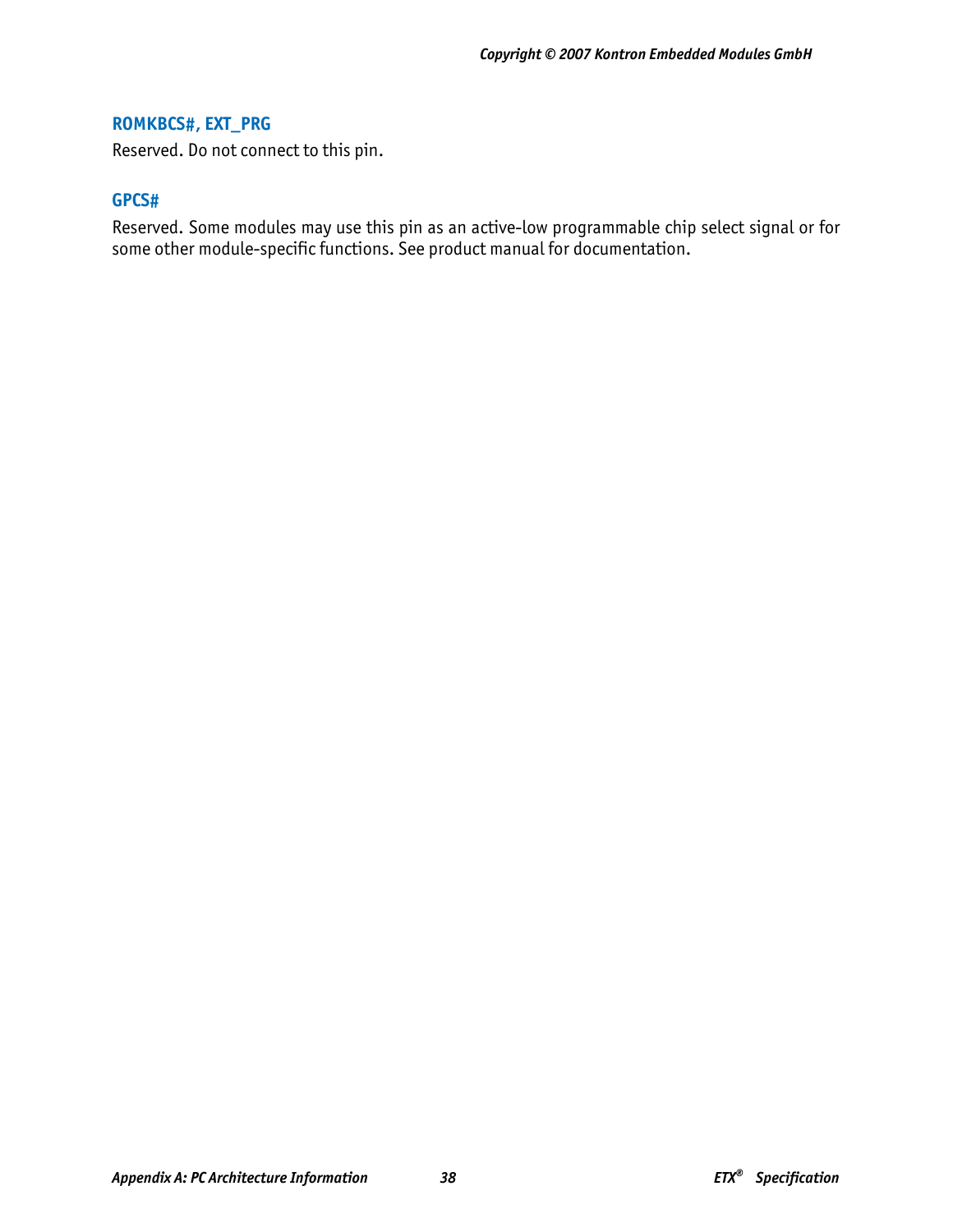### **ROMKBCS#, EXT\_PRG**

Reserved. Do not connect to this pin.

#### **GPCS#**

Reserved. Some modules may use this pin as an active-low programmable chip select signal or for some other module-specific functions. See product manual for documentation.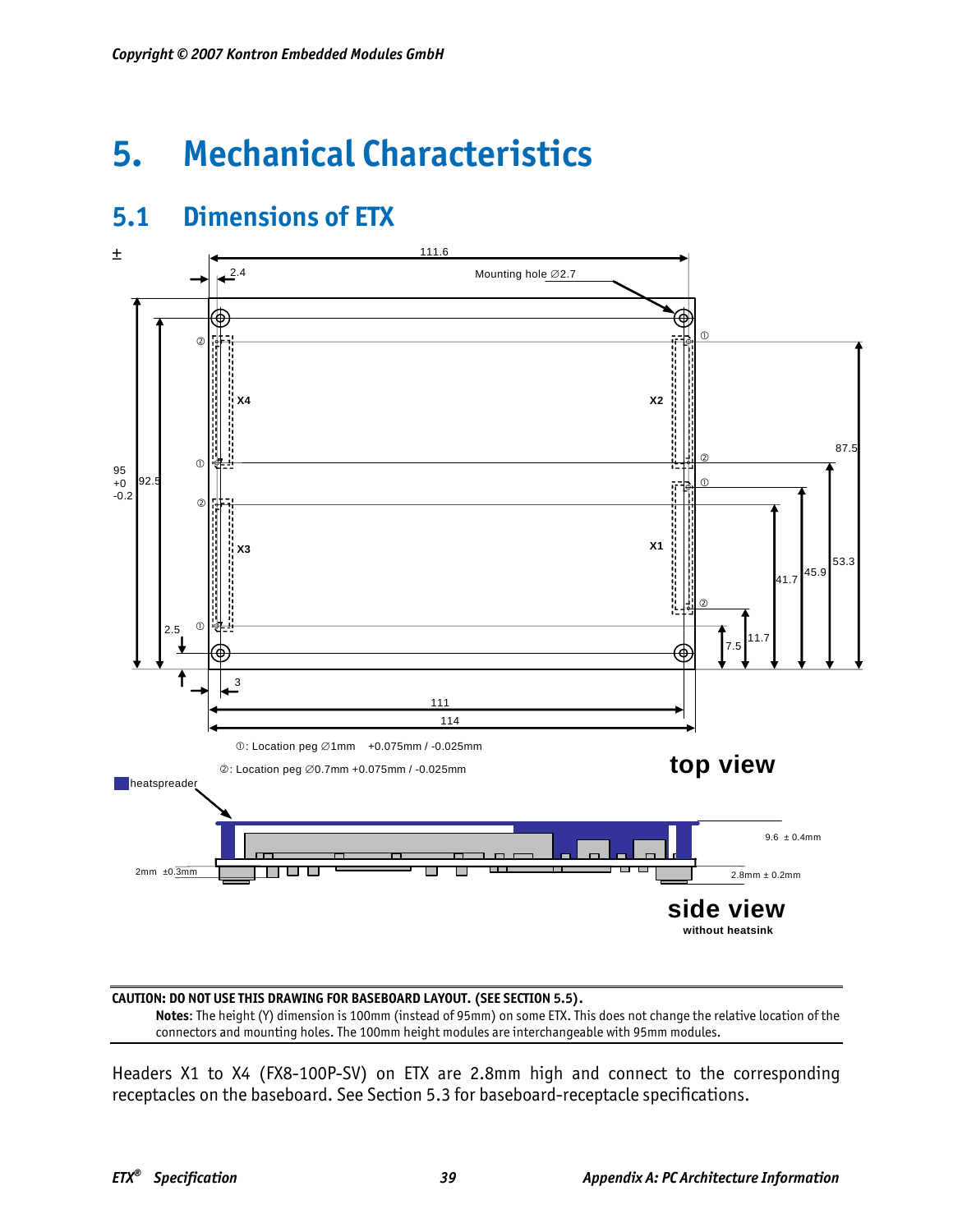# **5. Mechanical Characteristics**





**CAUTION: DO NOT USE THIS DRAWING FOR BASEBOARD LAYOUT. (SEE SECTION 5.5).** 

**Notes**: The height (Y) dimension is 100mm (instead of 95mm) on some ETX. This does not change the relative location of the connectors and mounting holes. The 100mm height modules are interchangeable with 95mm modules.

Headers X1 to X4 (FX8-100P-SV) on ETX are 2.8mm high and connect to the corresponding receptacles on the baseboard. See Section 5.3 for baseboard-receptacle specifications.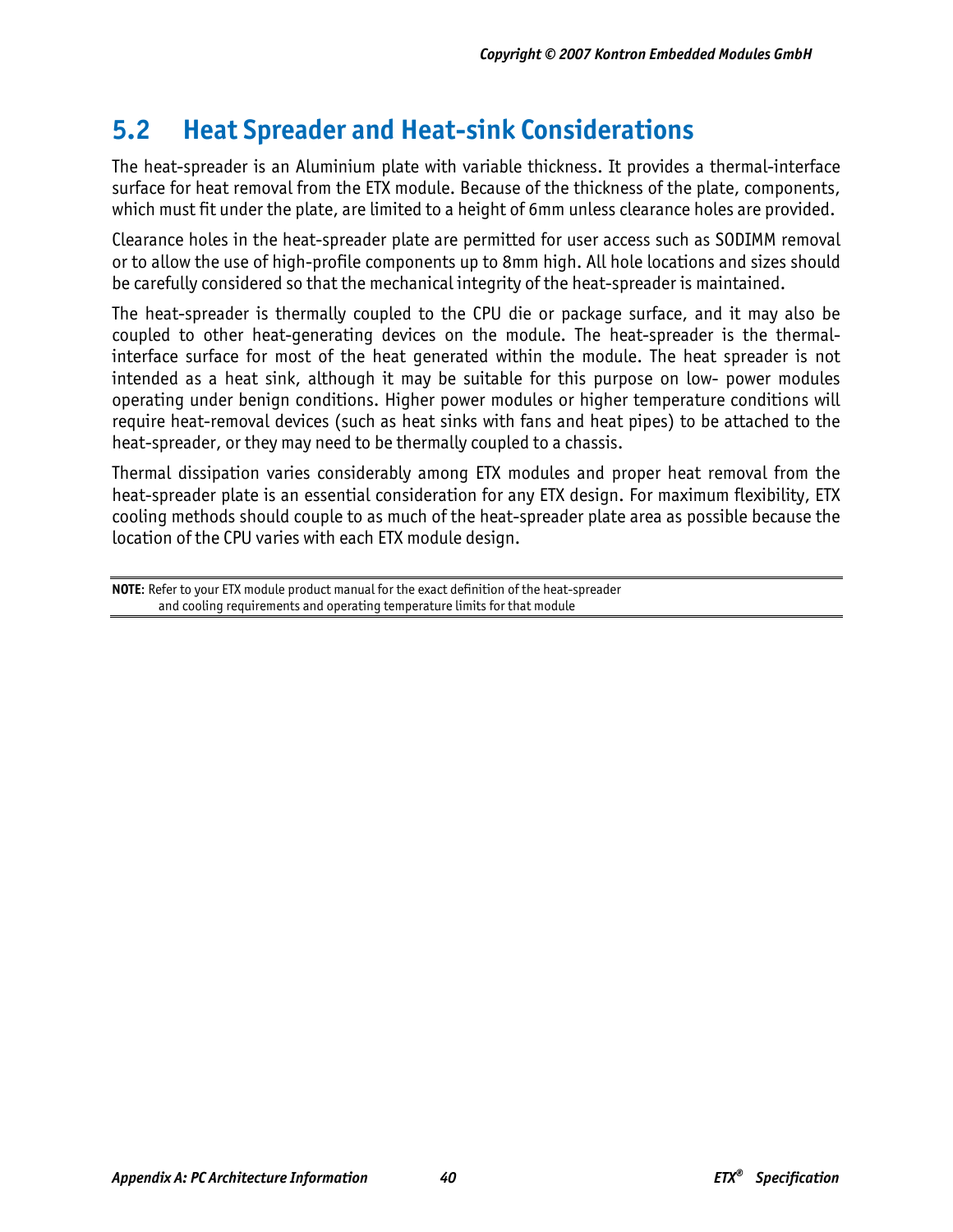# **5.2 Heat Spreader and Heat-sink Considerations**

The heat-spreader is an Aluminium plate with variable thickness. It provides a thermal-interface surface for heat removal from the ETX module. Because of the thickness of the plate, components, which must fit under the plate, are limited to a height of 6mm unless clearance holes are provided.

Clearance holes in the heat-spreader plate are permitted for user access such as SODIMM removal or to allow the use of high-profile components up to 8mm high. All hole locations and sizes should be carefully considered so that the mechanical integrity of the heat-spreader is maintained.

The heat-spreader is thermally coupled to the CPU die or package surface, and it may also be coupled to other heat-generating devices on the module. The heat-spreader is the thermalinterface surface for most of the heat generated within the module. The heat spreader is not intended as a heat sink, although it may be suitable for this purpose on low- power modules operating under benign conditions. Higher power modules or higher temperature conditions will require heat-removal devices (such as heat sinks with fans and heat pipes) to be attached to the heat-spreader, or they may need to be thermally coupled to a chassis.

Thermal dissipation varies considerably among ETX modules and proper heat removal from the heat-spreader plate is an essential consideration for any ETX design. For maximum flexibility, ETX cooling methods should couple to as much of the heat-spreader plate area as possible because the location of the CPU varies with each ETX module design.

**NOTE**: Refer to your ETX module product manual for the exact definition of the heat-spreader and cooling requirements and operating temperature limits for that module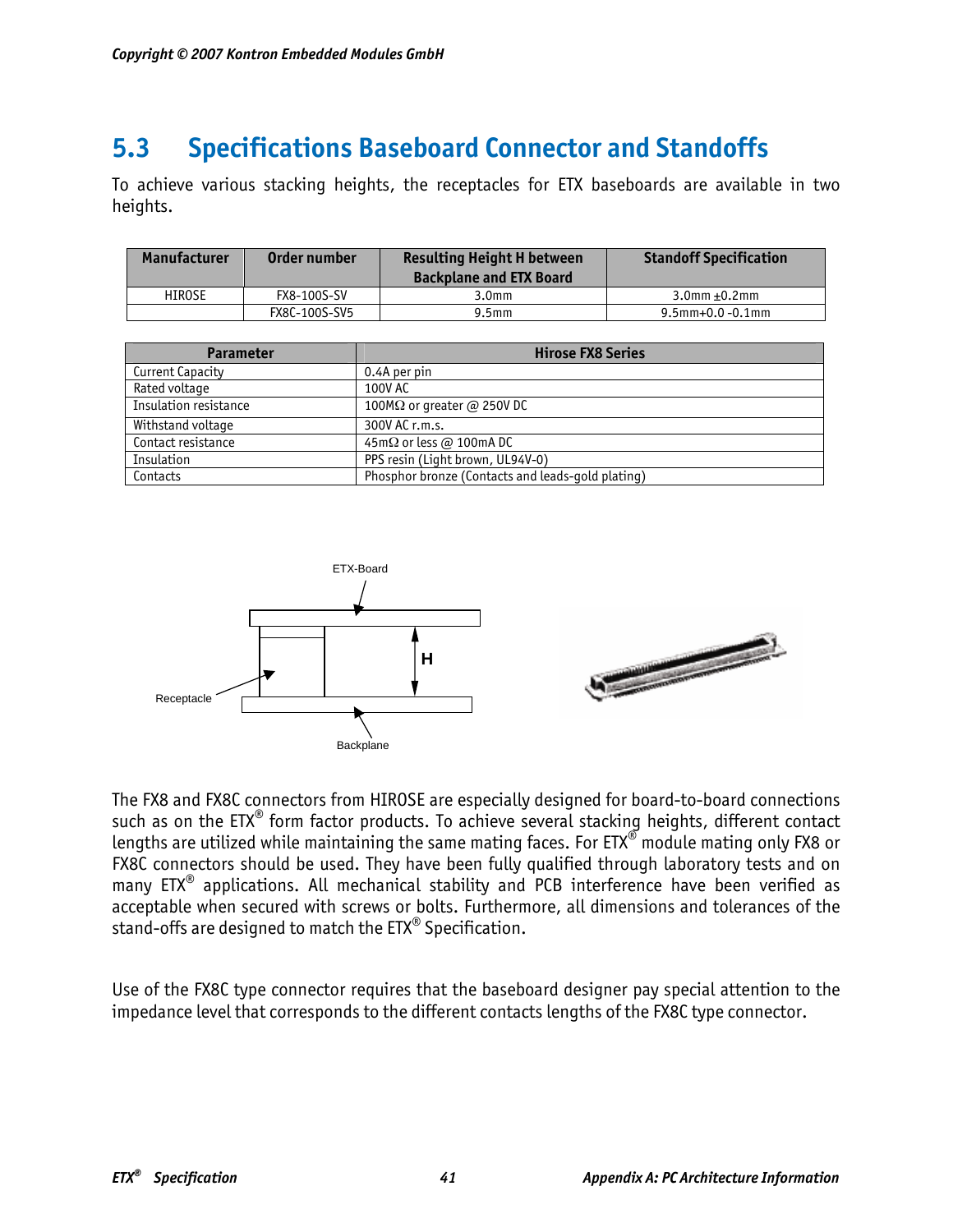# **5.3 Specifications Baseboard Connector and Standoffs**

To achieve various stacking heights, the receptacles for ETX baseboards are available in two heights.

| Manufacturer | Order number  | <b>Resulting Height H between</b><br><b>Backplane and ETX Board</b> | <b>Standoff Specification</b> |
|--------------|---------------|---------------------------------------------------------------------|-------------------------------|
| HIROSE       | FX8-100S-SV   | 3.0 <sub>mm</sub>                                                   | $3.0$ mm +0.2mm               |
|              | FX8C-100S-SV5 | $9.5$ mm                                                            | $9.5$ mm+0.0 -0.1mm           |

| <b>Parameter</b>      | <b>Hirose FX8 Series</b>                          |  |  |
|-----------------------|---------------------------------------------------|--|--|
| Current Capacity      | 0.4A per pin                                      |  |  |
| Rated voltage         | 100V AC                                           |  |  |
| Insulation resistance | 100M $\Omega$ or greater @ 250V DC                |  |  |
| Withstand voltage     | 300V AC r.m.s.                                    |  |  |
| Contact resistance    | 45m $\Omega$ or less @ 100mA DC                   |  |  |
| Insulation            | PPS resin (Light brown, UL94V-0)                  |  |  |
| Contacts              | Phosphor bronze (Contacts and leads-gold plating) |  |  |



The FX8 and FX8C connectors from HIROSE are especially designed for board-to-board connections such as on the ETX<sup>®</sup> form factor products. To achieve several stacking heights, different contact lengths are utilized while maintaining the same mating faces. For ETX® module mating only FX8 or FX8C connectors should be used. They have been fully qualified through laboratory tests and on many  $ETX^{\otimes}$  applications. All mechanical stability and PCB interference have been verified as acceptable when secured with screws or bolts. Furthermore, all dimensions and tolerances of the stand-offs are designed to match the ETX® Specification.

Use of the FX8C type connector requires that the baseboard designer pay special attention to the impedance level that corresponds to the different contacts lengths of the FX8C type connector.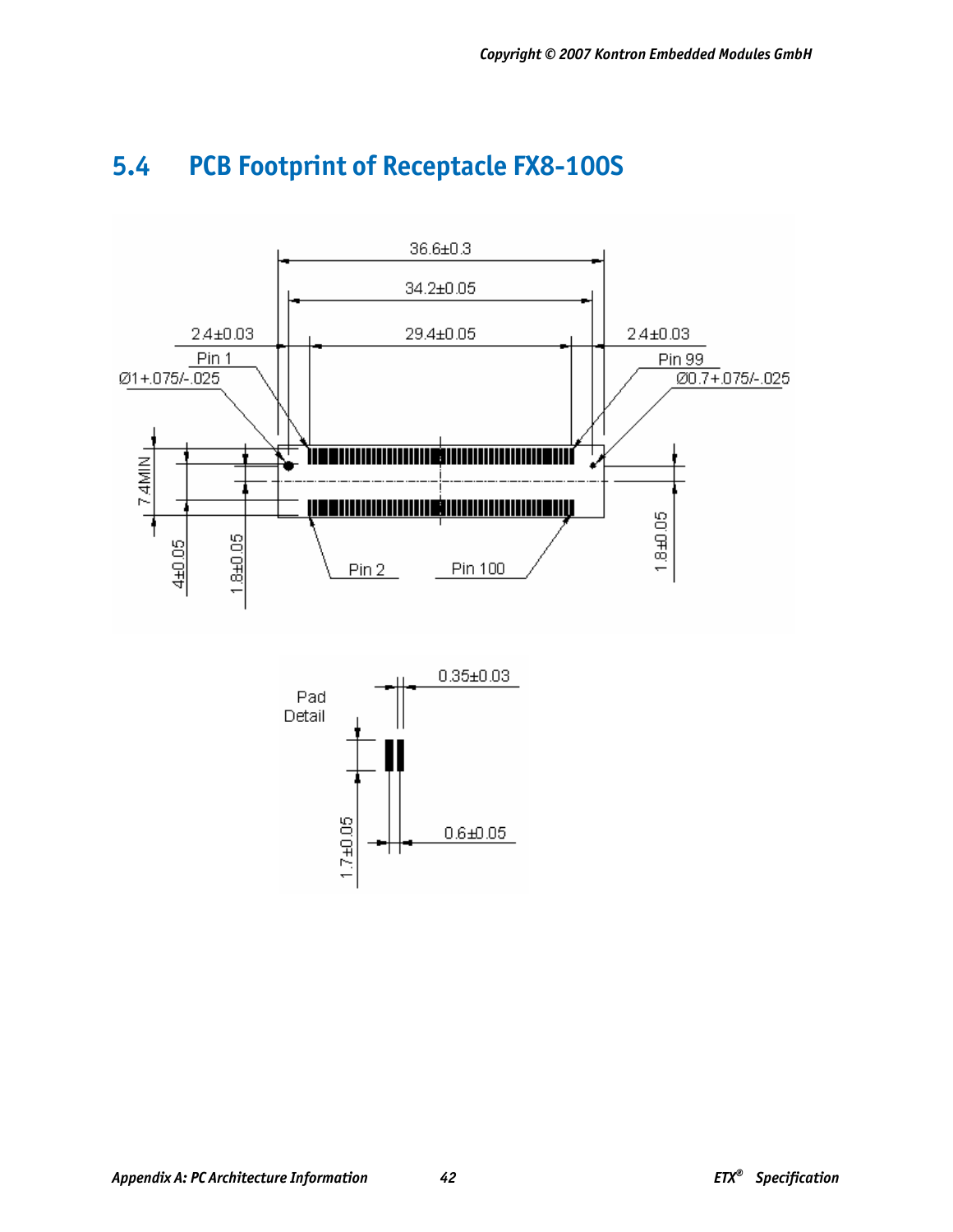

# **5.4 PCB Footprint of Receptacle FX8-100S**

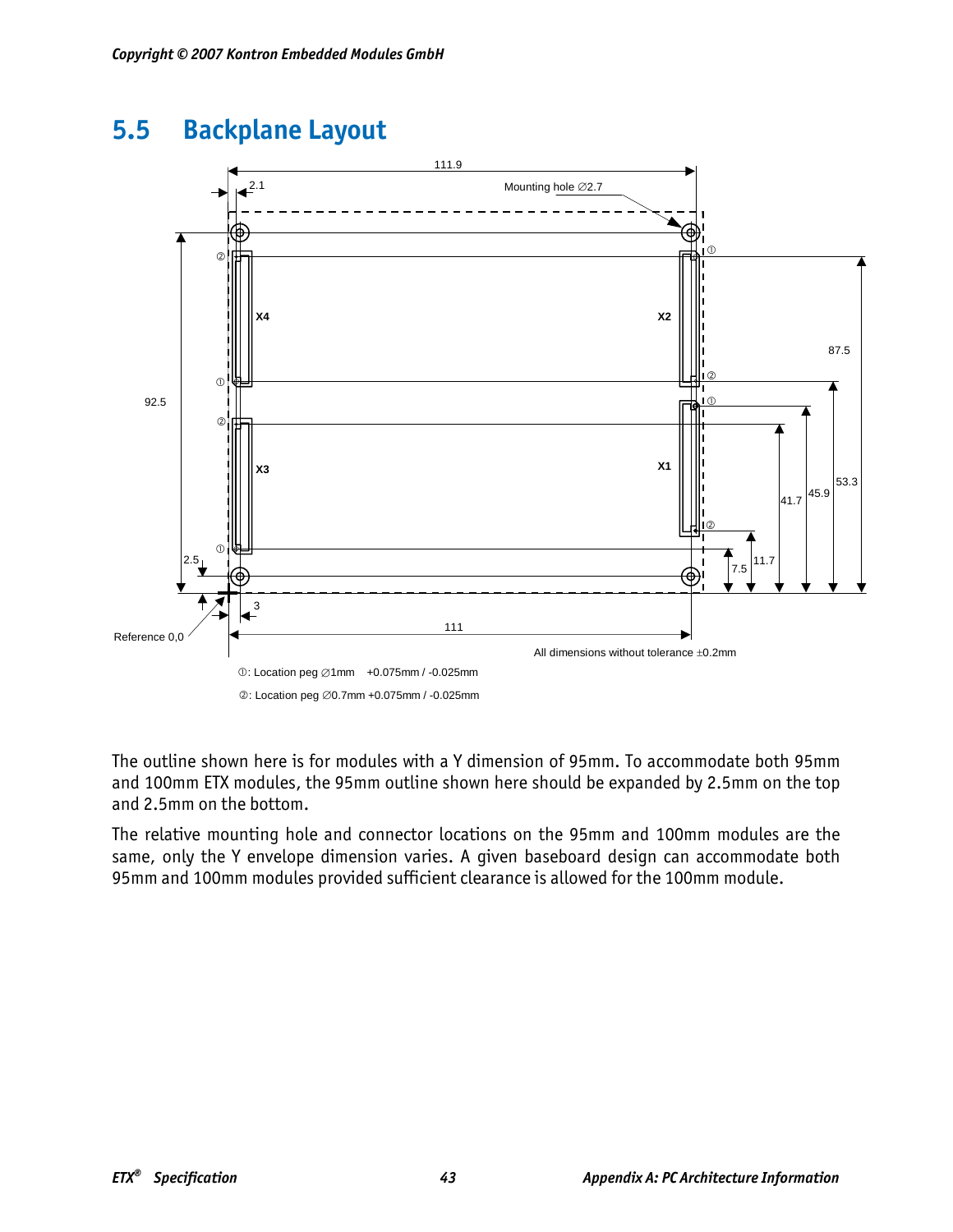# **5.5 Backplane Layout**



The outline shown here is for modules with a Y dimension of 95mm. To accommodate both 95mm and 100mm ETX modules, the 95mm outline shown here should be expanded by 2.5mm on the top and 2.5mm on the bottom.

The relative mounting hole and connector locations on the 95mm and 100mm modules are the same, only the Y envelope dimension varies. A given baseboard design can accommodate both 95mm and 100mm modules provided sufficient clearance is allowed for the 100mm module.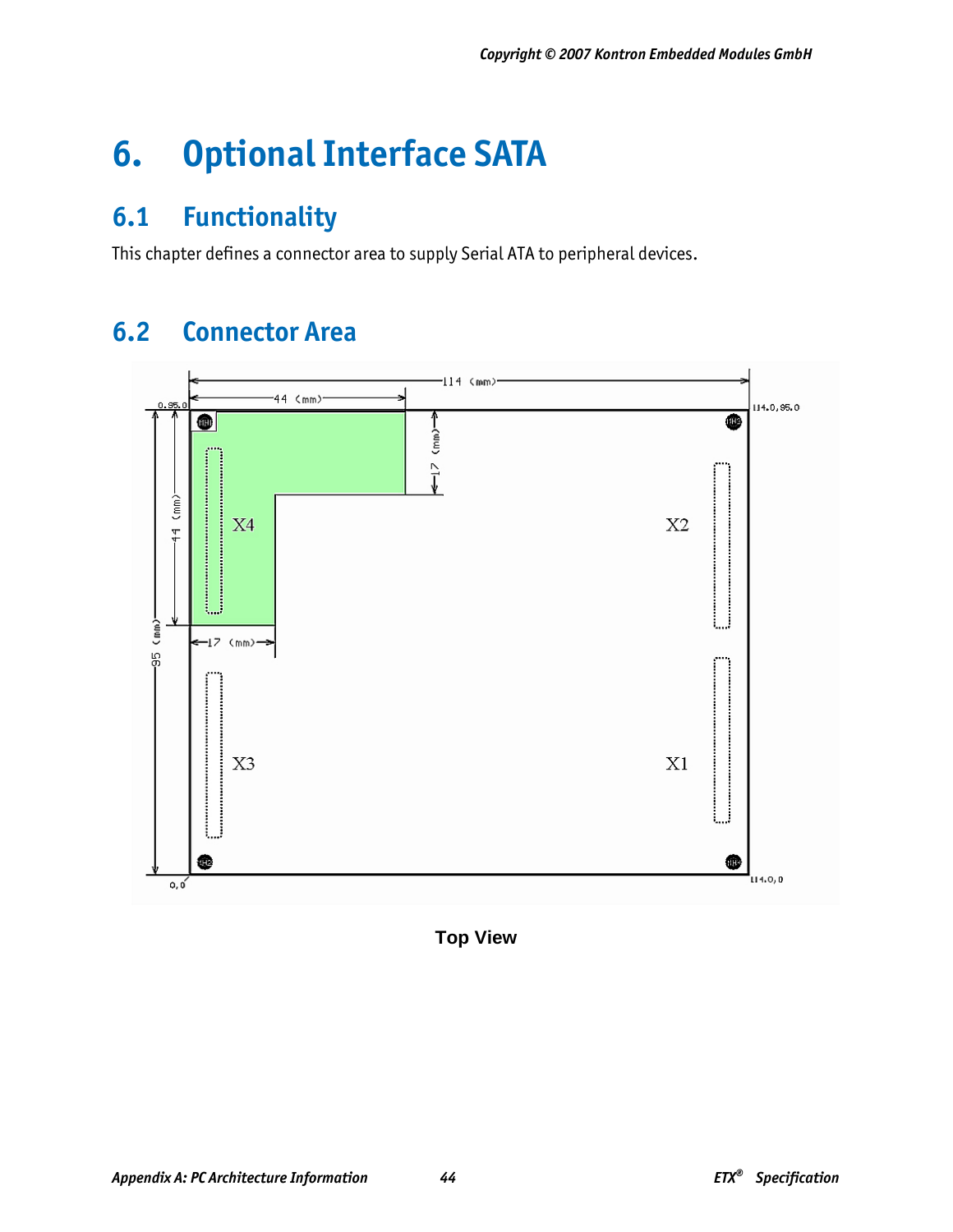# **6. Optional Interface SATA**

# **6.1 Functionality**

This chapter defines a connector area to supply Serial ATA to peripheral devices.

# **6.2 Connector Area**



**Top View**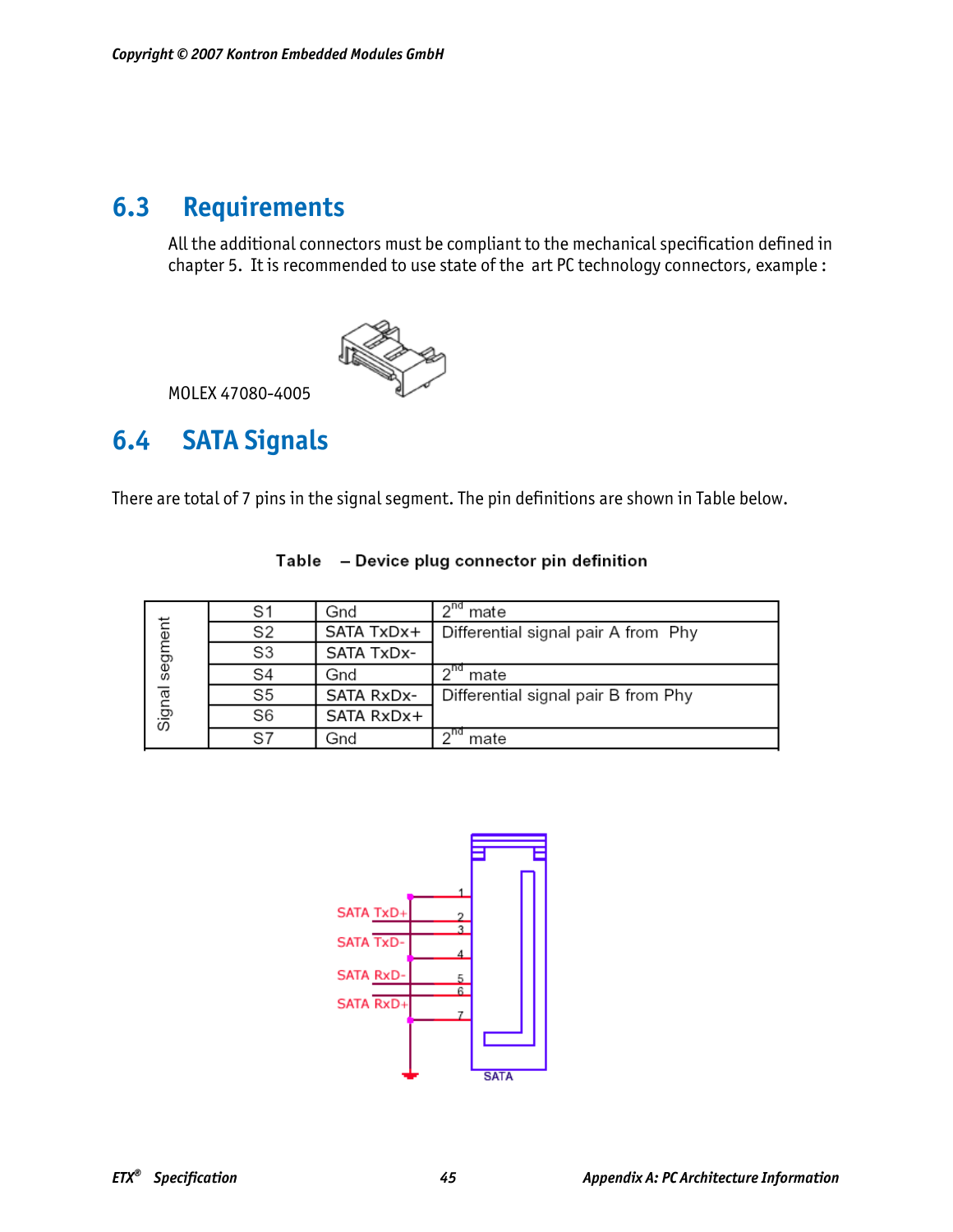# **6.3 Requirements**

All the additional connectors must be compliant to the mechanical specification defined in chapter 5. It is recommended to use state of the art PC technology connectors, example :



MOLEX 47080-4005

# **6.4 SATA Signals**

There are total of 7 pins in the signal segment. The pin definitions are shown in Table below.

|         |                | Gnd        | ond<br>mate                         |
|---------|----------------|------------|-------------------------------------|
|         | S2             | SATA TxDx+ | Differential signal pair A from Phy |
| segment | S3             | SATA TxDx- |                                     |
|         | S4             | Gnd        | mate                                |
|         | S5             | SATA RxDx- | Differential signal pair B from Phy |
| Signal  | S <sub>6</sub> | SATA RxDx+ |                                     |
|         | $\mathsf{S}7$  | Gnd        | mate                                |

#### Table - Device plug connector pin definition

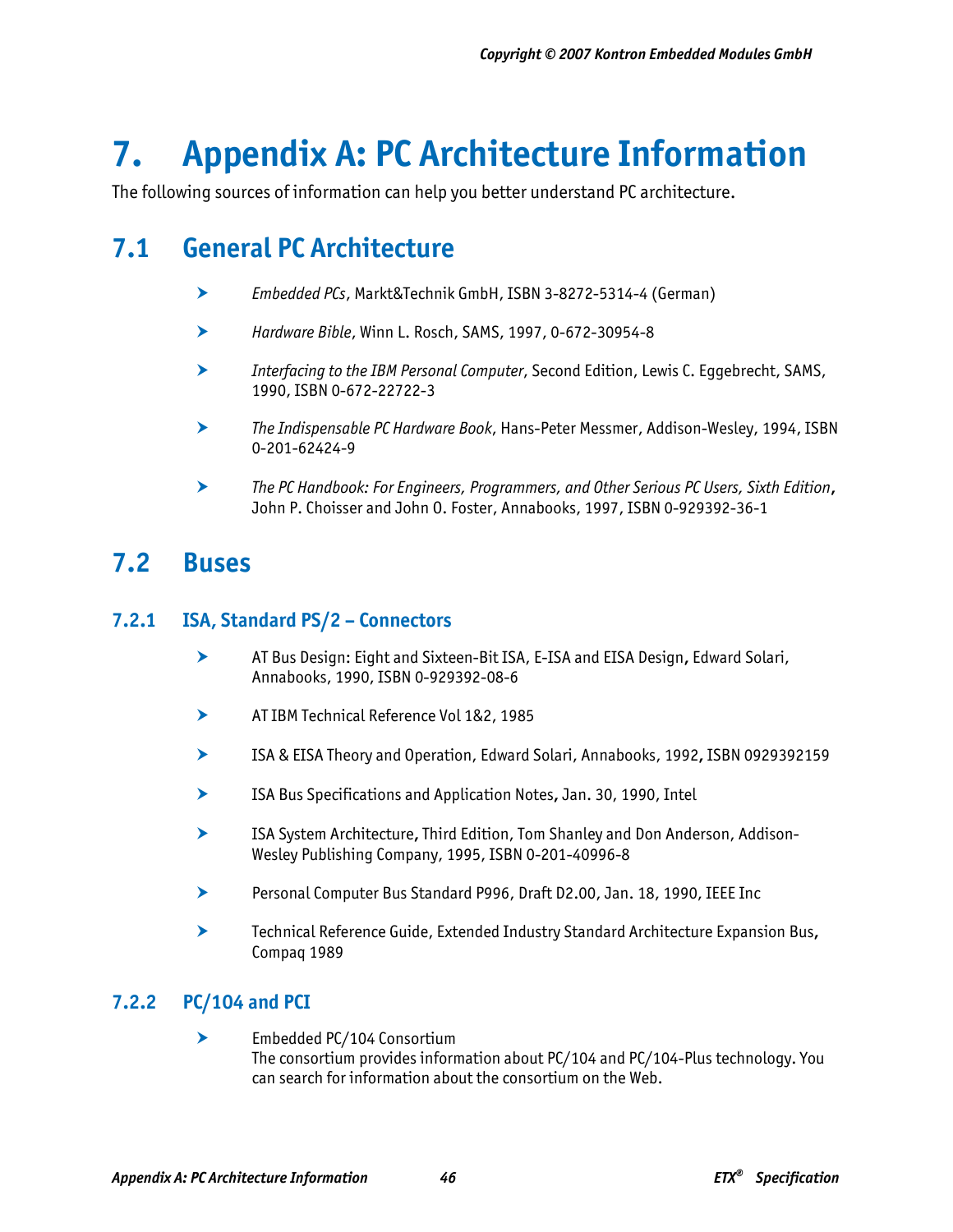# **7. Appendix A: PC Architecture Information**

The following sources of information can help you better understand PC architecture.

# **7.1 General PC Architecture**

- h *Embedded PCs*, Markt&Technik GmbH, ISBN 3-8272-5314-4 (German)
- h *Hardware Bible*, Winn L. Rosch, SAMS, 1997, 0-672-30954-8
- h *Interfacing to the IBM Personal Computer*, Second Edition, Lewis C. Eggebrecht, SAMS, 1990, ISBN 0-672-22722-3
- h *The Indispensable PC Hardware Book*, Hans-Peter Messmer, Addison-Wesley, 1994, ISBN 0-201-62424-9
- h *The PC Handbook: For Engineers, Programmers, and Other Serious PC Users, Sixth Edition***,** John P. Choisser and John O. Foster, Annabooks, 1997, ISBN 0-929392-36-1

# **7.2 Buses**

## **7.2.1 ISA, Standard PS/2 – Connectors**

- h AT Bus Design: Eight and Sixteen-Bit ISA, E-ISA and EISA Design**,** Edward Solari, Annabooks, 1990, ISBN 0-929392-08-6
- **EXECUTE:** AT IBM Technical Reference Vol 1&2, 1985
- h ISA & EISA Theory and Operation, Edward Solari, Annabooks, 1992**,** ISBN 0929392159
- h ISA Bus Specifications and Application Notes**,** Jan. 30, 1990, Intel
- **h ISA System Architecture, Third Edition, Tom Shanley and Don Anderson, Addison-**Wesley Publishing Company, 1995, ISBN 0-201-40996-8
- **h Personal Computer Bus Standard P996, Draft D2.00, Jan. 18, 1990, IEEE Inc.**
- **h Technical Reference Guide, Extended Industry Standard Architecture Expansion Bus,** Compaq 1989

## **7.2.2 PC/104 and PCI**

h Embedded PC/104 Consortium The consortium provides information about PC/104 and PC/104-Plus technology. You can search for information about the consortium on the Web.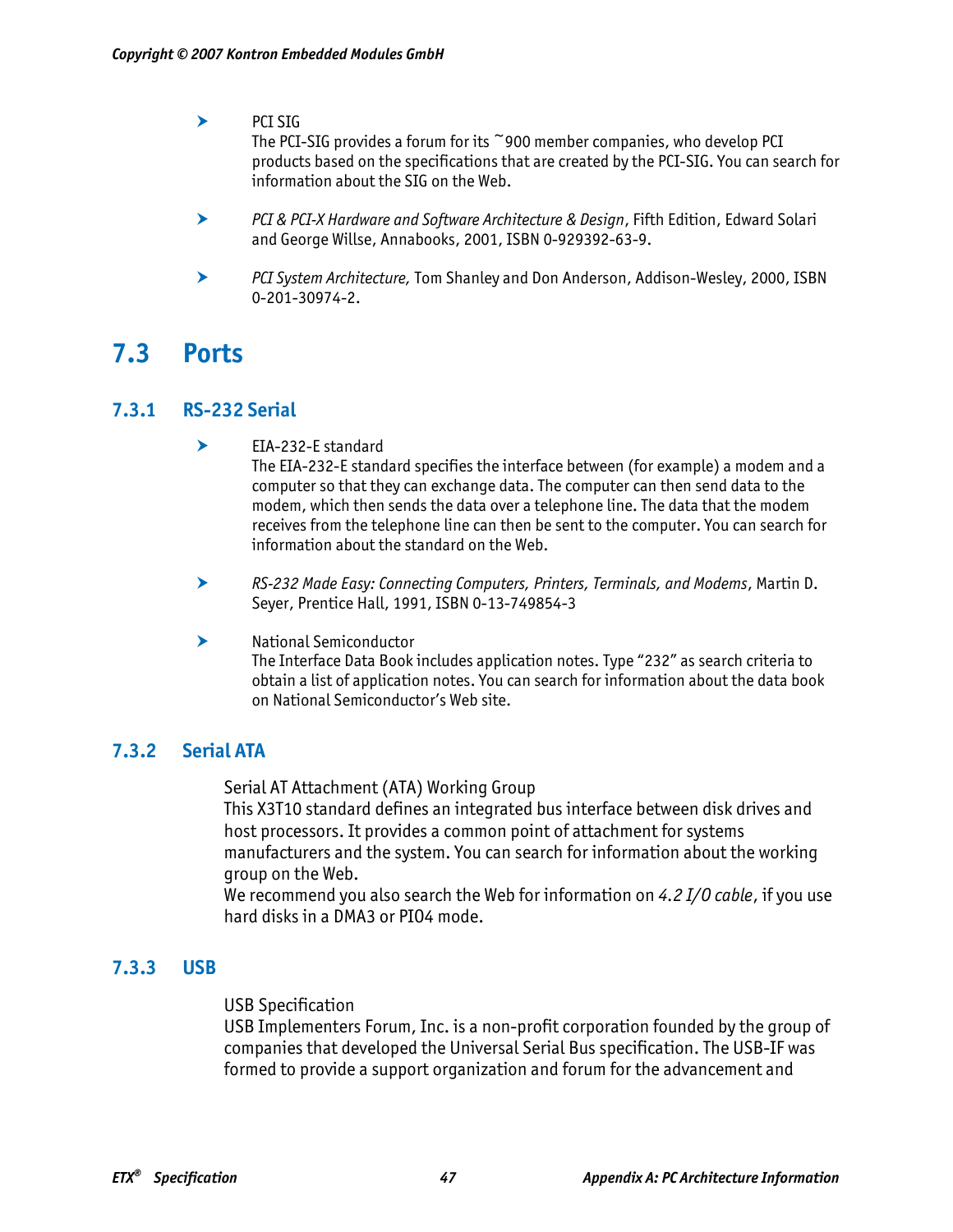#### $\blacktriangleright$  PCI SIG

The PCI-SIG provides a forum for its  $\degree$ 900 member companies, who develop PCI products based on the specifications that are created by the PCI-SIG. You can search for information about the SIG on the Web.

- h *PCI & PCI-X Hardware and Software Architecture & Design*, Fifth Edition, Edward Solari and George Willse, Annabooks, 2001, ISBN 0-929392-63-9.
- **EXECT System Architecture, Tom Shanley and Don Anderson, Addison-Wesley, 2000, ISBN** 0-201-30974-2.

# **7.3 Ports**

### **7.3.1 RS-232 Serial**

 $\blacktriangleright$  EIA-232-E standard

The EIA-232-E standard specifies the interface between (for example) a modem and a computer so that they can exchange data. The computer can then send data to the modem, which then sends the data over a telephone line. The data that the modem receives from the telephone line can then be sent to the computer. You can search for information about the standard on the Web.

- h *RS-232 Made Easy: Connecting Computers, Printers, Terminals, and Modems*, Martin D. Seyer, Prentice Hall, 1991, ISBN 0-13-749854-3
- $\blacktriangleright$  National Semiconductor The Interface Data Book includes application notes. Type "232" as search criteria to obtain a list of application notes. You can search for information about the data book on National Semiconductor's Web site.

## **7.3.2 Serial ATA**

Serial AT Attachment (ATA) Working Group

This X3T10 standard defines an integrated bus interface between disk drives and host processors. It provides a common point of attachment for systems manufacturers and the system. You can search for information about the working group on the Web.

We recommend you also search the Web for information on *4.2 I/O cable*, if you use hard disks in a DMA3 or PIO4 mode.

## **7.3.3 USB**

USB Specification

USB Implementers Forum, Inc. is a non-profit corporation founded by the group of companies that developed the Universal Serial Bus specification. The USB-IF was formed to provide a support organization and forum for the advancement and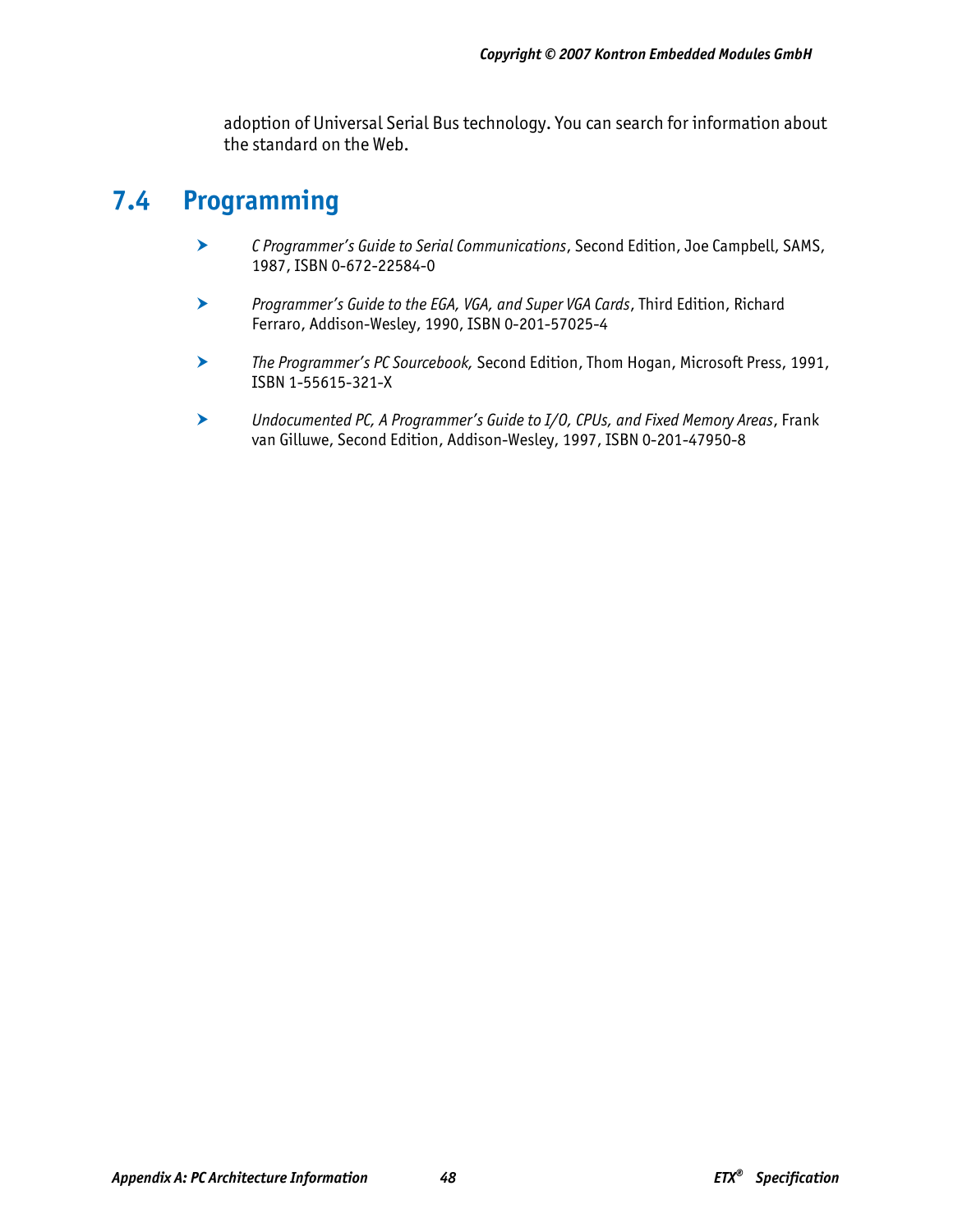adoption of Universal Serial Bus technology. You can search for information about the standard on the Web.

# **7.4 Programming**

- h *C Programmer's Guide to Serial Communications*, Second Edition, Joe Campbell, SAMS, 1987, ISBN 0-672-22584-0
- h *Programmer's Guide to the EGA, VGA, and Super VGA Cards*, Third Edition, Richard Ferraro, Addison-Wesley, 1990, ISBN 0-201-57025-4
- h *The Programmer's PC Sourcebook,* Second Edition, Thom Hogan, Microsoft Press, 1991, ISBN 1-55615-321-X
- h *Undocumented PC, A Programmer's Guide to I/O, CPUs, and Fixed Memory Areas*, Frank van Gilluwe, Second Edition, Addison-Wesley, 1997, ISBN 0-201-47950-8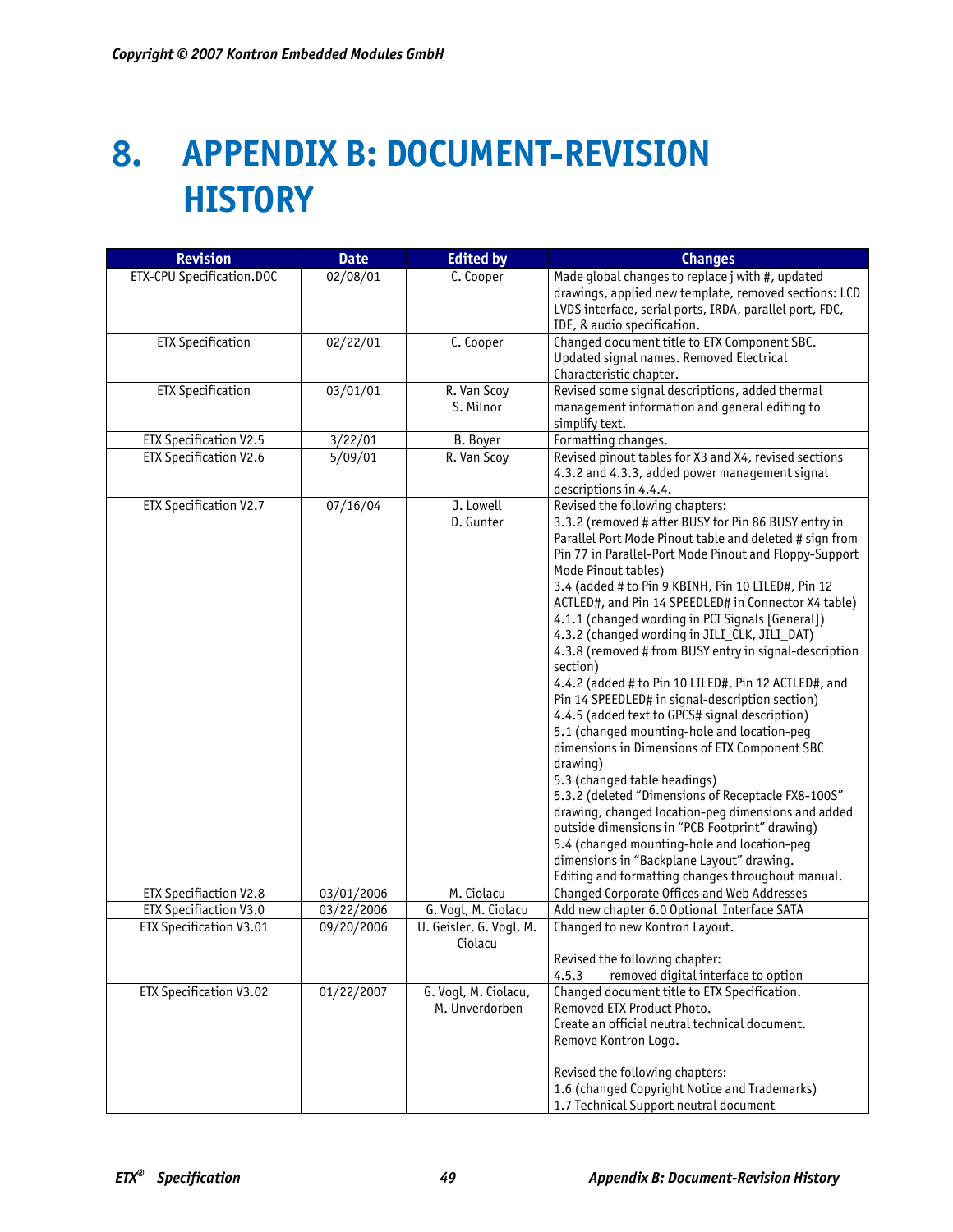# **8. APPENDIX B: DOCUMENT-REVISION HISTORY**

| <b>Revision</b>                | <b>Date</b> | <b>Edited by</b>                       | <b>Changes</b>                                                                                                                                                                                                                                                                                                                                                                                                                                                                                                                                                                                                                                                                                                                                                                                                                                                                                                                                                                                                                                                                                                                                       |
|--------------------------------|-------------|----------------------------------------|------------------------------------------------------------------------------------------------------------------------------------------------------------------------------------------------------------------------------------------------------------------------------------------------------------------------------------------------------------------------------------------------------------------------------------------------------------------------------------------------------------------------------------------------------------------------------------------------------------------------------------------------------------------------------------------------------------------------------------------------------------------------------------------------------------------------------------------------------------------------------------------------------------------------------------------------------------------------------------------------------------------------------------------------------------------------------------------------------------------------------------------------------|
| ETX-CPU Specification.DOC      | 02/08/01    | C. Cooper                              | Made global changes to replace j with #, updated<br>drawings, applied new template, removed sections: LCD<br>LVDS interface, serial ports, IRDA, parallel port, FDC,<br>IDE, & audio specification.                                                                                                                                                                                                                                                                                                                                                                                                                                                                                                                                                                                                                                                                                                                                                                                                                                                                                                                                                  |
| <b>ETX Specification</b>       | 02/22/01    | C. Cooper                              | Changed document title to ETX Component SBC.<br>Updated signal names. Removed Electrical<br>Characteristic chapter.                                                                                                                                                                                                                                                                                                                                                                                                                                                                                                                                                                                                                                                                                                                                                                                                                                                                                                                                                                                                                                  |
| <b>ETX Specification</b>       | 03/01/01    | R. Van Scoy<br>S. Milnor               | Revised some signal descriptions, added thermal<br>management information and general editing to<br>simplify text.                                                                                                                                                                                                                                                                                                                                                                                                                                                                                                                                                                                                                                                                                                                                                                                                                                                                                                                                                                                                                                   |
| ETX Specification V2.5         | 3/22/01     | <b>B.</b> Boyer                        | Formatting changes.                                                                                                                                                                                                                                                                                                                                                                                                                                                                                                                                                                                                                                                                                                                                                                                                                                                                                                                                                                                                                                                                                                                                  |
| <b>ETX Specification V2.6</b>  | 5/09/01     | R. Van Scoy                            | Revised pinout tables for X3 and X4, revised sections<br>4.3.2 and 4.3.3, added power management signal<br>descriptions in 4.4.4.                                                                                                                                                                                                                                                                                                                                                                                                                                                                                                                                                                                                                                                                                                                                                                                                                                                                                                                                                                                                                    |
| ETX Specification V2.7         | 07/16/04    | J. Lowell<br>D. Gunter                 | Revised the following chapters:<br>3.3.2 (removed # after BUSY for Pin 86 BUSY entry in<br>Parallel Port Mode Pinout table and deleted # sign from<br>Pin 77 in Parallel-Port Mode Pinout and Floppy-Support<br>Mode Pinout tables)<br>3.4 (added # to Pin 9 KBINH, Pin 10 LILED#, Pin 12<br>ACTLED#, and Pin 14 SPEEDLED# in Connector X4 table)<br>4.1.1 (changed wording in PCI Signals [General])<br>4.3.2 (changed wording in JILI_CLK, JILI_DAT)<br>4.3.8 (removed # from BUSY entry in signal-description<br>section)<br>4.4.2 (added # to Pin 10 LILED#, Pin 12 ACTLED#, and<br>Pin 14 SPEEDLED# in signal-description section)<br>4.4.5 (added text to GPCS# signal description)<br>5.1 (changed mounting-hole and location-peg<br>dimensions in Dimensions of ETX Component SBC<br>drawing)<br>5.3 (changed table headings)<br>5.3.2 (deleted "Dimensions of Receptacle FX8-100S"<br>drawing, changed location-peg dimensions and added<br>outside dimensions in "PCB Footprint" drawing)<br>5.4 (changed mounting-hole and location-peg<br>dimensions in "Backplane Layout" drawing.<br>Editing and formatting changes throughout manual. |
| <b>ETX Specifiaction V2.8</b>  | 03/01/2006  | M. Ciolacu                             | <b>Changed Corporate Offices and Web Addresses</b>                                                                                                                                                                                                                                                                                                                                                                                                                                                                                                                                                                                                                                                                                                                                                                                                                                                                                                                                                                                                                                                                                                   |
| ETX Specifiaction V3.0         | 03/22/2006  | G. Vogl, M. Ciolacu                    | Add new chapter 6.0 Optional Interface SATA                                                                                                                                                                                                                                                                                                                                                                                                                                                                                                                                                                                                                                                                                                                                                                                                                                                                                                                                                                                                                                                                                                          |
| <b>ETX Specification V3.01</b> | 09/20/2006  | U. Geisler, G. Vogl, M.<br>Ciolacu     | Changed to new Kontron Layout.                                                                                                                                                                                                                                                                                                                                                                                                                                                                                                                                                                                                                                                                                                                                                                                                                                                                                                                                                                                                                                                                                                                       |
|                                |             |                                        | Revised the following chapter:                                                                                                                                                                                                                                                                                                                                                                                                                                                                                                                                                                                                                                                                                                                                                                                                                                                                                                                                                                                                                                                                                                                       |
| ETX Specification V3.02        | 01/22/2007  | G. Vogl, M. Ciolacu,<br>M. Unverdorben | 4.5.3<br>removed digital interface to option<br>Changed document title to ETX Specification.<br>Removed ETX Product Photo.<br>Create an official neutral technical document.<br>Remove Kontron Logo.<br>Revised the following chapters:<br>1.6 (changed Copyright Notice and Trademarks)<br>1.7 Technical Support neutral document                                                                                                                                                                                                                                                                                                                                                                                                                                                                                                                                                                                                                                                                                                                                                                                                                   |